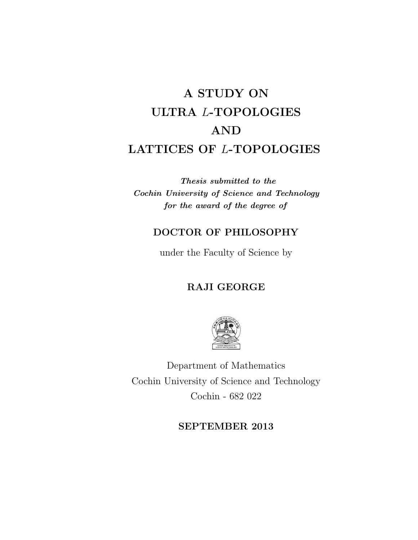# A STUDY ON ULTRA L-TOPOLOGIES AND LATTICES OF L-TOPOLOGIES

Thesis submitted to the Cochin University of Science and Technology for the award of the degree of

### DOCTOR OF PHILOSOPHY

under the Faculty of Science by

## RAJI GEORGE



Department of Mathematics Cochin University of Science and Technology Cochin - 682 022

#### SEPTEMBER 2013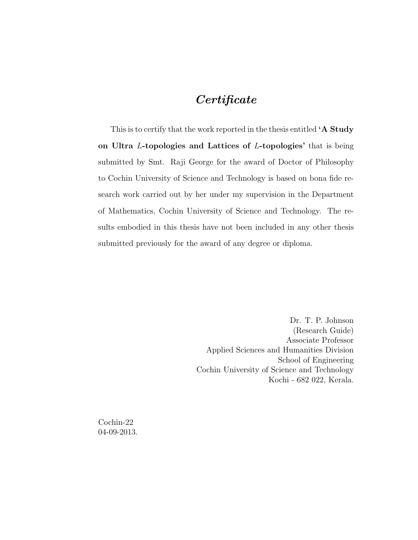## Certificate

This is to certify that the work reported in the thesis entitled 'A Study on Ultra L-topologies and Lattices of L-topologies' that is being submitted by Smt. Raji George for the award of Doctor of Philosophy to Cochin University of Science and Technology is based on bona fide research work carried out by her under my supervision in the Department of Mathematics, Cochin University of Science and Technology. The results embodied in this thesis have not been included in any other thesis submitted previously for the award of any degree or diploma.

> Dr. T. P. Johnson (Research Guide) Associate Professor Applied Sciences and Humanities Division School of Engineering Cochin University of Science and Technology Kochi - 682 022, Kerala.

Cochin-22 04-09-2013.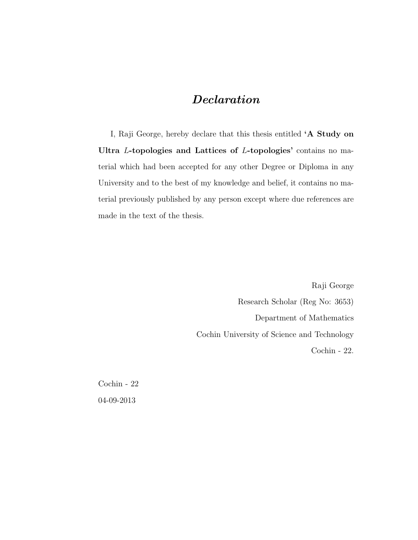## Declaration

I, Raji George, hereby declare that this thesis entitled 'A Study on Ultra L-topologies and Lattices of L-topologies' contains no material which had been accepted for any other Degree or Diploma in any University and to the best of my knowledge and belief, it contains no material previously published by any person except where due references are made in the text of the thesis.

> Raji George Research Scholar (Reg No: 3653) Department of Mathematics Cochin University of Science and Technology Cochin - 22.

Cochin - 22 04-09-2013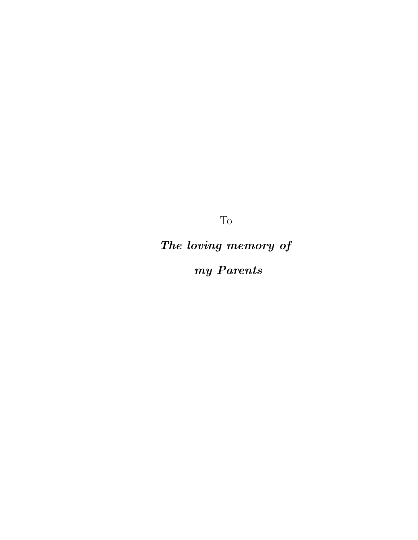To

The loving memory of

my Parents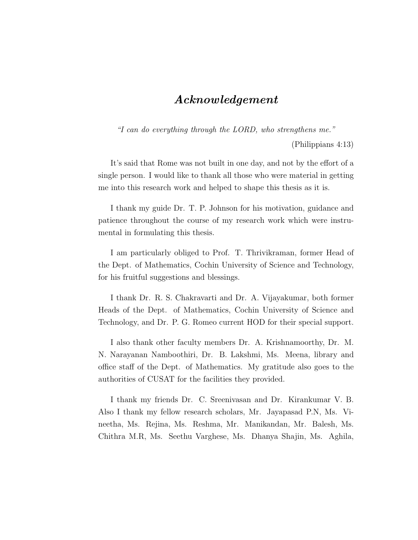### Acknowledgement

"I can do everything through the LORD, who strengthens me."

(Philippians 4:13)

It's said that Rome was not built in one day, and not by the effort of a single person. I would like to thank all those who were material in getting me into this research work and helped to shape this thesis as it is.

I thank my guide Dr. T. P. Johnson for his motivation, guidance and patience throughout the course of my research work which were instrumental in formulating this thesis.

I am particularly obliged to Prof. T. Thrivikraman, former Head of the Dept. of Mathematics, Cochin University of Science and Technology, for his fruitful suggestions and blessings.

I thank Dr. R. S. Chakravarti and Dr. A. Vijayakumar, both former Heads of the Dept. of Mathematics, Cochin University of Science and Technology, and Dr. P. G. Romeo current HOD for their special support.

I also thank other faculty members Dr. A. Krishnamoorthy, Dr. M. N. Narayanan Namboothiri, Dr. B. Lakshmi, Ms. Meena, library and office staff of the Dept. of Mathematics. My gratitude also goes to the authorities of CUSAT for the facilities they provided.

I thank my friends Dr. C. Sreenivasan and Dr. Kirankumar V. B. Also I thank my fellow research scholars, Mr. Jayapasad P.N, Ms. Vineetha, Ms. Rejina, Ms. Reshma, Mr. Manikandan, Mr. Balesh, Ms. Chithra M.R, Ms. Seethu Varghese, Ms. Dhanya Shajin, Ms. Aghila,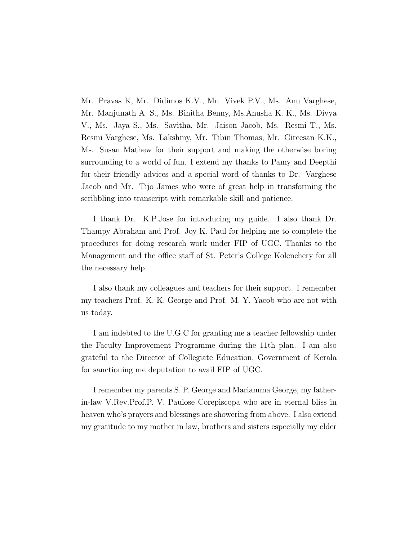Mr. Pravas K, Mr. Didimos K.V., Mr. Vivek P.V., Ms. Anu Varghese, Mr. Manjunath A. S., Ms. Binitha Benny, Ms.Anusha K. K., Ms. Divya V., Ms. Jaya S., Ms. Savitha, Mr. Jaison Jacob, Ms. Resmi T., Ms. Resmi Varghese, Ms. Lakshmy, Mr. Tibin Thomas, Mr. Gireesan K.K., Ms. Susan Mathew for their support and making the otherwise boring surrounding to a world of fun. I extend my thanks to Pamy and Deepthi for their friendly advices and a special word of thanks to Dr. Varghese Jacob and Mr. Tijo James who were of great help in transforming the scribbling into transcript with remarkable skill and patience.

I thank Dr. K.P.Jose for introducing my guide. I also thank Dr. Thampy Abraham and Prof. Joy K. Paul for helping me to complete the procedures for doing research work under FIP of UGC. Thanks to the Management and the office staff of St. Peter's College Kolenchery for all the necessary help.

I also thank my colleagues and teachers for their support. I remember my teachers Prof. K. K. George and Prof. M. Y. Yacob who are not with us today.

I am indebted to the U.G.C for granting me a teacher fellowship under the Faculty Improvement Programme during the 11th plan. I am also grateful to the Director of Collegiate Education, Government of Kerala for sanctioning me deputation to avail FIP of UGC.

I remember my parents S. P. George and Mariamma George, my fatherin-law V.Rev.Prof.P. V. Paulose Corepiscopa who are in eternal bliss in heaven who's prayers and blessings are showering from above. I also extend my gratitude to my mother in law, brothers and sisters especially my elder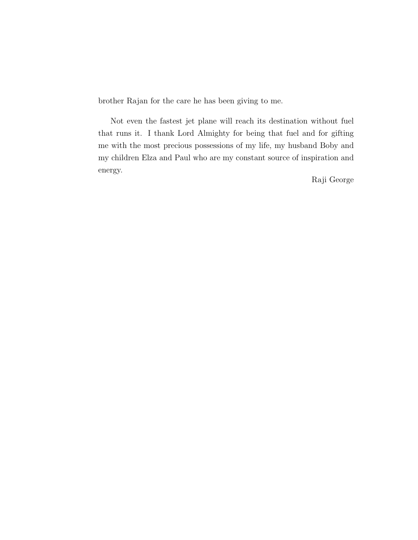brother Rajan for the care he has been giving to me.

Not even the fastest jet plane will reach its destination without fuel that runs it. I thank Lord Almighty for being that fuel and for gifting me with the most precious possessions of my life, my husband Boby and my children Elza and Paul who are my constant source of inspiration and energy.

Raji George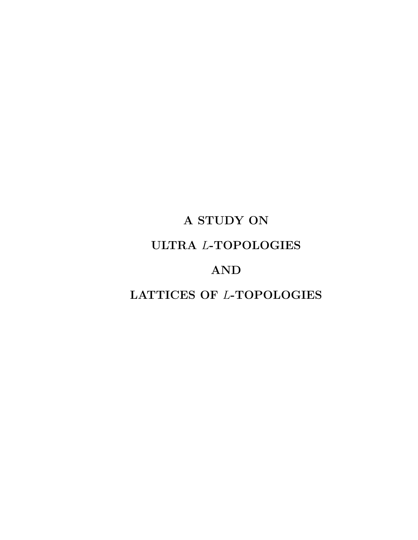# A STUDY ON ULTRA L-TOPOLOGIES AND LATTICES OF L-TOPOLOGIES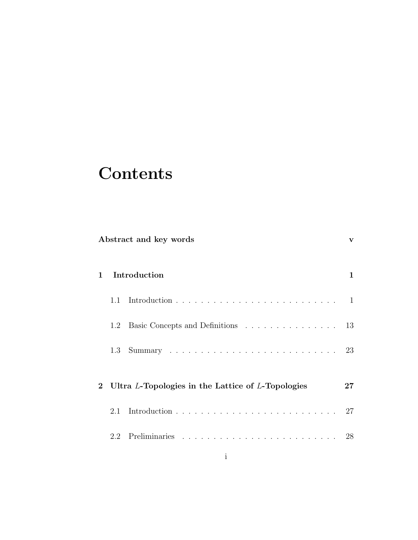# **Contents**

|              | Abstract and key words                              |                                   |              |
|--------------|-----------------------------------------------------|-----------------------------------|--------------|
| $\mathbf{1}$ | Introduction                                        |                                   | $\mathbf{1}$ |
|              | $1.1 -$                                             |                                   |              |
|              | 1.2                                                 | Basic Concepts and Definitions 13 |              |
|              | 1.3                                                 |                                   |              |
|              | 2 Ultra L-Topologies in the Lattice of L-Topologies |                                   | $\bf{27}$    |
|              |                                                     |                                   | 27           |
|              |                                                     |                                   |              |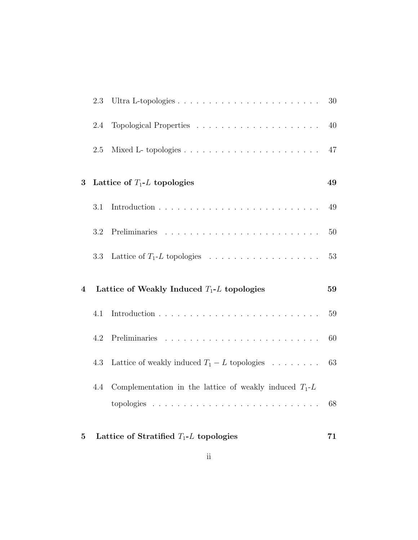|                         | 2.3     |                                                           | $30\,$ |
|-------------------------|---------|-----------------------------------------------------------|--------|
|                         | 2.4     |                                                           | 40     |
|                         | 2.5     |                                                           | 47     |
| 3                       |         | Lattice of $T_1$ -L topologies                            | 49     |
|                         | 3.1     |                                                           | 49     |
|                         | $3.2\,$ |                                                           | 50     |
|                         | 3.3     |                                                           | $53\,$ |
|                         |         |                                                           |        |
| $\overline{\mathbf{4}}$ |         | Lattice of Weakly Induced $T_1$ -L topologies             | 59     |
|                         | 4.1     |                                                           | $59\,$ |
|                         | 4.2     |                                                           | 60     |
|                         | 4.3     | Lattice of weakly induced $T_1 - L$ topologies            | 63     |
|                         | 4.4     | Complementation in the lattice of weakly induced $T_1$ -L |        |
|                         |         |                                                           | 68     |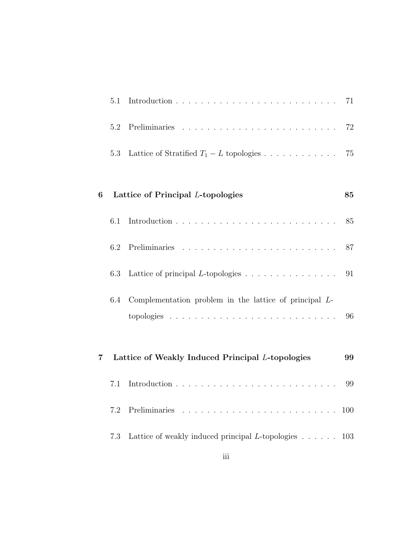|   | 5.1 |                                                                           | 71         |
|---|-----|---------------------------------------------------------------------------|------------|
|   | 5.2 |                                                                           | 72         |
|   | 5.3 | Lattice of Stratified $T_1 - L$ topologies                                | 75         |
| 6 |     | Lattice of Principal L-topologies                                         | 85         |
|   | 6.1 |                                                                           | 85         |
|   | 6.2 |                                                                           | 87         |
|   | 6.3 | Lattice of principal $L$ -topologies $\ldots \ldots \ldots \ldots \ldots$ | 91         |
|   | 6.4 | Complementation problem in the lattice of principal $L$ -                 | 96         |
| 7 |     | Lattice of Weakly Induced Principal L-topologies                          | 99         |
|   | 7.1 |                                                                           | 99         |
|   | 7.2 |                                                                           | <b>100</b> |
|   | 7.3 | Lattice of weakly induced principal L-topologies $\ldots$ 103             |            |
|   |     | $\overline{\text{iii}}$                                                   |            |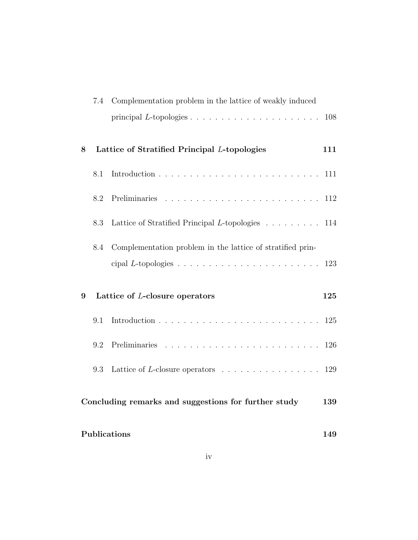|                                                      | 7.4 | Complementation problem in the lattice of weakly induced             |     |
|------------------------------------------------------|-----|----------------------------------------------------------------------|-----|
|                                                      |     |                                                                      | 108 |
| 8                                                    |     | Lattice of Stratified Principal L-topologies                         | 111 |
|                                                      | 8.1 |                                                                      | 111 |
|                                                      | 8.2 |                                                                      | 112 |
|                                                      | 8.3 | Lattice of Stratified Principal L-topologies 114                     |     |
|                                                      | 8.4 | Complementation problem in the lattice of stratified prin-           | 123 |
| 9                                                    |     | Lattice of L-closure operators                                       | 125 |
|                                                      | 9.1 |                                                                      | 125 |
|                                                      | 9.2 |                                                                      | 126 |
|                                                      | 9.3 | Lattice of L-closure operators $\dots \dots \dots \dots \dots \dots$ | 129 |
| Concluding remarks and suggestions for further study |     |                                                                      | 139 |
| Publications                                         |     |                                                                      | 149 |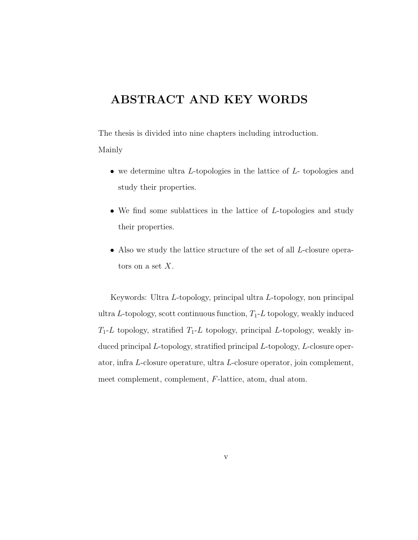# ABSTRACT AND KEY WORDS

The thesis is divided into nine chapters including introduction. Mainly

- we determine ultra L-topologies in the lattice of L- topologies and study their properties.
- We find some sublattices in the lattice of  $L$ -topologies and study their properties.
- Also we study the lattice structure of the set of all *L*-closure operators on a set  $X$ .

Keywords: Ultra L-topology, principal ultra L-topology, non principal ultra L-topology, scott continuous function,  $T_1$ -L topology, weakly induced  $T_1$ -L topology, stratified  $T_1$ -L topology, principal L-topology, weakly induced principal L-topology, stratified principal L-topology, L-closure operator, infra L-closure operature, ultra L-closure operator, join complement, meet complement, complement, F-lattice, atom, dual atom.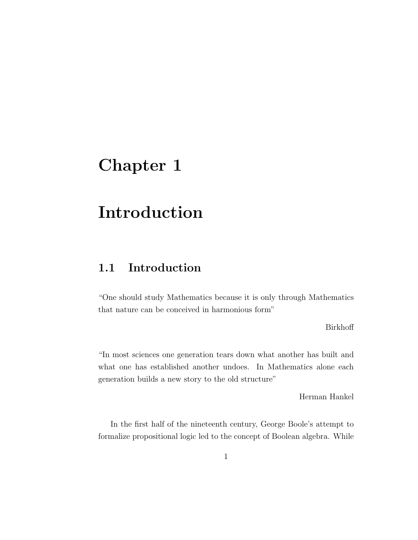# Chapter 1

# Introduction

## 1.1 Introduction

"One should study Mathematics because it is only through Mathematics that nature can be conceived in harmonious form"

Birkhoff

"In most sciences one generation tears down what another has built and what one has established another undoes. In Mathematics alone each generation builds a new story to the old structure"

Herman Hankel

In the first half of the nineteenth century, George Boole's attempt to formalize propositional logic led to the concept of Boolean algebra. While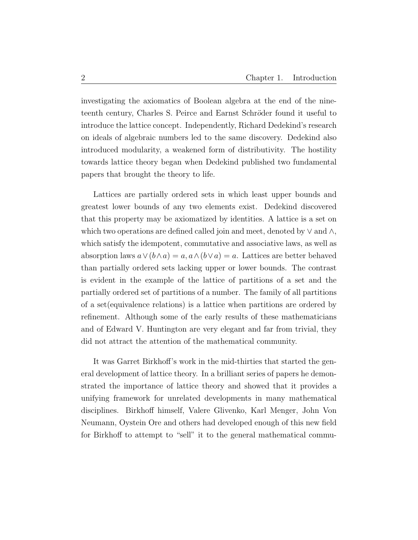investigating the axiomatics of Boolean algebra at the end of the nineteenth century, Charles S. Peirce and Earnst Schröder found it useful to introduce the lattice concept. Independently, Richard Dedekind's research on ideals of algebraic numbers led to the same discovery. Dedekind also introduced modularity, a weakened form of distributivity. The hostility towards lattice theory began when Dedekind published two fundamental papers that brought the theory to life.

Lattices are partially ordered sets in which least upper bounds and greatest lower bounds of any two elements exist. Dedekind discovered that this property may be axiomatized by identities. A lattice is a set on which two operations are defined called join and meet, denoted by  $\vee$  and  $\wedge$ , which satisfy the idempotent, commutative and associative laws, as well as absorption laws  $a \vee (b \wedge a) = a$ ,  $a \wedge (b \vee a) = a$ . Lattices are better behaved than partially ordered sets lacking upper or lower bounds. The contrast is evident in the example of the lattice of partitions of a set and the partially ordered set of partitions of a number. The family of all partitions of a set(equivalence relations) is a lattice when partitions are ordered by refinement. Although some of the early results of these mathematicians and of Edward V. Huntington are very elegant and far from trivial, they did not attract the attention of the mathematical community.

It was Garret Birkhoff's work in the mid-thirties that started the general development of lattice theory. In a brilliant series of papers he demonstrated the importance of lattice theory and showed that it provides a unifying framework for unrelated developments in many mathematical disciplines. Birkhoff himself, Valere Glivenko, Karl Menger, John Von Neumann, Oystein Ore and others had developed enough of this new field for Birkhoff to attempt to "sell" it to the general mathematical commu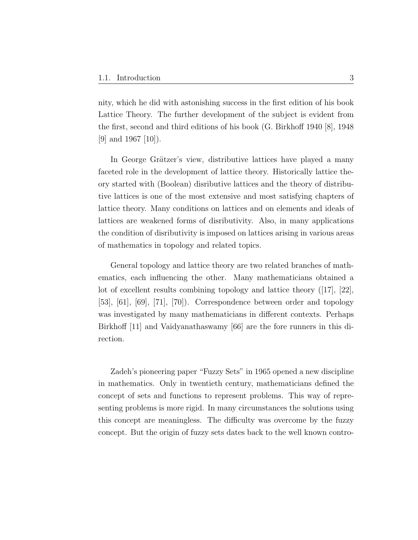nity, which he did with astonishing success in the first edition of his book Lattice Theory. The further development of the subject is evident from the first, second and third editions of his book (G. Birkhoff 1940 [8], 1948 [9] and 1967 [10]).

In George Grätzer's view, distributive lattices have played a many faceted role in the development of lattice theory. Historically lattice theory started with (Boolean) disributive lattices and the theory of distributive lattices is one of the most extensive and most satisfying chapters of lattice theory. Many conditions on lattices and on elements and ideals of lattices are weakened forms of disributivity. Also, in many applications the condition of disributivity is imposed on lattices arising in various areas of mathematics in topology and related topics.

General topology and lattice theory are two related branches of mathematics, each influencing the other. Many mathematicians obtained a lot of excellent results combining topology and lattice theory ([17], [22], [53], [61], [69], [71], [70]). Correspondence between order and topology was investigated by many mathematicians in different contexts. Perhaps Birkhoff [11] and Vaidyanathaswamy [66] are the fore runners in this direction.

Zadeh's pioneering paper "Fuzzy Sets" in 1965 opened a new discipline in mathematics. Only in twentieth century, mathematicians defined the concept of sets and functions to represent problems. This way of representing problems is more rigid. In many circumstances the solutions using this concept are meaningless. The difficulty was overcome by the fuzzy concept. But the origin of fuzzy sets dates back to the well known contro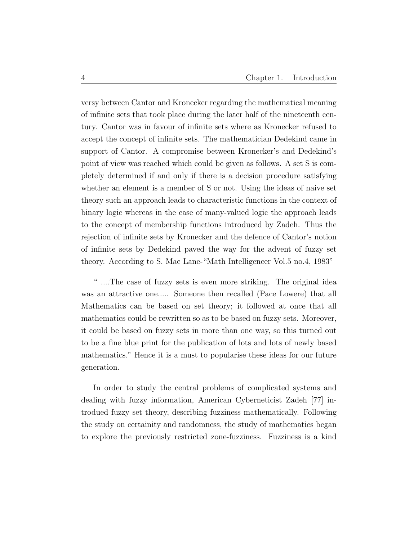versy between Cantor and Kronecker regarding the mathematical meaning of infinite sets that took place during the later half of the nineteenth century. Cantor was in favour of infinite sets where as Kronecker refused to accept the concept of infinite sets. The mathematician Dedekind came in support of Cantor. A compromise between Kronecker's and Dedekind's point of view was reached which could be given as follows. A set S is completely determined if and only if there is a decision procedure satisfying whether an element is a member of S or not. Using the ideas of naive set theory such an approach leads to characteristic functions in the context of binary logic whereas in the case of many-valued logic the approach leads to the concept of membership functions introduced by Zadeh. Thus the rejection of infinite sets by Kronecker and the defence of Cantor's notion of infinite sets by Dedekind paved the way for the advent of fuzzy set theory. According to S. Mac Lane-"Math Intelligencer Vol.5 no.4, 1983"

" ....The case of fuzzy sets is even more striking. The original idea was an attractive one..... Someone then recalled (Pace Lowere) that all Mathematics can be based on set theory; it followed at once that all mathematics could be rewritten so as to be based on fuzzy sets. Moreover, it could be based on fuzzy sets in more than one way, so this turned out to be a fine blue print for the publication of lots and lots of newly based mathematics." Hence it is a must to popularise these ideas for our future generation.

In order to study the central problems of complicated systems and dealing with fuzzy information, American Cyberneticist Zadeh [77] introdued fuzzy set theory, describing fuzziness mathematically. Following the study on certainity and randomness, the study of mathematics began to explore the previously restricted zone-fuzziness. Fuzziness is a kind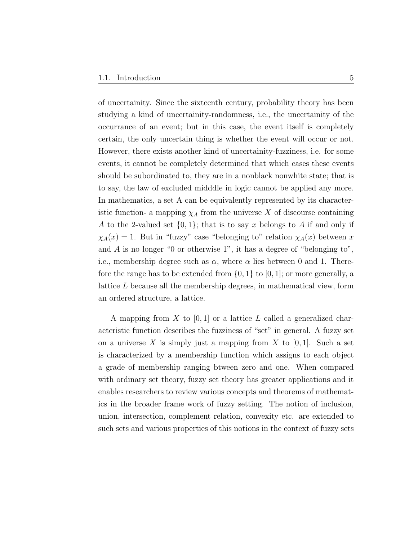of uncertainity. Since the sixteenth century, probability theory has been studying a kind of uncertainity-randomness, i.e., the uncertainity of the occurrance of an event; but in this case, the event itself is completely certain, the only uncertain thing is whether the event will occur or not. However, there exists another kind of uncertainity-fuzziness, i.e. for some events, it cannot be completely determined that which cases these events should be subordinated to, they are in a nonblack nonwhite state; that is to say, the law of excluded midddle in logic cannot be applied any more. In mathematics, a set A can be equivalently represented by its characteristic function- a mapping  $\chi_A$  from the universe X of discourse containing A to the 2-valued set  $\{0, 1\}$ ; that is to say x belongs to A if and only if  $\chi_A(x) = 1$ . But in "fuzzy" case "belonging to" relation  $\chi_A(x)$  between x and  $A$  is no longer "0 or otherwise 1", it has a degree of "belonging to", i.e., membership degree such as  $\alpha$ , where  $\alpha$  lies between 0 and 1. Therefore the range has to be extended from  $\{0, 1\}$  to  $[0, 1]$ ; or more generally, a lattice L because all the membership degrees, in mathematical view, form an ordered structure, a lattice.

A mapping from X to  $[0, 1]$  or a lattice L called a generalized characteristic function describes the fuzziness of "set" in general. A fuzzy set on a universe X is simply just a mapping from X to  $[0, 1]$ . Such a set is characterized by a membership function which assigns to each object a grade of membership ranging btween zero and one. When compared with ordinary set theory, fuzzy set theory has greater applications and it enables researchers to review various concepts and theorems of mathematics in the broader frame work of fuzzy setting. The notion of inclusion, union, intersection, complement relation, convexity etc. are extended to such sets and various properties of this notions in the context of fuzzy sets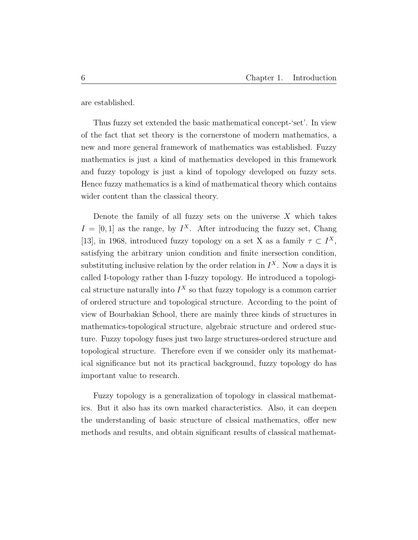are established.

Thus fuzzy set extended the basic mathematical concept-'set'. In view of the fact that set theory is the cornerstone of modern mathematics, a new and more general framework of mathematics was established. Fuzzy mathematics is just a kind of mathematics developed in this framework and fuzzy topology is just a kind of topology developed on fuzzy sets. Hence fuzzy mathematics is a kind of mathematical theory which contains wider content than the classical theory.

Denote the family of all fuzzy sets on the universe  $X$  which takes  $I = [0, 1]$  as the range, by  $I^X$ . After introducing the fuzzy set, Chang [13], in 1968, introduced fuzzy topology on a set X as a family  $\tau \subset I^X$ , satisfying the arbitrary union condition and finite inersection condition, substituting inclusive relation by the order relation in  $I^X$ . Now a days it is called I-topology rather than I-fuzzy topology. He introduced a topological structure naturally into  $I^X$  so that fuzzy topology is a common carrier of ordered structure and topological structure. According to the point of view of Bourbakian School, there are mainly three kinds of structures in mathematics-topological structure, algebraic structure and ordered stucture. Fuzzy topology fuses just two large structures-ordered structure and topological structure. Therefore even if we consider only its mathematical significance but not its practical background, fuzzy topology do has important value to research.

Fuzzy topology is a generalization of topology in classical mathematics. But it also has its own marked characteristics. Also, it can deepen the understanding of basic structure of clssical mathematics, offer new methods and results, and obtain significant results of classical mathemat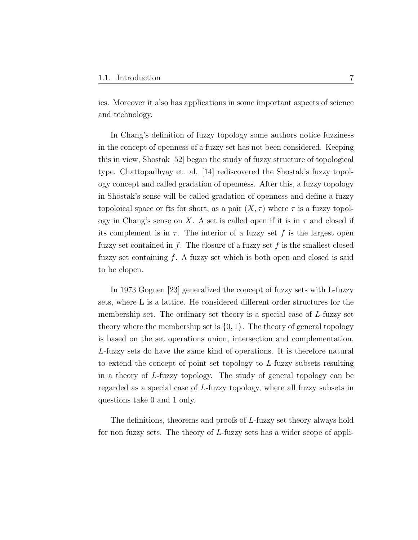ics. Moreover it also has applications in some important aspects of science and technology.

In Chang's definition of fuzzy topology some authors notice fuzziness in the concept of openness of a fuzzy set has not been considered. Keeping this in view, Shostak [52] began the study of fuzzy structure of topological type. Chattopadhyay et. al. [14] rediscovered the Shostak's fuzzy topology concept and called gradation of openness. After this, a fuzzy topology in Shostak's sense will be called gradation of openness and define a fuzzy topoloical space or fts for short, as a pair  $(X, \tau)$  where  $\tau$  is a fuzzy topology in Chang's sense on X. A set is called open if it is in  $\tau$  and closed if its complement is in  $\tau$ . The interior of a fuzzy set f is the largest open fuzzy set contained in  $f$ . The closure of a fuzzy set  $f$  is the smallest closed fuzzy set containing  $f$ . A fuzzy set which is both open and closed is said to be clopen.

In 1973 Goguen [23] generalized the concept of fuzzy sets with L-fuzzy sets, where L is a lattice. He considered different order structures for the membership set. The ordinary set theory is a special case of L-fuzzy set theory where the membership set is  $\{0, 1\}$ . The theory of general topology is based on the set operations union, intersection and complementation. L-fuzzy sets do have the same kind of operations. It is therefore natural to extend the concept of point set topology to L-fuzzy subsets resulting in a theory of L-fuzzy topology. The study of general topology can be regarded as a special case of L-fuzzy topology, where all fuzzy subsets in questions take 0 and 1 only.

The definitions, theorems and proofs of L-fuzzy set theory always hold for non fuzzy sets. The theory of L-fuzzy sets has a wider scope of appli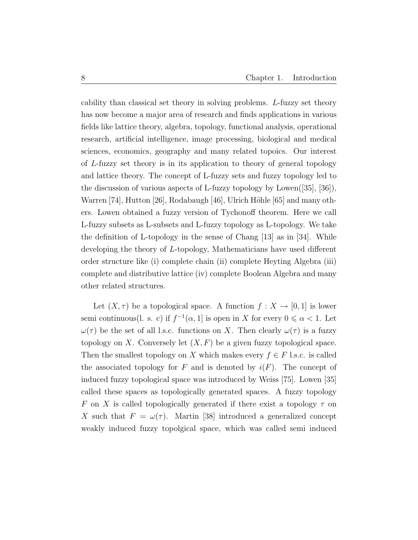cability than classical set theory in solving problems. L-fuzzy set theory has now become a major area of research and finds applications in various fields like lattice theory, algebra, topology, functional analysis, operational research, artificial intelligence, image processing, biological and medical sciences, economics, geography and many related topoics. Our interest of L-fuzzy set theory is in its application to theory of general topology and lattice theory. The concept of L-fuzzy sets and fuzzy topology led to the discussion of various aspects of L-fuzzy topology by Lowen $([35], [36])$ , Warren [74], Hutton [26], Rodabaugh [46], Ulrich Höhle [65] and many others. Lowen obtained a fuzzy version of Tychonoff theorem. Here we call L-fuzzy subsets as L-subsets and L-fuzzy topology as L-topology. We take the definition of L-topology in the sense of Chang [13] as in [34]. While developing the theory of L-topology, Mathematicians have used different order structure like (i) complete chain (ii) complete Heyting Algebra (iii) complete and distributive lattice (iv) complete Boolean Algebra and many other related structures.

Let  $(X, \tau)$  be a topological space. A function  $f : X \to [0, 1]$  is lower semi continuous(l. s. c) if  $f^{-1}(\alpha, 1]$  is open in X for every  $0 \le \alpha < 1$ . Let  $\omega(\tau)$  be the set of all l.s.c. functions on X. Then clearly  $\omega(\tau)$  is a fuzzy topology on X. Conversely let  $(X, F)$  be a given fuzzy topological space. Then the smallest topology on X which makes every  $f \in F$  l.s.c. is called the associated topology for F and is denoted by  $i(F)$ . The concept of induced fuzzy topological space was introduced by Weiss [75]. Lowen [35] called these spaces as topologically generated spaces. A fuzzy topology F on X is called topologically generated if there exist a topology  $\tau$  on X such that  $F = \omega(\tau)$ . Martin [38] introduced a generalized concept weakly induced fuzzy topolgical space, which was called semi induced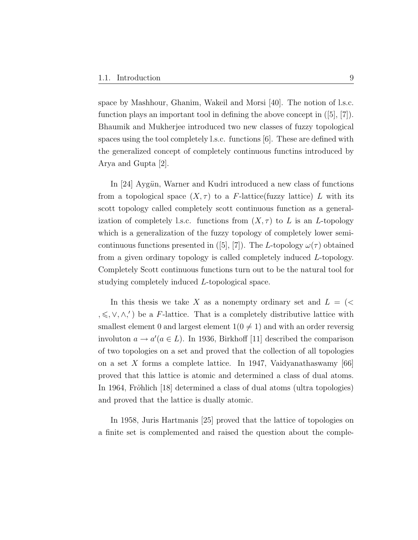space by Mashhour, Ghanim, Wakeil and Morsi [40]. The notion of l.s.c. function plays an important tool in defining the above concept in  $([5], [7])$ . Bhaumik and Mukherjee introduced two new classes of fuzzy topological spaces using the tool completely l.s.c. functions [6]. These are defined with the generalized concept of completely continuous functins introduced by Arya and Gupta [2].

In [24] Aygün, Warner and Kudri introduced a new class of functions from a topological space  $(X, \tau)$  to a F-lattice(fuzzy lattice) L with its scott topology called completely scott continuous function as a generalization of completely l.s.c. functions from  $(X, \tau)$  to L is an L-topology which is a generalization of the fuzzy topology of completely lower semicontinuous functions presented in ([5], [7]). The L-topology  $\omega(\tau)$  obtained from a given ordinary topology is called completely induced L-topology. Completely Scott continuous functions turn out to be the natural tool for studying completely induced L-topological space.

In this thesis we take X as a nonempty ordinary set and  $L = \langle \langle \rangle$  $,\leq, \vee, \wedge,')$  be a F-lattice. That is a completely distributive lattice with smallest element 0 and largest element  $1(0 \neq 1)$  and with an order reversig involuton  $a \to a'(a \in L)$ . In 1936, Birkhoff [11] described the comparison of two topologies on a set and proved that the collection of all topologies on a set X forms a complete lattice. In 1947, Vaidyanathaswamy [66] proved that this lattice is atomic and determined a class of dual atoms. In 1964, Fröhlich [18] determined a class of dual atoms (ultra topologies) and proved that the lattice is dually atomic.

In 1958, Juris Hartmanis [25] proved that the lattice of topologies on a finite set is complemented and raised the question about the comple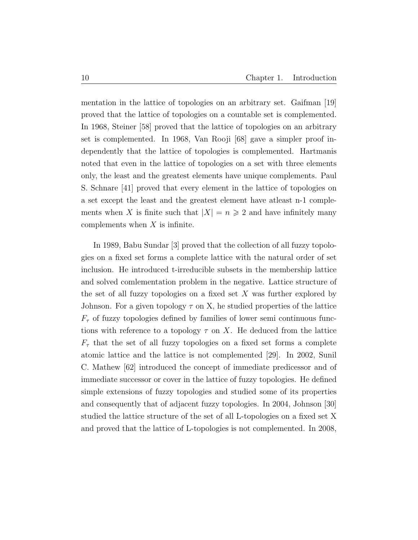mentation in the lattice of topologies on an arbitrary set. Gaifman [19] proved that the lattice of topologies on a countable set is complemented. In 1968, Steiner [58] proved that the lattice of topologies on an arbitrary set is complemented. In 1968, Van Rooji [68] gave a simpler proof independently that the lattice of topologies is complemented. Hartmanis noted that even in the lattice of topologies on a set with three elements only, the least and the greatest elements have unique complements. Paul S. Schnare [41] proved that every element in the lattice of topologies on a set except the least and the greatest element have atleast n-1 complements when X is finite such that  $|X| = n \geq 2$  and have infinitely many complements when  $X$  is infinite.

In 1989, Babu Sundar [3] proved that the collection of all fuzzy topologies on a fixed set forms a complete lattice with the natural order of set inclusion. He introduced t-irreducible subsets in the membership lattice and solved comlementation problem in the negative. Lattice structure of the set of all fuzzy topologies on a fixed set  $X$  was further explored by Johnson. For a given topology  $\tau$  on X, he studied properties of the lattice  $F_{\tau}$  of fuzzy topologies defined by families of lower semi continuous functions with reference to a topology  $\tau$  on X. He deduced from the lattice  $F_{\tau}$  that the set of all fuzzy topologies on a fixed set forms a complete atomic lattice and the lattice is not complemented [29]. In 2002, Sunil C. Mathew [62] introduced the concept of immediate predicessor and of immediate successor or cover in the lattice of fuzzy topologies. He defined simple extensions of fuzzy topologies and studied some of its properties and consequently that of adjacent fuzzy topologies. In 2004, Johnson [30] studied the lattice structure of the set of all L-topologies on a fixed set X and proved that the lattice of L-topologies is not complemented. In 2008,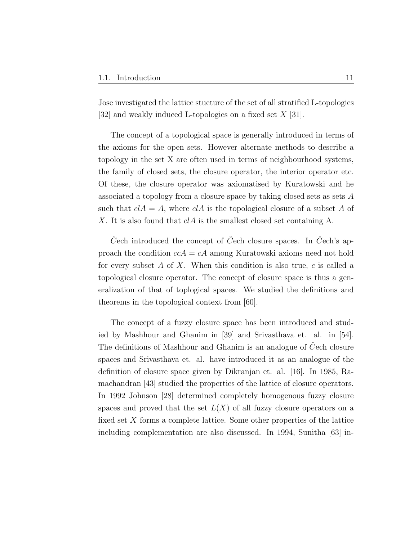Jose investigated the lattice stucture of the set of all stratified L-topologies [32] and weakly induced L-topologies on a fixed set  $X$  [31].

The concept of a topological space is generally introduced in terms of the axioms for the open sets. However alternate methods to describe a topology in the set X are often used in terms of neighbourhood systems, the family of closed sets, the closure operator, the interior operator etc. Of these, the closure operator was axiomatised by Kuratowski and he associated a topology from a closure space by taking closed sets as sets A such that  $cIA = A$ , where  $cIA$  is the topological closure of a subset A of X. It is also found that  $cIA$  is the smallest closed set containing A.

C<sup> $\check{C}$ </sup>ech introduced the concept of C<sup> $\check{C}$ </sup>ech closure spaces. In C<sup> $\check{C}$ </sup>ech's approach the condition  $c c A = c A$  among Kuratowski axioms need not hold for every subset A of X. When this condition is also true,  $c$  is called a topological closure operator. The concept of closure space is thus a generalization of that of toplogical spaces. We studied the definitions and theorems in the topological context from [60].

The concept of a fuzzy closure space has been introduced and studied by Mashhour and Ghanim in [39] and Srivasthava et. al. in [54]. The definitions of Mashhour and Ghanim is an analogue of Cech closure spaces and Srivasthava et. al. have introduced it as an analogue of the definition of closure space given by Dikranjan et. al. [16]. In 1985, Ramachandran [43] studied the properties of the lattice of closure operators. In 1992 Johnson [28] determined completely homogenous fuzzy closure spaces and proved that the set  $L(X)$  of all fuzzy closure operators on a fixed set  $X$  forms a complete lattice. Some other properties of the lattice including complementation are also discussed. In 1994, Sunitha [63] in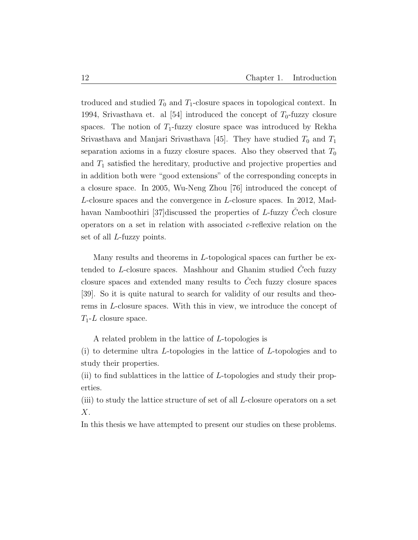troduced and studied  $T_0$  and  $T_1$ -closure spaces in topological context. In 1994, Srivasthava et. al [54] introduced the concept of  $T_0$ -fuzzy closure spaces. The notion of  $T_1$ -fuzzy closure space was introduced by Rekha Srivasthava and Manjari Srivasthava [45]. They have studied  $T_0$  and  $T_1$ separation axioms in a fuzzy closure spaces. Also they observed that  $T_0$ and  $T_1$  satisfied the hereditary, productive and projective properties and in addition both were "good extensions" of the corresponding concepts in a closure space. In 2005, Wu-Neng Zhou [76] introduced the concept of L-closure spaces and the convergence in L-closure spaces. In 2012, Madhavan Namboothiri [37] discussed the properties of  $L$ -fuzzy  $C$ ech closure operators on a set in relation with associated c-reflexive relation on the set of all L-fuzzy points.

Many results and theorems in L-topological spaces can further be extended to L-closure spaces. Mashhour and Ghanim studied  $\check{C}$ ech fuzzy closure spaces and extended many results to  $\dot{C}$ ech fuzzy closure spaces [39]. So it is quite natural to search for validity of our results and theorems in L-closure spaces. With this in view, we introduce the concept of  $T_1$ -L closure space.

A related problem in the lattice of L-topologies is

(i) to determine ultra L-topologies in the lattice of L-topologies and to study their properties.

(ii) to find sublattices in the lattice of  $L$ -topologies and study their properties.

(iii) to study the lattice structure of set of all L-closure operators on a set  $X$ .

In this thesis we have attempted to present our studies on these problems.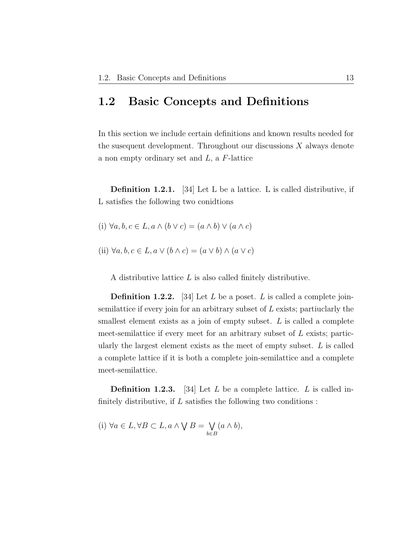### 1.2 Basic Concepts and Definitions

In this section we include certain definitions and known results needed for the susequent development. Throughout our discussions  $X$  always denote a non empty ordinary set and  $L$ , a  $F$ -lattice

Definition 1.2.1. [34] Let L be a lattice. L is called distributive, if L satisfies the following two conidtions

- (i)  $\forall a, b, c \in L, a \land (b \lor c) = (a \land b) \lor (a \land c)$
- (ii)  $\forall a, b, c \in L, a \lor (b \land c) = (a \lor b) \land (a \lor c)$

A distributive lattice L is also called finitely distributive.

**Definition 1.2.2.** [34] Let L be a poset. L is called a complete joinsemilattice if every join for an arbitrary subset of  $L$  exists; partiuclarly the smallest element exists as a join of empty subset. L is called a complete meet-semilattice if every meet for an arbitrary subset of L exists; particularly the largest element exists as the meet of empty subset.  $L$  is called a complete lattice if it is both a complete join-semilattice and a complete meet-semilattice.

**Definition 1.2.3.** [34] Let L be a complete lattice. L is called infinitely distributive, if  $L$  satisfies the following two conditions:

(i) 
$$
\forall a \in L, \forall B \subset L, a \land \bigvee B = \bigvee_{b \in B} (a \land b),
$$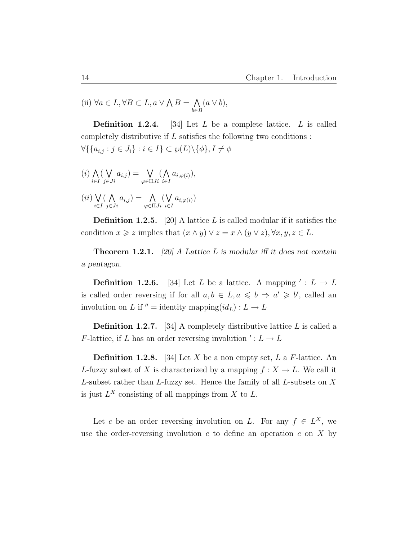(ii)  $\forall a \in L, \forall B \subset L, a \vee \bigwedge B = \bigwedge$ b∈B  $(a \vee b),$ 

**Definition 1.2.4.** [34] Let  $L$  be a complete lattice.  $L$  is called completely distributive if  $L$  satisfies the following two conditions :  $\forall \{\{a_{i,j} : j \in J_i\} : i \in I\} \subset \wp(L) \backslash \{\phi\}, I \neq \phi$ 

$$
(i) \bigwedge_{i \in I} (\bigvee_{j \in Ji} a_{i,j}) = \bigvee_{\varphi \in \Pi Ji} (\bigwedge_{i \in I} a_{i,\varphi(i)}),
$$
  

$$
(ii) \bigvee_{i \in I} (\bigwedge_{j \in J} a_{i,j}) = \bigwedge_{\varphi \in \Pi Ji} (\bigwedge_{i \in I} a_{i,\varphi(i)}),
$$

$$
(ii) \bigvee_{i \in I} (\bigwedge_{j \in Ji} a_{i,j}) = \bigwedge_{\varphi \in \Pi Ji} (\bigvee_{i \in I} a_{i,\varphi(i)})
$$

**Definition 1.2.5.** [20] A lattice L is called modular if it satisfies the condition  $x \geq z$  implies that  $(x \wedge y) \vee z = x \wedge (y \vee z)$ ,  $\forall x, y, z \in L$ .

**Theorem 1.2.1.** [20] A Lattice L is modular iff it does not contain a pentagon.

**Definition 1.2.6.** [34] Let L be a lattice. A mapping  $' : L \to L$ is called order reversing if for all  $a, b \in L, a \leq b \Rightarrow a' \geq b'$ , called an involution on L if  $'' =$  identity mapping $(id_L) : L \to L$ 

**Definition 1.2.7.** [34] A completely distributive lattice  $L$  is called a *F*-lattice, if *L* has an order reversing involution  $\prime: L \rightarrow L$ 

**Definition 1.2.8.** [34] Let X be a non empty set, L a F-lattice. An L-fuzzy subset of X is characterized by a mapping  $f: X \to L$ . We call it L-subset rather than L-fuzzy set. Hence the family of all L-subsets on  $X$ is just  $L^X$  consisting of all mappings from X to L.

Let c be an order reversing involution on L. For any  $f \in L^X$ , we use the order-reversing involution c to define an operation c on  $X$  by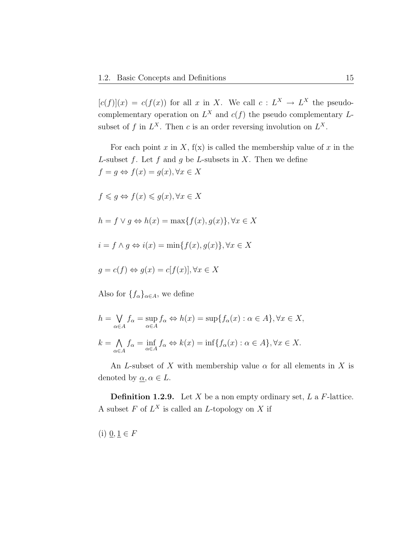$[c(f)](x) = c(f(x))$  for all x in X. We call  $c: L^X \to L^X$  the pseudocomplementary operation on  $L^X$  and  $c(f)$  the pseudo complementary  $L$ subset of f in  $L^X$ . Then c is an order reversing involution on  $L^X$ .

For each point x in X,  $f(x)$  is called the membership value of x in the L-subset f. Let f and g be L-subsets in X. Then we define  $f = g \Leftrightarrow f(x) = g(x), \forall x \in X$ 

 $f \leqslant q \Leftrightarrow f(x) \leqslant q(x), \forall x \in X$  $h = f \vee g \Leftrightarrow h(x) = \max\{f(x), g(x)\}, \forall x \in X$  $i = f \wedge q \Leftrightarrow i(x) = \min\{f(x), g(x)\}, \forall x \in X$  $g = c(f) \Leftrightarrow g(x) = c[f(x)], \forall x \in X$ 

Also for  ${f_{\alpha}}_{\alpha\in A}$ , we define

$$
h = \bigvee_{\alpha \in A} f_{\alpha} = \sup_{\alpha \in A} f_{\alpha} \Leftrightarrow h(x) = \sup \{ f_{\alpha}(x) : \alpha \in A \}, \forall x \in X,
$$
  

$$
k = \bigwedge_{\alpha \in A} f_{\alpha} = \inf_{\alpha \in A} f_{\alpha} \Leftrightarrow k(x) = \inf \{ f_{\alpha}(x) : \alpha \in A \}, \forall x \in X.
$$

An L-subset of X with membership value  $\alpha$  for all elements in X is denoted by  $\underline{\alpha}, \alpha \in L$ .

**Definition 1.2.9.** Let X be a non empty ordinary set,  $L$  a  $F$ -lattice. A subset  $F$  of  $L^X$  is called an  $L$ -topology on  $X$  if

(i)  $\underline{0}, \underline{1} \in F$ 

 $\alpha{\in}A$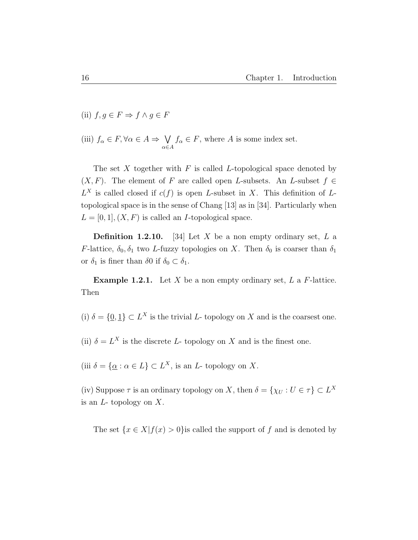- (ii)  $f, g \in F \Rightarrow f \wedge g \in F$
- (iii)  $f_{\alpha} \in F, \forall \alpha \in A \Rightarrow \bigvee$  $\alpha \in A$  $f_{\alpha} \in F$ , where A is some index set.

The set  $X$  together with  $F$  is called  $L$ -topological space denoted by  $(X, F)$ . The element of F are called open L-subsets. An L-subset  $f \in$  $L^X$  is called closed if  $c(f)$  is open L-subset in X. This definition of Ltopological space is in the sense of Chang [13] as in [34]. Particularly when  $L = [0, 1], (X, F)$  is called an *I*-topological space.

**Definition 1.2.10.** [34] Let X be a non empty ordinary set, L a F-lattice,  $\delta_0, \delta_1$  two L-fuzzy topologies on X. Then  $\delta_0$  is coarser than  $\delta_1$ or  $\delta_1$  is finer than  $\delta_0$  if  $\delta_0 \subset \delta_1$ .

**Example 1.2.1.** Let X be a non empty ordinary set, L a F-lattice. Then

(i)  $\delta = \{0, 1\} \subset L^X$  is the trivial L- topology on X and is the coarsest one.

(ii)  $\delta = L^X$  is the discrete L- topology on X and is the finest one.

(iii  $\delta = {\alpha : \alpha \in L} \subset L^X$ , is an L- topology on X.

(iv) Suppose  $\tau$  is an ordinary topology on X, then  $\delta = {\chi_U : U \in \tau} \subset L^X$ is an  $L$ - topology on  $X$ .

The set  $\{x \in X | f(x) > 0\}$ is called the support of f and is denoted by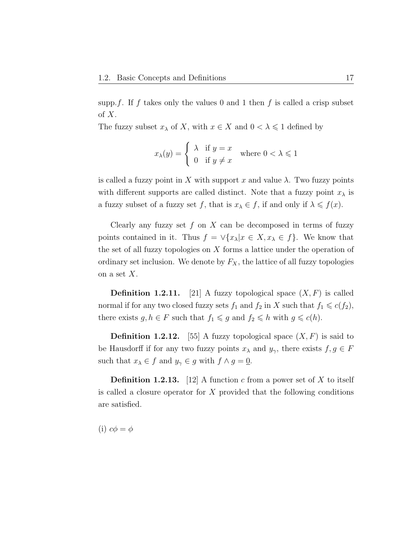supp.f. If f takes only the values 0 and 1 then f is called a crisp subset of  $X$ .

The fuzzy subset  $x_{\lambda}$  of X, with  $x \in X$  and  $0 < \lambda \leq 1$  defined by

$$
x_{\lambda}(y) = \begin{cases} \lambda & \text{if } y = x \\ 0 & \text{if } y \neq x \end{cases} \text{ where } 0 < \lambda \leq 1
$$

is called a fuzzy point in X with support x and value  $\lambda$ . Two fuzzy points with different supports are called distinct. Note that a fuzzy point  $x_{\lambda}$  is a fuzzy subset of a fuzzy set f, that is  $x_{\lambda} \in f$ , if and only if  $\lambda \leq f(x)$ .

Clearly any fuzzy set  $f$  on  $X$  can be decomposed in terms of fuzzy points contained in it. Thus  $f = \sqrt{x_\lambda} |x \in X, x_\lambda \in f$ . We know that the set of all fuzzy topologies on  $X$  forms a lattice under the operation of ordinary set inclusion. We denote by  $F_X$ , the lattice of all fuzzy topologies on a set  $X$ .

**Definition 1.2.11.** [21] A fuzzy topological space  $(X, F)$  is called normal if for any two closed fuzzy sets  $f_1$  and  $f_2$  in X such that  $f_1 \leq c(f_2)$ , there exists  $g, h \in F$  such that  $f_1 \leq g$  and  $f_2 \leq h$  with  $g \leq c(h)$ .

**Definition 1.2.12.** [55] A fuzzy topological space  $(X, F)$  is said to be Hausdorff if for any two fuzzy points  $x_{\lambda}$  and  $y_{\gamma}$ , there exists  $f, g \in F$ such that  $x_{\lambda} \in f$  and  $y_{\gamma} \in g$  with  $f \wedge g = 0$ .

**Definition 1.2.13.** [12] A function c from a power set of X to itself is called a closure operator for X provided that the following conditions are satisfied.

(i)  $c\phi = \phi$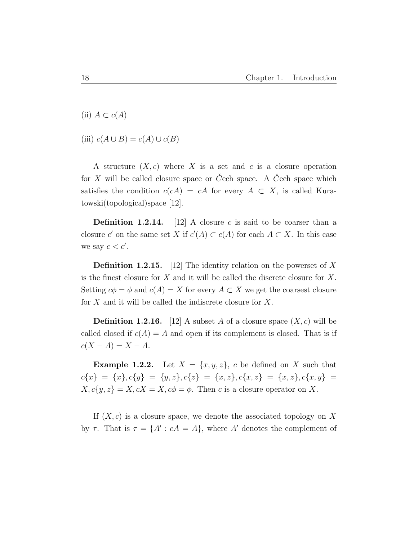(ii)  $A \subset c(A)$ 

(iii)  $c(A \cup B) = c(A) \cup c(B)$ 

A structure  $(X, c)$  where X is a set and c is a closure operation for  $X$  will be called closure space or  $C$ ech space. A  $C$ ech space which satisfies the condition  $c(cA) = cA$  for every  $A \subset X$ , is called Kuratowski(topological)space [12].

**Definition 1.2.14.** [12] A closure c is said to be coarser than a closure c' on the same set X if  $c'(A) \subset c(A)$  for each  $A \subset X$ . In this case we say  $c < c'$ .

**Definition 1.2.15.** [12] The identity relation on the powerset of X is the finest closure for X and it will be called the discrete closure for X. Setting  $c\phi = \phi$  and  $c(A) = X$  for every  $A \subset X$  we get the coarsest closure for X and it will be called the indiscrete closure for X.

**Definition 1.2.16.** [12] A subset A of a closure space  $(X, c)$  will be called closed if  $c(A) = A$  and open if its complement is closed. That is if  $c(X - A) = X - A$ .

**Example 1.2.2.** Let  $X = \{x, y, z\}$ , c be defined on X such that  $c\{x\} \ = \ \{x\}, c\{y\} \ = \ \{y,z\}, c\{z\} \ = \ \{x,z\}, c\{x,z\} \ = \ \{x,z\}, c\{x,y\} \ =$  $X, c\{y, z\} = X, cX = X, c\phi = \phi$ . Then c is a closure operator on X.

If  $(X, c)$  is a closure space, we denote the associated topology on X by  $\tau$ . That is  $\tau = \{A' : cA = A\}$ , where A' denotes the complement of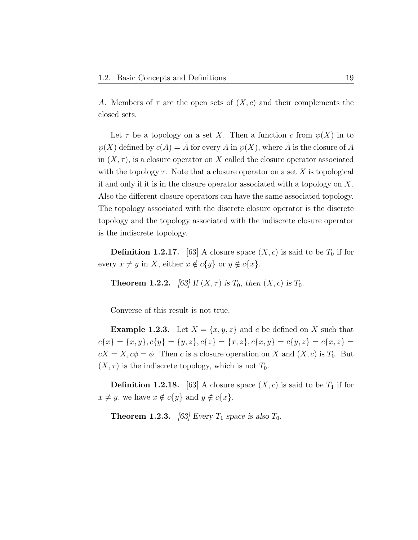A. Members of  $\tau$  are the open sets of  $(X, c)$  and their complements the closed sets.

Let  $\tau$  be a topology on a set X. Then a function c from  $\varphi(X)$  in to  $\wp(X)$  defined by  $c(A) = \overline{A}$  for every A in  $\wp(X)$ , where  $\overline{A}$  is the closure of A in  $(X, \tau)$ , is a closure operator on X called the closure operator associated with the topology  $\tau$ . Note that a closure operator on a set X is topological if and only if it is in the closure operator associated with a topology on X. Also the different closure operators can have the same associated topology. The topology associated with the discrete closure operator is the discrete topology and the topology associated with the indiscrete closure operator is the indiscrete topology.

**Definition 1.2.17.** [63] A closure space  $(X, c)$  is said to be  $T_0$  if for every  $x \neq y$  in X, either  $x \notin c\{y\}$  or  $y \notin c\{x\}.$ 

**Theorem 1.2.2.** [63] If  $(X, \tau)$  is  $T_0$ , then  $(X, c)$  is  $T_0$ .

Converse of this result is not true.

**Example 1.2.3.** Let  $X = \{x, y, z\}$  and c be defined on X such that  $c{x} = {x, y}, c{y} = {y, z}, c{z} = {x, z}, c{x, y} = c{y, z} = c{x, z} =$  $cX = X$ ,  $c\phi = \phi$ . Then c is a closure operation on X and  $(X, c)$  is  $T_0$ . But  $(X, \tau)$  is the indiscrete topology, which is not  $T_0$ .

**Definition 1.2.18.** [63] A closure space  $(X, c)$  is said to be  $T_1$  if for  $x \neq y$ , we have  $x \notin c\{y\}$  and  $y \notin c\{x\}.$ 

**Theorem 1.2.3.** [63] Every  $T_1$  space is also  $T_0$ .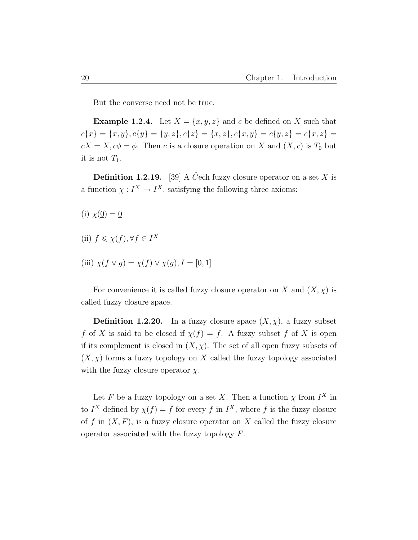But the converse need not be true.

**Example 1.2.4.** Let  $X = \{x, y, z\}$  and c be defined on X such that  $c\{x\} = \{x, y\}, c\{y\} = \{y, z\}, c\{z\} = \{x, z\}, c\{x, y\} = c\{y, z\} = c\{x, z\} = c\{x, z\}$  $cX = X, c\phi = \phi$ . Then c is a closure operation on X and  $(X, c)$  is  $T_0$  but it is not  $T_1$ .

**Definition 1.2.19.** [39] A C<sup> $\check{C}$ ech fuzzy closure operator on a set X is</sup> a function  $\chi: I^X \to I^X$ , satisfying the following three axioms:

- (i)  $\chi(\underline{0}) = \underline{0}$
- (ii)  $f \leq \chi(f), \forall f \in I^X$
- (iii)  $\chi(f \vee g) = \chi(f) \vee \chi(g), I = [0, 1]$

For convenience it is called fuzzy closure operator on X and  $(X, \chi)$  is called fuzzy closure space.

**Definition 1.2.20.** In a fuzzy closure space  $(X, \chi)$ , a fuzzy subset f of X is said to be closed if  $\chi(f) = f$ . A fuzzy subset f of X is open if its complement is closed in  $(X, \chi)$ . The set of all open fuzzy subsets of  $(X, \chi)$  forms a fuzzy topology on X called the fuzzy topology associated with the fuzzy closure operator  $\chi$ .

Let F be a fuzzy topology on a set X. Then a function  $\chi$  from  $I^X$  in to  $I^X$  defined by  $\chi(f) = \bar{f}$  for every f in  $I^X$ , where  $\bar{f}$  is the fuzzy closure of f in  $(X, F)$ , is a fuzzy closure operator on X called the fuzzy closure operator associated with the fuzzy topology  $F$ .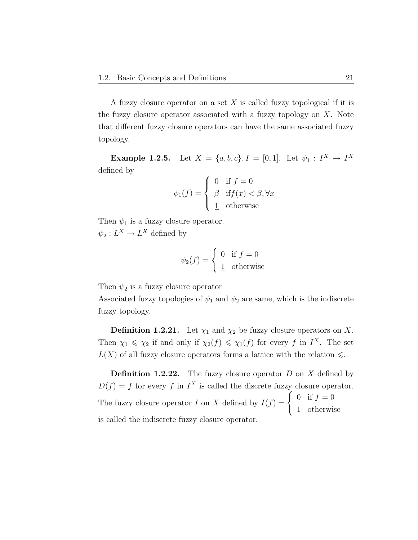A fuzzy closure operator on a set  $X$  is called fuzzy topological if it is the fuzzy closure operator associated with a fuzzy topology on  $X$ . Note that different fuzzy closure operators can have the same associated fuzzy topology.

**Example 1.2.5.** Let  $X = \{a, b, c\}$ ,  $I = [0, 1]$ . Let  $\psi_1 : I^X \to I^X$ defined by

$$
\psi_1(f) = \begin{cases} \n\underline{0} & \text{if } f = 0 \\ \n\underline{\beta} & \text{if } f(x) < \beta, \forall x \\ \n\underline{1} & \text{otherwise} \n\end{cases}
$$

Then  $\psi_1$  is a fuzzy closure operator.  $\psi_2: L^X \to L^X$  defined by

$$
\psi_2(f) = \begin{cases} 0 & \text{if } f = 0 \\ 1 & \text{otherwise} \end{cases}
$$

Then  $\psi_2$  is a fuzzy closure operator

Associated fuzzy topologies of  $\psi_1$  and  $\psi_2$  are same, which is the indiscrete fuzzy topology.

**Definition 1.2.21.** Let  $\chi_1$  and  $\chi_2$  be fuzzy closure operators on X. Then  $\chi_1 \leq \chi_2$  if and only if  $\chi_2(f) \leq \chi_1(f)$  for every f in  $I^X$ . The set  $L(X)$  of all fuzzy closure operators forms a lattice with the relation  $\leq$ .

**Definition 1.2.22.** The fuzzy closure operator  $D$  on  $X$  defined by  $D(f) = f$  for every f in I<sup>X</sup> is called the discrete fuzzy closure operator. The fuzzy closure operator I on X defined by  $I(f) = \begin{cases} 0 & \text{if } f = 0 \\ 0 & \text{if } f = 0 \end{cases}$ 1 otherwise is called the indiscrete fuzzy closure operator.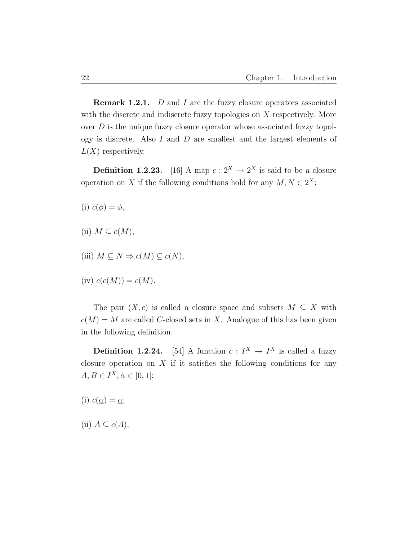**Remark 1.2.1.** D and I are the fuzzy closure operators associated with the discrete and indiscrete fuzzy topologies on X respectively. More over  $D$  is the unique fuzzy closure operator whose associated fuzzy topology is discrete. Also I and D are smallest and the largest elements of  $L(X)$  respectively.

**Definition 1.2.23.** [16] A map  $c: 2^X \to 2^X$  is said to be a closure operation on X if the following conditions hold for any  $M, N \in 2^X$ ;

(i)  $c(\phi) = \phi$ ,

- (ii)  $M \subseteq c(M)$ ,
- (iii)  $M \subseteq N \Rightarrow c(M) \subseteq c(N)$ ,

(iv) 
$$
c(c(M)) = c(M)
$$
.

The pair  $(X, c)$  is called a closure space and subsets  $M \subseteq X$  with  $c(M) = M$  are called C-closed sets in X. Analogue of this has been given in the following definition.

**Definition 1.2.24.** [54] A function  $c: I^X \to I^X$  is called a fuzzy closure operation on  $X$  if it satisfies the following conditions for any  $A, B \in I^X, \alpha \in [0, 1]$ :

(i)  $c(\underline{\alpha}) = \underline{\alpha}$ ,

(ii)  $A \subseteq c(A)$ ,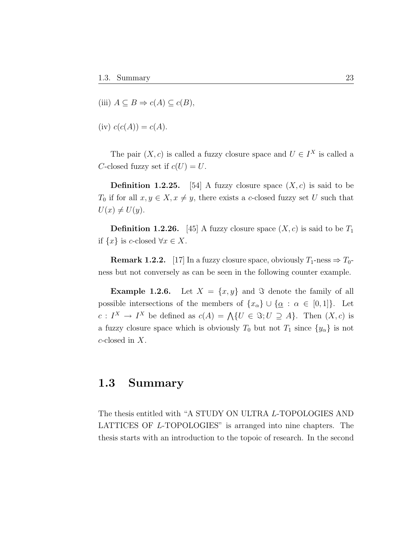(iii) 
$$
A \subseteq B \Rightarrow c(A) \subseteq c(B)
$$
,

(iv) 
$$
c(c(A)) = c(A)
$$
.

The pair  $(X, c)$  is called a fuzzy closure space and  $U \in I^X$  is called a C-closed fuzzy set if  $c(U) = U$ .

**Definition 1.2.25.** [54] A fuzzy closure space  $(X, c)$  is said to be  $T_0$  if for all  $x, y \in X, x \neq y$ , there exists a c-closed fuzzy set U such that  $U(x) \neq U(y).$ 

**Definition 1.2.26.** [45] A fuzzy closure space  $(X, c)$  is said to be  $T_1$ if  $\{x\}$  is c-closed  $\forall x \in X$ .

**Remark 1.2.2.** [17] In a fuzzy closure space, obviously  $T_1$ -ness  $\Rightarrow$   $T_0$ ness but not conversely as can be seen in the following counter example.

**Example 1.2.6.** Let  $X = \{x, y\}$  and  $\Im$  denote the family of all possible intersections of the members of  $\{x_{\alpha}\}\cup\{\underline{\alpha}:\alpha\in[0,1]\}.$  Let  $c: I^X \to I^X$  be defined as  $c(A) = \bigwedge \{U \in \Im; U \supseteq A\}$ . Then  $(X, c)$  is a fuzzy closure space which is obviously  $T_0$  but not  $T_1$  since  $\{y_\alpha\}$  is not c-closed in X.

### 1.3 Summary

The thesis entitled with "A STUDY ON ULTRA L-TOPOLOGIES AND LATTICES OF L-TOPOLOGIES" is arranged into nine chapters. The thesis starts with an introduction to the topoic of research. In the second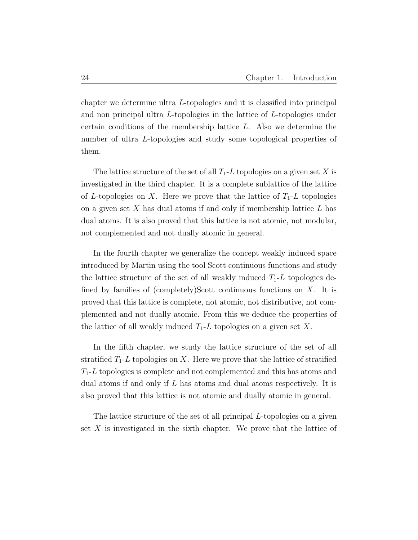chapter we determine ultra L-topologies and it is classified into principal and non principal ultra L-topologies in the lattice of L-topologies under certain conditions of the membership lattice L. Also we determine the number of ultra L-topologies and study some topological properties of them.

The lattice structure of the set of all  $T_1$ -L topologies on a given set X is investigated in the third chapter. It is a complete sublattice of the lattice of L-topologies on X. Here we prove that the lattice of  $T_1$ -L topologies on a given set  $X$  has dual atoms if and only if membership lattice  $L$  has dual atoms. It is also proved that this lattice is not atomic, not modular, not complemented and not dually atomic in general.

In the fourth chapter we generalize the concept weakly induced space introduced by Martin using the tool Scott continuous functions and study the lattice structure of the set of all weakly induced  $T_1$ -L topologies defined by families of (completely)Scott continuous functions on  $X$ . It is proved that this lattice is complete, not atomic, not distributive, not complemented and not dually atomic. From this we deduce the properties of the lattice of all weakly induced  $T_1$ -L topologies on a given set X.

In the fifth chapter, we study the lattice structure of the set of all stratified  $T_1$ -L topologies on X. Here we prove that the lattice of stratified  $T_1$ -L topologies is complete and not complemented and this has atoms and dual atoms if and only if L has atoms and dual atoms respectively. It is also proved that this lattice is not atomic and dually atomic in general.

The lattice structure of the set of all principal L-topologies on a given set  $X$  is investigated in the sixth chapter. We prove that the lattice of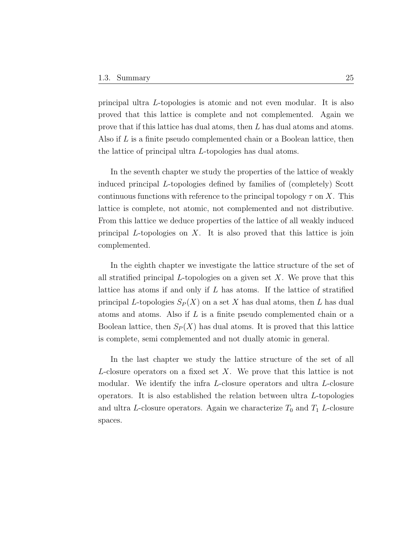principal ultra L-topologies is atomic and not even modular. It is also proved that this lattice is complete and not complemented. Again we prove that if this lattice has dual atoms, then L has dual atoms and atoms. Also if L is a finite pseudo complemented chain or a Boolean lattice, then the lattice of principal ultra L-topologies has dual atoms.

In the seventh chapter we study the properties of the lattice of weakly induced principal L-topologies defined by families of (completely) Scott continuous functions with reference to the principal topology  $\tau$  on X. This lattice is complete, not atomic, not complemented and not distributive. From this lattice we deduce properties of the lattice of all weakly induced principal L-topologies on  $X$ . It is also proved that this lattice is join complemented.

In the eighth chapter we investigate the lattice structure of the set of all stratified principal  $L$ -topologies on a given set  $X$ . We prove that this lattice has atoms if and only if L has atoms. If the lattice of stratified principal L-topologies  $S_P(X)$  on a set X has dual atoms, then L has dual atoms and atoms. Also if L is a finite pseudo complemented chain or a Boolean lattice, then  $S_P(X)$  has dual atoms. It is proved that this lattice is complete, semi complemented and not dually atomic in general.

In the last chapter we study the lattice structure of the set of all L-closure operators on a fixed set X. We prove that this lattice is not modular. We identify the infra L-closure operators and ultra L-closure operators. It is also established the relation between ultra L-topologies and ultra L-closure operators. Again we characterize  $T_0$  and  $T_1$  L-closure spaces.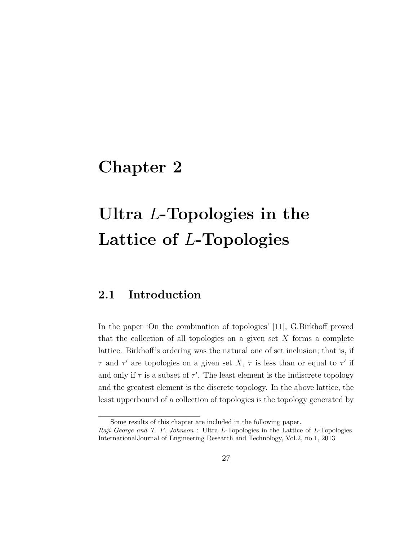## Chapter 2

# Ultra L-Topologies in the Lattice of L-Topologies

## 2.1 Introduction

In the paper 'On the combination of topologies' [11], G.Birkhoff proved that the collection of all topologies on a given set  $X$  forms a complete lattice. Birkhoff's ordering was the natural one of set inclusion; that is, if  $\tau$  and  $\tau'$  are topologies on a given set X,  $\tau$  is less than or equal to  $\tau'$  if and only if  $\tau$  is a subset of  $\tau'$ . The least element is the indiscrete topology and the greatest element is the discrete topology. In the above lattice, the least upperbound of a collection of topologies is the topology generated by

Some results of this chapter are included in the following paper. Raji George and T. P. Johnson : Ultra L-Topologies in the Lattice of L-Topologies.

InternationalJournal of Engineering Research and Technology, Vol.2, no.1, 2013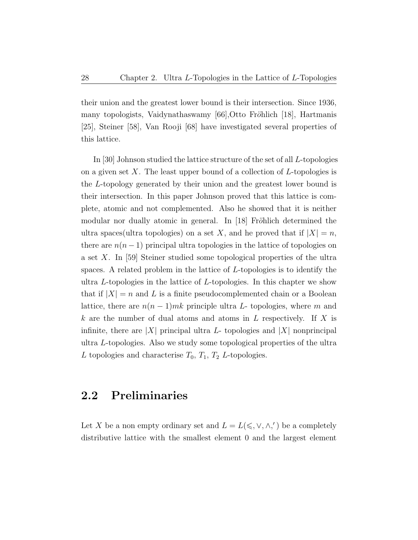their union and the greatest lower bound is their intersection. Since 1936, many topologists, Vaidynathaswamy [66],Otto Fröhlich [18], Hartmanis [25], Steiner [58], Van Rooji [68] have investigated several properties of this lattice.

In [30] Johnson studied the lattice structure of the set of all L-topologies on a given set  $X$ . The least upper bound of a collection of  $L$ -topologies is the L-topology generated by their union and the greatest lower bound is their intersection. In this paper Johnson proved that this lattice is complete, atomic and not complemented. Also he showed that it is neither modular nor dually atomic in general. In [18] Fröhlich determined the ultra spaces (ultra topologies) on a set X, and he proved that if  $|X| = n$ , there are  $n(n-1)$  principal ultra topologies in the lattice of topologies on a set X. In [59] Steiner studied some topological properties of the ultra spaces. A related problem in the lattice of L-topologies is to identify the ultra L-topologies in the lattice of L-topologies. In this chapter we show that if  $|X| = n$  and L is a finite pseudocomplemented chain or a Boolean lattice, there are  $n(n-1)mk$  principle ultra L- topologies, where m and k are the number of dual atoms and atoms in  $L$  respectively. If  $X$  is infinite, there are |X| principal ultra L- topologies and  $|X|$  nonprincipal ultra L-topologies. Also we study some topological properties of the ultra L topologies and characterise  $T_0$ ,  $T_1$ ,  $T_2$  L-topologies.

## 2.2 Preliminaries

Let X be a non empty ordinary set and  $L = L(\leq, \vee, \wedge,')$  be a completely distributive lattice with the smallest element 0 and the largest element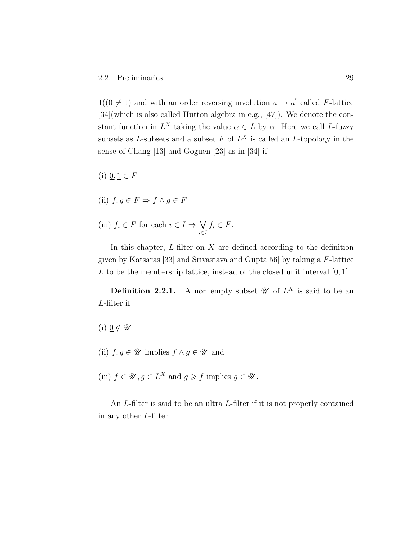$1((0 \neq 1)$  and with an order reversing involution  $a \rightarrow a'$  called F-lattice [34](which is also called Hutton algebra in e.g., [47]). We denote the constant function in  $L^X$  taking the value  $\alpha \in L$  by  $\underline{\alpha}$ . Here we call L-fuzzy subsets as L-subsets and a subset F of  $L^X$  is called an L-topology in the sense of Chang [13] and Goguen [23] as in [34] if

 $(i)$   $\underline{0}, \underline{1} \in F$ 

(ii) 
$$
f, g \in F \Rightarrow f \land g \in F
$$

(iii)  $f_i \in F$  for each  $i \in I \Rightarrow \bigvee$ i∈I  $f_i \in F$ .

In this chapter,  $L$ -filter on  $X$  are defined according to the definition given by Katsaras [33] and Srivastava and Gupta[56] by taking a F-lattice  $L$  to be the membership lattice, instead of the closed unit interval  $[0, 1]$ .

**Definition 2.2.1.** A non empty subset  $\mathscr U$  of  $L^X$  is said to be an L-filter if

(i)  $\underline{0} \notin \mathscr{U}$ 

- (ii)  $f, g \in \mathscr{U}$  implies  $f \wedge g \in \mathscr{U}$  and
- (iii)  $f \in \mathscr{U}, g \in L^X$  and  $g \geq f$  implies  $g \in \mathscr{U}$ .

An L-filter is said to be an ultra L-filter if it is not properly contained in any other L-filter.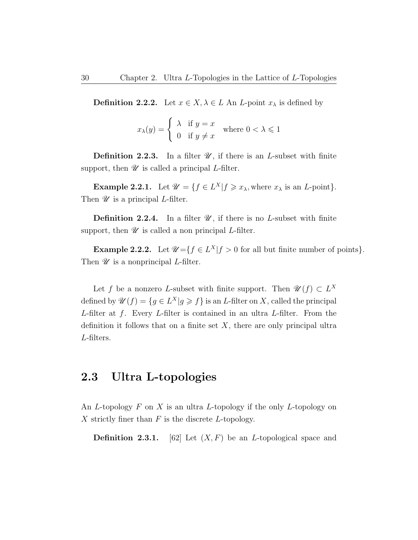**Definition 2.2.2.** Let  $x \in X, \lambda \in L$  An *L*-point  $x_{\lambda}$  is defined by

$$
x_{\lambda}(y) = \begin{cases} \lambda & \text{if } y = x \\ 0 & \text{if } y \neq x \end{cases} \text{ where } 0 < \lambda \leq 1
$$

**Definition 2.2.3.** In a filter  $\mathscr{U}$ , if there is an *L*-subset with finite support, then  $\mathscr U$  is called a principal *L*-filter.

**Example 2.2.1.** Let  $\mathcal{U} = \{f \in L^X | f \geq x_\lambda, \text{where } x_\lambda \text{ is an } L\text{-point}\}.$ Then  $\mathscr U$  is a principal *L*-filter.

**Definition 2.2.4.** In a filter  $\mathscr{U}$ , if there is no *L*-subset with finite support, then  $\mathscr U$  is called a non principal *L*-filter.

**Example 2.2.2.** Let  $\mathcal{U} = \{f \in L^X | f > 0 \text{ for all but finite number of points}\}.$ Then  $\mathscr U$  is a nonprincipal *L*-filter.

Let f be a nonzero L-subset with finite support. Then  $\mathscr{U}(f) \subset L^X$ defined by  $\mathscr{U}(f) = \{g \in L^X | g \geqslant f\}$  is an L-filter on X, called the principal L-filter at  $f$ . Every L-filter is contained in an ultra L-filter. From the definition it follows that on a finite set  $X$ , there are only principal ultra L-filters.

#### 2.3 Ultra L-topologies

An L-topology  $F$  on  $X$  is an ultra L-topology if the only L-topology on X strictly finer than  $F$  is the discrete L-topology.

**Definition 2.3.1.** [62] Let  $(X, F)$  be an *L*-topological space and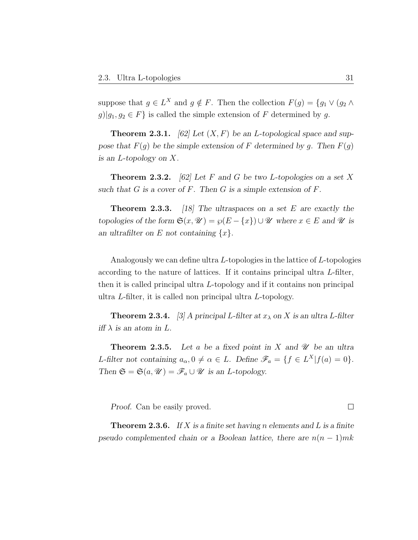suppose that  $g \in L^X$  and  $g \notin F$ . Then the collection  $F(g) = \{g_1 \vee (g_2 \wedge g_1) \in L^X\}$  $g||g_1, g_2 \in F$  is called the simple extension of F determined by g.

**Theorem 2.3.1.** [62] Let  $(X, F)$  be an L-topological space and suppose that  $F(g)$  be the simple extension of F determined by g. Then  $F(g)$ is an L-topology on X.

**Theorem 2.3.2.** [62] Let F and G be two L-topologies on a set X such that  $G$  is a cover of  $F$ . Then  $G$  is a simple extension of  $F$ .

**Theorem 2.3.3.** [18] The ultraspaces on a set E are exactly the topologies of the form  $\mathfrak{S}(x, \mathcal{U}) = \wp(E - \{x\}) \cup \mathcal{U}$  where  $x \in E$  and  $\mathcal{U}$  is an ultrafilter on E not containing  $\{x\}$ .

Analogously we can define ultra L-topologies in the lattice of L-topologies according to the nature of lattices. If it contains principal ultra L-filter, then it is called principal ultra L-topology and if it contains non principal ultra L-filter, it is called non principal ultra L-topology.

**Theorem 2.3.4.** [3] A principal L-filter at  $x_{\lambda}$  on X is an ultra L-filter iff  $\lambda$  is an atom in L.

**Theorem 2.3.5.** Let a be a fixed point in X and  $\mathcal{U}$  be an ultra L-filter not containing  $a_{\alpha}, 0 \neq \alpha \in L$ . Define  $\mathscr{F}_a = \{f \in L^X | f(a) = 0\}.$ Then  $\mathfrak{S} = \mathfrak{S}(a, \mathcal{U}) = \mathscr{F}_a \cup \mathcal{U}$  is an *L*-topology.

Proof. Can be easily proved.

**Theorem 2.3.6.** If X is a finite set having n elements and L is a finite pseudo complemented chain or a Boolean lattice, there are  $n(n-1)mk$ 

 $\Box$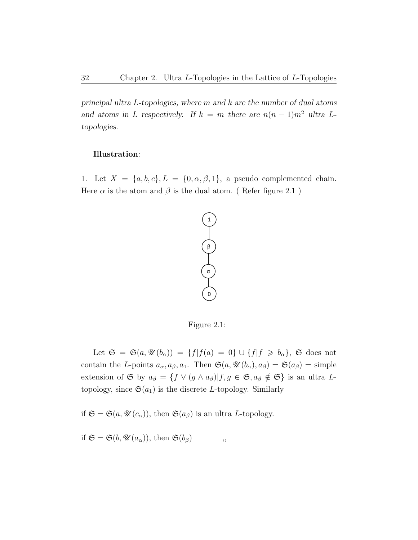principal ultra L-topologies, where m and k are the number of dual atoms and atoms in L respectively. If  $k = m$  there are  $n(n - 1)m^2$  ultra Ltopologies.

#### Illustration:

1. Let  $X = \{a, b, c\}, L = \{0, \alpha, \beta, 1\},\$ a pseudo complemented chain. Here  $\alpha$  is the atom and  $\beta$  is the dual atom. (Refer figure 2.1)



Figure 2.1:

Let  $\mathfrak{S} = \mathfrak{S}(a, \mathcal{U}(b_{\alpha})) = \{f | f(a) = 0\} \cup \{f | f \geq b_{\alpha}\}, \mathfrak{S}$  does not contain the L-points  $a_{\alpha}, a_{\beta}, a_1$ . Then  $\mathfrak{S}(a, \mathcal{U}(b_{\alpha}), a_{\beta}) = \mathfrak{S}(a_{\beta}) = \text{simple}$ extension of G by  $a_{\beta} = \{f \vee (g \wedge a_{\beta}) | f, g \in \mathfrak{S}, a_{\beta} \notin \mathfrak{S} \}$  is an ultra Ltopology, since  $\mathfrak{S}(a_1)$  is the discrete L-topology. Similarly

if  $\mathfrak{S} = \mathfrak{S}(a, \mathcal{U}(c_{\alpha}))$ , then  $\mathfrak{S}(a_{\beta})$  is an ultra *L*-topology.

if  $\mathfrak{S} = \mathfrak{S}(b, \mathcal{U}(a_{\alpha}))$ , then  $\mathfrak{S}(b_{\beta})$ ,,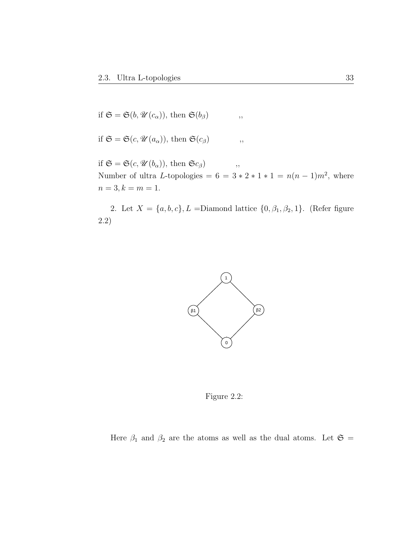if 
$$
\mathfrak{S} = \mathfrak{S}(b, \mathcal{U}(c_{\alpha}))
$$
, then  $\mathfrak{S}(b_{\beta})$ ,

if 
$$
\mathfrak{S} = \mathfrak{S}(c, \mathcal{U}(a_{\alpha}))
$$
, then  $\mathfrak{S}(c_{\beta})$ ,

if  $\mathfrak{S} = \mathfrak{S}(c, \mathscr{U}(b_{\alpha}))$ , then  $\mathfrak{S}c_{\beta}$ , , Number of ultra L-topologies =  $6 = 3 * 2 * 1 * 1 = n(n - 1)m^2$ , where  $n=3, k=m=1.$ 

2. Let  $X = \{a, b, c\}$ , L = Diamond lattice  $\{0, \beta_1, \beta_2, 1\}$ . (Refer figure 2.2)



Figure 2.2:

Here  $\beta_1$  and  $\beta_2$  are the atoms as well as the dual atoms. Let  $\mathfrak{S} =$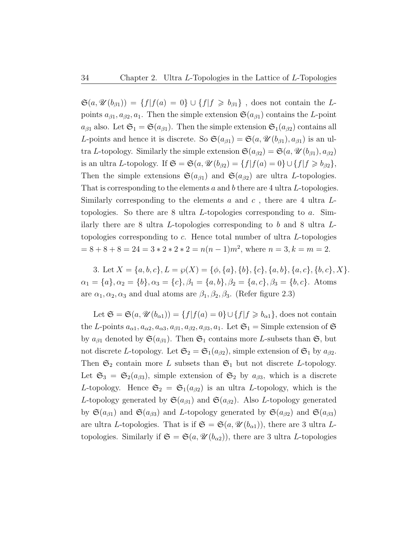$\mathfrak{S}(a, \mathcal{U}(b_{\beta1})) = \{f | f(a) = 0\} \cup \{f | f \ge b_{\beta1}\}\$ , does not contain the Lpoints  $a_{\beta 1}, a_{\beta 2}, a_1$ . Then the simple extension  $\mathfrak{S}(a_{\beta 1})$  contains the L-point  $a_{\beta1}$  also. Let  $\mathfrak{S}_1 = \mathfrak{S}(a_{\beta1})$ . Then the simple extension  $\mathfrak{S}_1(a_{\beta2})$  contains all L-points and hence it is discrete. So  $\mathfrak{S}(a_{\beta 1}) = \mathfrak{S}(a, \mathcal{U}(b_{\beta 1}), a_{\beta 1})$  is an ultra L-topology. Similarly the simple extension  $\mathfrak{S}(a_{\beta 2}) = \mathfrak{S}(a, \mathcal{U}(b_{\beta 1}), a_{\beta 2})$ is an ultra L-topology. If  $\mathfrak{S} = \mathfrak{S}(a, \mathcal{U}(b_{\beta 2}) = \{f | f(a) = 0\} \cup \{f | f \geq b_{\beta 2}\},\$ Then the simple extensions  $\mathfrak{S}(a_{\beta 1})$  and  $\mathfrak{S}(a_{\beta 2})$  are ultra L-topologies. That is corresponding to the elements a and b there are 4 ultra L-topologies. Similarly corresponding to the elements  $a$  and  $c$ , there are 4 ultra  $L$ topologies. So there are 8 ultra L-topologies corresponding to  $a$ . Similarly there are 8 ultra L-topologies corresponding to b and 8 ultra Ltopologies corresponding to c. Hence total number of ultra L-topologies  $= 8 + 8 + 8 = 24 = 3 * 2 * 2 = n(n-1)m^2$ , where  $n = 3, k = m = 2$ .

3. Let  $X = \{a, b, c\}, L = \wp(X) = \{\phi, \{a\}, \{b\}, \{c\}, \{a, b\}, \{a, c\}, \{b, c\}, X\}.$  $\alpha_1 = \{a\}, \alpha_2 = \{b\}, \alpha_3 = \{c\}, \beta_1 = \{a, b\}, \beta_2 = \{a, c\}, \beta_3 = \{b, c\}.$  Atoms are  $\alpha_1, \alpha_2, \alpha_3$  and dual atoms are  $\beta_1, \beta_2, \beta_3$ . (Refer figure 2.3)

Let  $\mathfrak{S} = \mathfrak{S}(a, \mathcal{U}(b_{\alpha 1})) = \{f | f(a) = 0\} \cup \{f | f \geq b_{\alpha 1}\}\,$ , does not contain the L-points  $a_{\alpha 1}, a_{\alpha 2}, a_{\alpha 3}, a_{\beta 1}, a_{\beta 2}, a_{\beta 3}, a_1$ . Let  $\mathfrak{S}_1 =$  Simple extension of  $\mathfrak{S}$ by  $a_{\beta 1}$  denoted by  $\mathfrak{S}(a_{\beta 1})$ . Then  $\mathfrak{S}_1$  contains more L-subsets than  $\mathfrak{S}$ , but not discrete L-topology. Let  $\mathfrak{S}_2 = \mathfrak{S}_1(a_{\beta 2})$ , simple extension of  $\mathfrak{S}_1$  by  $a_{\beta 2}$ . Then  $\mathfrak{S}_2$  contain more L subsets than  $\mathfrak{S}_1$  but not discrete L-topology. Let  $\mathfrak{S}_3 = \mathfrak{S}_2(a_{\beta 3})$ , simple extension of  $\mathfrak{S}_2$  by  $a_{\beta 3}$ , which is a discrete L-topology. Hence  $\mathfrak{S}_2 = \mathfrak{S}_1(a_{\beta 2})$  is an ultra L-topology, which is the L-topology generated by  $\mathfrak{S}(a_{\beta 1})$  and  $\mathfrak{S}(a_{\beta 2})$ . Also L-topology generated by  $\mathfrak{S}(a_{\beta1})$  and  $\mathfrak{S}(a_{\beta3})$  and L-topology generated by  $\mathfrak{S}(a_{\beta2})$  and  $\mathfrak{S}(a_{\beta3})$ are ultra L-topologies. That is if  $\mathfrak{S} = \mathfrak{S}(a, \mathcal{U}(b_{\alpha 1}))$ , there are 3 ultra Ltopologies. Similarly if  $\mathfrak{S} = \mathfrak{S}(a, \mathcal{U}(b_{\alpha 2}))$ , there are 3 ultra *L*-topologies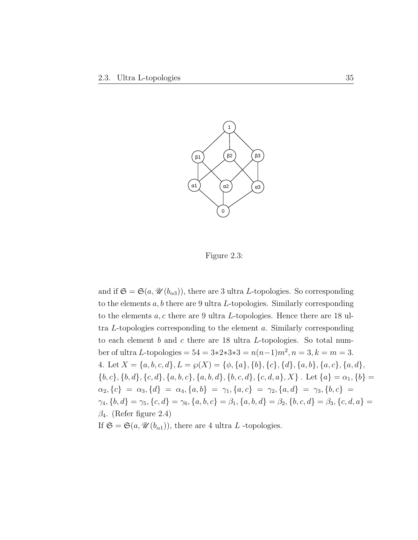

Figure 2.3:

and if  $\mathfrak{S} = \mathfrak{S}(a, \mathcal{U}(b_{\alpha 3}))$ , there are 3 ultra L-topologies. So corresponding to the elements  $a, b$  there are 9 ultra L-topologies. Similarly corresponding to the elements  $a, c$  there are 9 ultra *L*-topologies. Hence there are 18 ultra L-topologies corresponding to the element a. Similarly corresponding to each element  $b$  and  $c$  there are 18 ultra  $L$ -topologies. So total number of ultra L-topologies =  $54 = 3*2*3*3 = n(n-1)m^2, n = 3, k = m = 3.$ 4. Let  $X = \{a, b, c, d\}, L = \wp(X) = \{\phi, \{a\}, \{b\}, \{c\}, \{d\}, \{a, b\}, \{a, c\}, \{a, d\},\$  $\{b, c\}, \{b, d\}, \{c, d\}, \{a, b, c\}, \{a, b, d\}, \{b, c, d\}, \{c, d, a\}, X\}$ . Let  $\{a\} = \alpha_1, \{b\}$  $\alpha_2, \{c\} = \alpha_3, \{d\} = \alpha_4, \{a, b\} = \gamma_1, \{a, c\} = \gamma_2, \{a, d\} = \gamma_3, \{b, c\} =$  $\gamma_4, \{b, d\} = \gamma_5, \{c, d\} = \gamma_6, \{a, b, c\} = \beta_1, \{a, b, d\} = \beta_2, \{b, c, d\} = \beta_3, \{c, d, a\} = \gamma_4$  $\beta_4$ . (Refer figure 2.4) If  $\mathfrak{S} = \mathfrak{S}(a, \mathcal{U}(b_{\alpha 1}))$ , there are 4 ultra L -topologies.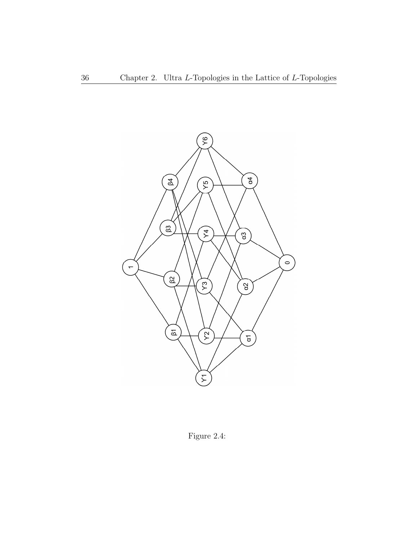

Figure 2.4: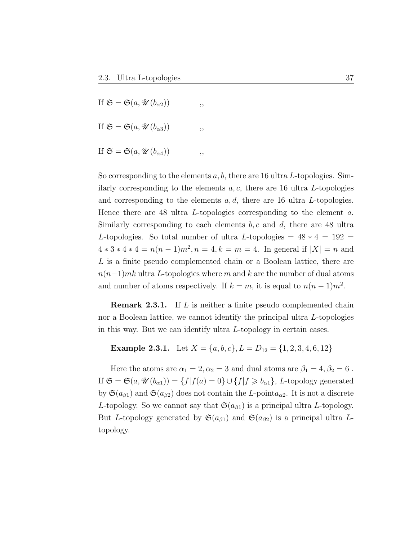If  $\mathfrak{S} = \mathfrak{S}(a, \mathscr{U}(b_{\alpha 2}))$ ,, If  $\mathfrak{S} = \mathfrak{S}(a, \mathcal{U}(b_{\alpha 3}))$ , If  $\mathfrak{S} = \mathfrak{S}(a, \mathscr{U}(b_{\alpha 4}))$ ,

So corresponding to the elements  $a, b$ , there are 16 ultra L-topologies. Similarly corresponding to the elements  $a, c$ , there are 16 ultra L-topologies and corresponding to the elements  $a, d$ , there are 16 ultra L-topologies. Hence there are 48 ultra L-topologies corresponding to the element a. Similarly corresponding to each elements  $b, c$  and  $d$ , there are 48 ultra L-topologies. So total number of ultra L-topologies =  $48 * 4 = 192$  =  $4 * 3 * 4 * 4 = n(n-1)m^2, n = 4, k = m = 4.$  In general if  $|X| = n$  and L is a finite pseudo complemented chain or a Boolean lattice, there are  $n(n-1)$ mk ultra L-topologies where m and k are the number of dual atoms and number of atoms respectively. If  $k = m$ , it is equal to  $n(n-1)m^2$ .

**Remark 2.3.1.** If L is neither a finite pseudo complemented chain nor a Boolean lattice, we cannot identify the principal ultra L-topologies in this way. But we can identify ultra L-topology in certain cases.

## Example 2.3.1. Let  $X = \{a, b, c\}, L = D_{12} = \{1, 2, 3, 4, 6, 12\}$

Here the atoms are  $\alpha_1 = 2, \alpha_2 = 3$  and dual atoms are  $\beta_1 = 4, \beta_2 = 6$ . If  $\mathfrak{S} = \mathfrak{S}(a, \mathcal{U}(b_{\alpha 1})) = \{f | f(a) = 0\} \cup \{f | f \geq b_{\alpha 1}\}, L$ -topology generated by  $\mathfrak{S}(a_{\beta1})$  and  $\mathfrak{S}(a_{\beta2})$  does not contain the L-point $a_{\alpha2}$ . It is not a discrete L-topology. So we cannot say that  $\mathfrak{S}(a_{\beta 1})$  is a principal ultra L-topology. But L-topology generated by  $\mathfrak{S}(a_{\beta 1})$  and  $\mathfrak{S}(a_{\beta 2})$  is a principal ultra Ltopology.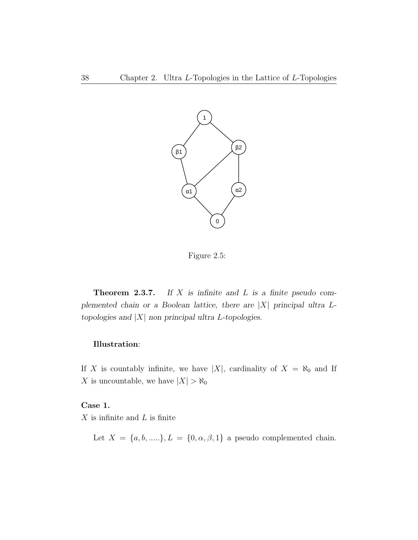

Figure 2.5:

**Theorem 2.3.7.** If  $X$  is infinite and  $L$  is a finite pseudo complemented chain or a Boolean lattice, there are  $|X|$  principal ultra Ltopologies and  $|X|$  non principal ultra L-topologies.

#### Illustration:

If X is countably infinite, we have |X|, cardinality of  $X = \aleph_0$  and If X is uncountable, we have  $|X| > \aleph_0$ 

Case 1.

 $X$  is infinite and  $L$  is finite

Let  $X = \{a, b, \ldots\}, L = \{0, \alpha, \beta, 1\}$  a pseudo complemented chain.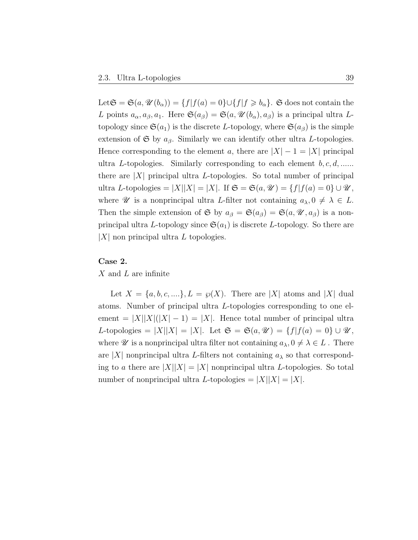Let  $\mathfrak{S} = \mathfrak{S}(a, \mathcal{U}(b_{\alpha})) = \{f | f(a) = 0\} \cup \{f | f \geq b_{\alpha}\}.$  G does not contain the L points  $a_{\alpha}, a_{\beta}, a_1$ . Here  $\mathfrak{S}(a_{\beta}) = \mathfrak{S}(a, \mathscr{U}(b_{\alpha}), a_{\beta})$  is a principal ultra Ltopology since  $\mathfrak{S}(a_1)$  is the discrete L-topology, where  $\mathfrak{S}(a_\beta)$  is the simple extension of  $\mathfrak S$  by  $a_{\beta}$ . Similarly we can identify other ultra L-topologies. Hence corresponding to the element a, there are  $|X| - 1 = |X|$  principal ultra L-topologies. Similarly corresponding to each element  $b, c, d, \ldots$ there are  $|X|$  principal ultra L-topologies. So total number of principal ultra L-topologies =  $|X||X| = |X|$ . If  $\mathfrak{S} = \mathfrak{S}(a, \mathcal{U}) = \{f|f(a) = 0\} \cup \mathcal{U}$ , where  $\mathscr U$  is a nonprincipal ultra L-filter not containing  $a_\lambda, 0 \neq \lambda \in L$ . Then the simple extension of G by  $a_{\beta} = \mathfrak{S}(a_{\beta}) = \mathfrak{S}(a, \mathcal{U}, a_{\beta})$  is a nonprincipal ultra L-topology since  $\mathfrak{S}(a_1)$  is discrete L-topology. So there are  $|X|$  non principal ultra L topologies.

#### Case 2.

X and L are infinite

Let  $X = \{a, b, c, \ldots\}, L = \wp(X)$ . There are |X| atoms and |X| dual atoms. Number of principal ultra L-topologies corresponding to one element =  $|X||X|(|X|-1) = |X|$ . Hence total number of principal ultra L-topologies =  $|X||X| = |X|$ . Let  $\mathfrak{S} = \mathfrak{S}(a, \mathcal{U}) = \{f|f(a) = 0\} \cup \mathcal{U}$ , where  $\mathscr U$  is a nonprincipal ultra filter not containing  $a_\lambda, 0 \neq \lambda \in L$ . There are |X| nonprincipal ultra L-filters not containing  $a_{\lambda}$  so that corresponding to a there are  $|X||X| = |X|$  nonprincipal ultra L-topologies. So total number of nonprincipal ultra L-topologies  $= |X||X| = |X|$ .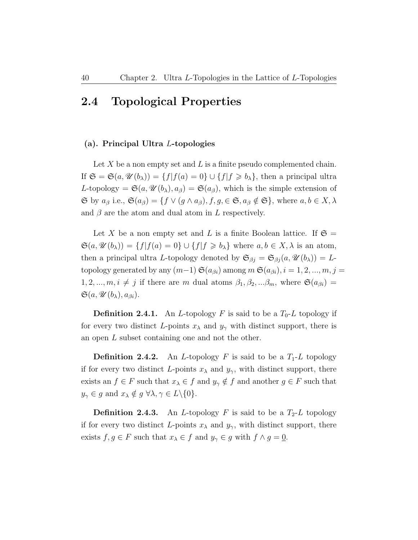### 2.4 Topological Properties

#### (a). Principal Ultra L-topologies

Let X be a non empty set and L is a finite pseudo complemented chain. If  $\mathfrak{S} = \mathfrak{S}(a, \mathcal{U}(b_\lambda)) = \{f | f(a) = 0\} \cup \{f | f \geq b_\lambda\}$ , then a principal ultra L-topology =  $\mathfrak{S}(a, \mathcal{U}(b_{\lambda}), a_{\beta}) = \mathfrak{S}(a_{\beta}),$  which is the simple extension of  $\mathfrak{S}$  by  $a_{\beta}$  i.e.,  $\mathfrak{S}(a_{\beta}) = \{ f \lor (g \land a_{\beta}), f, g \in \mathfrak{S}, a_{\beta} \notin \mathfrak{S} \}$ , where  $a, b \in X, \lambda$ and  $\beta$  are the atom and dual atom in L respectively.

Let X be a non empty set and L is a finite Boolean lattice. If  $\mathfrak{S} =$  $\mathfrak{S}(a, \mathcal{U}(b_{\lambda})) = \{f | f(a) = 0\} \cup \{f | f \geq b_{\lambda}\}\$  where  $a, b \in X, \lambda$  is an atom, then a principal ultra L-topology denoted by  $\mathfrak{S}_{\beta j} = \mathfrak{S}_{\beta j} (a, \mathcal{U}(b_\lambda)) = L$ topology generated by any  $(m-1) \mathfrak{S}(a_{\beta i})$  among  $m \mathfrak{S}(a_{\beta i}), i = 1, 2, ..., m, j = 1$  $1, 2, ..., m, i \neq j$  if there are m dual atoms  $\beta_1, \beta_2, ... \beta_m$ , where  $\mathfrak{S}(a_{\beta i}) =$  $\mathfrak{S}(a, \mathscr{U}(b_{\lambda}), a_{\beta i}).$ 

**Definition 2.4.1.** An *L*-topology *F* is said to be a  $T_0$ -*L* topology if for every two distinct L-points  $x_{\lambda}$  and  $y_{\gamma}$  with distinct support, there is an open L subset containing one and not the other.

**Definition 2.4.2.** An *L*-topology *F* is said to be a  $T_1$ -*L* topology if for every two distinct L-points  $x_{\lambda}$  and  $y_{\gamma}$ , with distinct support, there exists an  $f \in F$  such that  $x_{\lambda} \in f$  and  $y_{\gamma} \notin f$  and another  $g \in F$  such that  $y_{\gamma} \in g$  and  $x_{\lambda} \notin g \ \forall \lambda, \gamma \in L \setminus \{0\}.$ 

**Definition 2.4.3.** An *L*-topology *F* is said to be a  $T_2$ -*L* topology if for every two distinct L-points  $x_{\lambda}$  and  $y_{\gamma}$ , with distinct support, there exists  $f, g \in F$  such that  $x_{\lambda} \in f$  and  $y_{\gamma} \in g$  with  $f \wedge g = 0$ .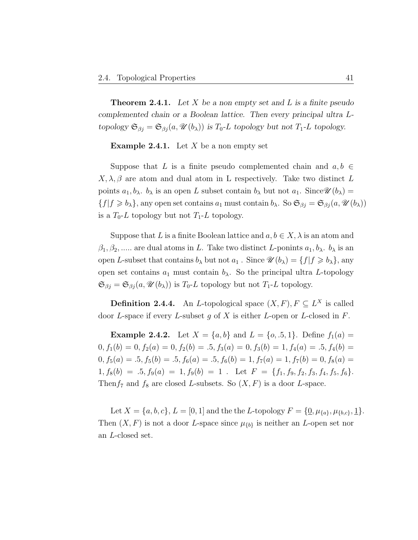**Theorem 2.4.1.** Let X be a non empty set and L is a finite pseudo complemented chain or a Boolean lattice. Then every principal ultra Ltopology  $\mathfrak{S}_{\beta j} = \mathfrak{S}_{\beta j} (a, \mathcal{U}(b_\lambda))$  is  $T_0$ -L topology but not  $T_1$ -L topology.

**Example 2.4.1.** Let  $X$  be a non empty set

Suppose that L is a finite pseudo complemented chain and  $a, b \in$  $X, \lambda, \beta$  are atom and dual atom in L respectively. Take two distinct L points  $a_1, b_\lambda$ .  $b_\lambda$  is an open L subset contain  $b_\lambda$  but not  $a_1$ . Since  $\mathscr{U}(b_\lambda)$  =  $\{f|f \ge b_\lambda\}$ , any open set contains  $a_1$  must contain  $b_\lambda$ . So  $\mathfrak{S}_{\beta j} = \mathfrak{S}_{\beta j}(a, \mathcal{U}(b_\lambda))$ is a  $T_0$ -L topology but not  $T_1$ -L topology.

Suppose that L is a finite Boolean lattice and  $a, b \in X$ ,  $\lambda$  is an atom and  $\beta_1, \beta_2, \ldots$  are dual atoms in L. Take two distinct L-ponints  $a_1, b_\lambda$ .  $b_\lambda$  is an open L-subset that contains  $b_\lambda$  but not  $a_1$ . Since  $\mathscr{U}(b_\lambda) = \{f | f \geq b_\lambda\}$ , any open set contains  $a_1$  must contain  $b_\lambda$ . So the principal ultra L-topology  $\mathfrak{S}_{\beta j} = \mathfrak{S}_{\beta j} (a, \mathcal{U}(b_\lambda))$  is  $T_0$ -*L* topology but not  $T_1$ -*L* topology.

**Definition 2.4.4.** An *L*-topological space  $(X, F)$ ,  $F \subseteq L^X$  is called door L-space if every L-subset g of X is either L-open or L-closed in  $F$ .

**Example 2.4.2.** Let  $X = \{a, b\}$  and  $L = \{o, .5, 1\}$ . Define  $f_1(a) =$  $0, f_1(b) = 0, f_2(a) = 0, f_2(b) = .5, f_3(a) = 0, f_3(b) = 1, f_4(a) = .5, f_4(b) =$  $0, f_5(a) = .5, f_5(b) = .5, f_6(a) = .5, f_6(b) = 1, f_7(a) = 1, f_7(b) = 0, f_8(a) =$  $1, f_8(b) = .5, f_9(a) = 1, f_9(b) = 1$ . Let  $F = \{f_1, f_9, f_2, f_3, f_4, f_5, f_6\}.$ Then  $f_7$  and  $f_8$  are closed L-subsets. So  $(X, F)$  is a door L-space.

Let  $X = \{a, b, c\}, L = [0, 1]$  and the the L-topology  $F = \{\underline{0}, \mu_{\{a\}}, \mu_{\{b,c\}}, \underline{1}\}.$ Then  $(X, F)$  is not a door L-space since  $\mu_{\{b\}}$  is neither an L-open set nor an L-closed set.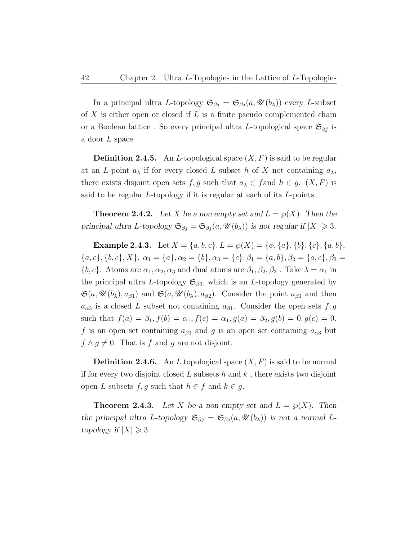In a principal ultra L-topology  $\mathfrak{S}_{\beta j} = \mathfrak{S}_{\beta j} (a, \mathcal{U}(b_\lambda))$  every L-subset of X is either open or closed if L is a finite pseudo complemented chain or a Boolean lattice. So every principal ultra L-topological space  $\mathfrak{S}_{\beta j}$  is a door L space.

**Definition 2.4.5.** An *L*-topological space  $(X, F)$  is said to be regular at an L-point  $a_{\lambda}$  if for every closed L subset h of X not containing  $a_{\lambda}$ , there exists disjoint open sets f, g such that  $a_{\lambda} \in f$  and  $h \in g$ .  $(X, F)$  is said to be regular L-topology if it is regular at each of its L-points.

**Theorem 2.4.2.** Let X be a non empty set and  $L = \wp(X)$ . Then the principal ultra L-topology  $\mathfrak{S}_{\beta j} = \mathfrak{S}_{\beta j} (a, \mathcal{U}(b_\lambda))$  is not regular if  $|X| \geq 3$ .

Example 2.4.3. Let  $X = \{a, b, c\}, L = \wp(X) = \{\phi, \{a\}, \{b\}, \{c\}, \{a, b\},\}$  ${a, c}, {b, c}, X$ .  $\alpha_1 = {a}, \alpha_2 = {b}, \alpha_3 = {c}, \beta_1 = {a, b}, \beta_2 = {a, c}, \beta_3 =$  ${b, c}$ . Atoms are  $\alpha_1, \alpha_2, \alpha_3$  and dual atoms are  $\beta_1, \beta_2, \beta_3$ . Take  $\lambda = \alpha_1$  in the principal ultra L-topology  $\mathfrak{S}_{\beta 3}$ , which is an L-topology generated by  $\mathfrak{S}(a,\mathscr{U}(b_\lambda),a_{\beta1})$  and  $\mathfrak{S}(a,\mathscr{U}(b_\lambda),a_{\beta2})$ . Consider the point  $a_{\beta1}$  and then  $a_{\alpha3}$  is a closed L subset not containing  $a_{\beta1}$ . Consider the open sets f, g such that  $f(a) = \beta_1, f(b) = \alpha_1, f(c) = \alpha_1, g(a) = \beta_2, g(b) = 0, g(c) = 0.$ f is an open set containing  $a_{\beta1}$  and g is an open set containing  $a_{\alpha3}$  but  $f \wedge g \neq \underline{0}$ . That is f and g are not disjoint.

**Definition 2.4.6.** An L topological space  $(X, F)$  is said to be normal if for every two disjoint closed  $L$  subsets  $h$  and  $k$ , there exists two disjoint open L subsets  $f, g$  such that  $h \in f$  and  $k \in g$ .

**Theorem 2.4.3.** Let X be a non empty set and  $L = \varphi(X)$ . Then the principal ultra L-topology  $\mathfrak{S}_{\beta j} = \mathfrak{S}_{\beta j} (a, \mathcal{U}(b_\lambda))$  is not a normal Ltopology if  $|X| \geq 3$ .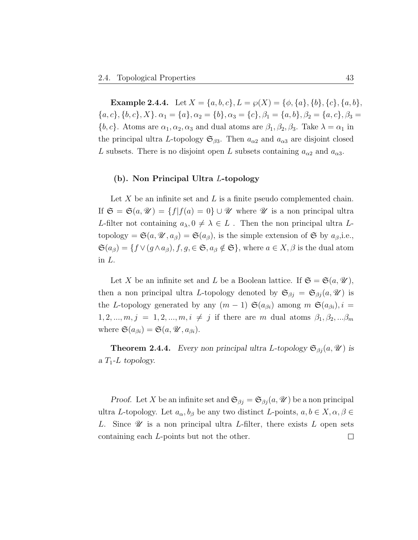**Example 2.4.4.** Let  $X = \{a, b, c\}$ ,  $L = \wp(X) = \{\phi, \{a\}, \{b\}, \{c\}, \{a, b\}$ ,  ${a, c}, {b, c}, X$ .  $\alpha_1 = {a}, \alpha_2 = {b}, \alpha_3 = {c}, \beta_1 = {a, b}, \beta_2 = {a, c}, \beta_3 =$  ${b, c}$ . Atoms are  $\alpha_1, \alpha_2, \alpha_3$  and dual atoms are  $\beta_1, \beta_2, \beta_3$ . Take  $\lambda = \alpha_1$  in the principal ultra L-topology  $\mathfrak{S}_{\beta 3}$ . Then  $a_{\alpha 2}$  and  $a_{\alpha 3}$  are disjoint closed L subsets. There is no disjoint open L subsets containing  $a_{\alpha 2}$  and  $a_{\alpha 3}$ .

#### (b). Non Principal Ultra L-topology

Let  $X$  be an infinite set and  $L$  is a finite pseudo complemented chain. If  $\mathfrak{S} = \mathfrak{S}(a, \mathcal{U}) = \{f | f(a) = 0\} \cup \mathcal{U}$  where  $\mathcal U$  is a non principal ultra L-filter not containing  $a_{\lambda}, 0 \neq \lambda \in L$ . Then the non principal ultra Ltopology =  $\mathfrak{S}(a, \mathcal{U}, a_{\beta}) = \mathfrak{S}(a_{\beta})$ , is the simple extension of  $\mathfrak{S}$  by  $a_{\beta}$ , i.e.,  $\mathfrak{S}(a_{\beta}) = \{f \vee (g \wedge a_{\beta}), f, g \in \mathfrak{S}, a_{\beta} \notin \mathfrak{S}\}, \text{ where } a \in X, \beta \text{ is the dual atom}\}$ in L.

Let X be an infinite set and L be a Boolean lattice. If  $\mathfrak{S} = \mathfrak{S}(a, \mathcal{U}),$ then a non principal ultra L-topology denoted by  $\mathfrak{S}_{\beta i} = \mathfrak{S}_{\beta i} (a, \mathcal{U})$  is the L-topology generated by any  $(m-1)$   $\mathfrak{S}(a_{\beta i})$  among  $m \mathfrak{S}(a_{\beta i}), i =$  $1, 2, ..., m, j = 1, 2, ..., m, i \neq j$  if there are m dual atoms  $\beta_1, \beta_2, ... \beta_m$ where  $\mathfrak{S}(a_{\beta i}) = \mathfrak{S}(a, \mathcal{U}, a_{\beta i}).$ 

**Theorem 2.4.4.** Every non principal ultra L-topology  $\mathfrak{S}_{\beta i}(a, \mathcal{U})$  is a  $T_1$ -L topology.

*Proof.* Let X be an infinite set and  $\mathfrak{S}_{\beta j} = \mathfrak{S}_{\beta j} (a, \mathcal{U})$  be a non principal ultra L-topology. Let  $a_{\alpha}, b_{\beta}$  be any two distinct L-points,  $a, b \in X, \alpha, \beta \in$ L. Since  $\mathscr U$  is a non principal ultra L-filter, there exists L open sets containing each L-points but not the other. $\Box$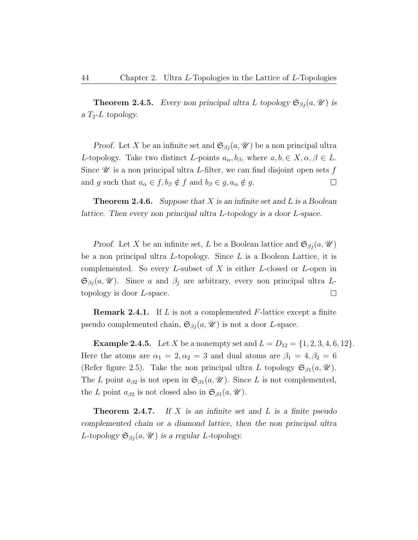**Theorem 2.4.5.** Every non principal ultra L topology  $\mathfrak{S}_{\beta j}(a, \mathcal{U})$  is a  $T_2$ -L topology.

*Proof.* Let X be an infinite set and  $\mathfrak{S}_{\beta i}(a, \mathcal{U})$  be a non principal ultra L-topology. Take two distinct L-points  $a_{\alpha}, b_{\beta}$ , where  $a, b \in X, \alpha, \beta \in L$ . Since  $\mathscr U$  is a non principal ultra L-filter, we can find disjoint open sets f and g such that  $a_{\alpha} \in f$ ,  $b_{\beta} \notin f$  and  $b_{\beta} \in g$ ,  $a_{\alpha} \notin g$ .  $\Box$ 

**Theorem 2.4.6.** Suppose that X is an infinite set and L is a Boolean lattice. Then every non principal ultra L-topology is a door L-space.

*Proof.* Let X be an infinite set, L be a Boolean lattice and  $\mathfrak{S}_{\beta j}(a, \mathcal{U})$ be a non principal ultra L-topology. Since L is a Boolean Lattice, it is complemented. So every  $L$ -subset of  $X$  is either  $L$ -closed or  $L$ -open in  $\mathfrak{S}_{\beta i}(a,\mathcal{U})$ . Since a and  $\beta_i$  are arbitrary, every non principal ultra Ltopology is door L-space.  $\Box$ 

**Remark 2.4.1.** If L is not a complemented F-lattice except a finite pseudo complemented chain,  $\mathfrak{S}_{\beta i}(a, \mathscr{U})$  is not a door L-space.

**Example 2.4.5.** Let X be a nonempty set and  $L = D_{12} = \{1, 2, 3, 4, 6, 12\}$ . Here the atoms are  $\alpha_1 = 2, \alpha_2 = 3$  and dual atoms are  $\beta_1 = 4, \beta_2 = 6$ (Refer figure 2.5). Take the non principal ultra L topology  $\mathfrak{S}_{\beta 1}(a, \mathscr{U})$ . The L point  $a_{\beta 2}$  is not open in  $\mathfrak{S}_{\beta 1}(a, \mathscr{U})$ . Since L is not complemented, the L point  $a_{\beta 2}$  is not closed also in  $\mathfrak{S}_{\beta 1}(a, \mathscr{U})$ .

**Theorem 2.4.7.** If X is an infinite set and L is a finite pseudo complemented chain or a diamond lattice, then the non principal ultra L-topology  $\mathfrak{S}_{\beta j}(a, \mathcal{U})$  is a regular L-topology.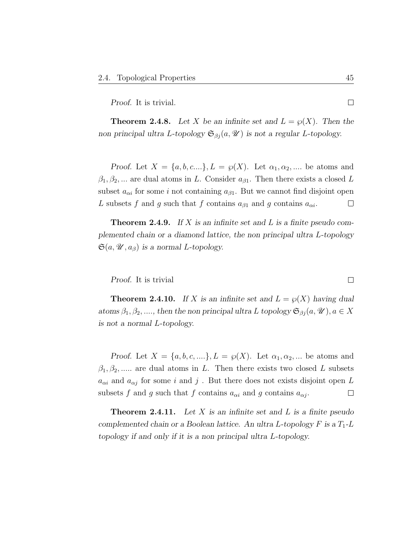Proof. It is trivial.

**Theorem 2.4.8.** Let X be an infinite set and  $L = \wp(X)$ . Then the non principal ultra L-topology  $\mathfrak{S}_{\beta j}(a, \mathcal{U})$  is not a regular L-topology.

Proof. Let  $X = \{a, b, c...\}$ ,  $L = \wp(X)$ . Let  $\alpha_1, \alpha_2, ...$  be atoms and  $\beta_1, \beta_2, \dots$  are dual atoms in L. Consider  $a_{\beta 1}$ . Then there exists a closed L subset  $a_{\alpha i}$  for some i not containing  $a_{\beta 1}$ . But we cannot find disjoint open L subsets f and g such that f contains  $a_{\beta 1}$  and g contains  $a_{\alpha i}$ .  $\Box$ 

**Theorem 2.4.9.** If X is an infinite set and L is a finite pseudo complemented chain or a diamond lattice, the non principal ultra L-topology  $\mathfrak{S}(a, \mathcal{U}, a_{\beta})$  is a normal L-topology.

Proof. It is trivial

**Theorem 2.4.10.** If X is an infinite set and  $L = \wp(X)$  having dual atoms  $\beta_1, \beta_2, ...,$  then the non principal ultra L topology  $\mathfrak{S}_{\beta i}(a, \mathcal{U}), a \in X$ is not a normal L-topology.

Proof. Let  $X = \{a, b, c, \ldots\}, L = \wp(X)$ . Let  $\alpha_1, \alpha_2, \ldots$  be atoms and  $\beta_1, \beta_2, \dots$  are dual atoms in L. Then there exists two closed L subsets  $a_{\alpha i}$  and  $a_{\alpha j}$  for some i and j. But there does not exists disjoint open L subsets f and g such that f contains  $a_{\alpha i}$  and g contains  $a_{\alpha j}$ .  $\Box$ 

**Theorem 2.4.11.** Let  $X$  is an infinite set and  $L$  is a finite pseudo complemented chain or a Boolean lattice. An ultra L-topology  $F$  is a  $T_1$ -L topology if and only if it is a non principal ultra L-topology.

 $\Box$ 

 $\Box$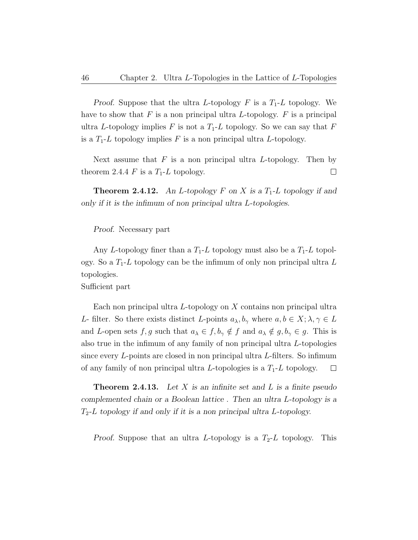Proof. Suppose that the ultra L-topology  $F$  is a  $T_1$ -L topology. We have to show that  $F$  is a non principal ultra  $L$ -topology.  $F$  is a principal ultra L-topology implies F is not a  $T_1$ -L topology. So we can say that F is a  $T_1$ -L topology implies F is a non principal ultra L-topology.

Next assume that  $F$  is a non principal ultra L-topology. Then by theorem 2.4.4  $F$  is a  $T_1$ -L topology.  $\Box$ 

**Theorem 2.4.12.** An *L*-topology *F* on *X* is a  $T_1$ -*L* topology if and only if it is the infimum of non principal ultra L-topologies.

#### Proof. Necessary part

Any L-topology finer than a  $T_1$ -L topology must also be a  $T_1$ -L topology. So a  $T_1$ -L topology can be the infimum of only non principal ultra L topologies.

Sufficient part

Each non principal ultra  $L$ -topology on  $X$  contains non principal ultra L- filter. So there exists distinct L-points  $a_{\lambda}, b_{\gamma}$  where  $a, b \in X; \lambda, \gamma \in L$ and L-open sets f, g such that  $a_{\lambda} \in f, b_{\gamma} \notin f$  and  $a_{\lambda} \notin g, b_{\gamma} \in g$ . This is also true in the infimum of any family of non principal ultra L-topologies since every L-points are closed in non principal ultra L-filters. So infimum of any family of non principal ultra L-topologies is a  $T_1$ -L topology.  $\Box$ 

**Theorem 2.4.13.** Let X is an infinite set and L is a finite pseudo complemented chain or a Boolean lattice . Then an ultra L-topology is a  $T_2$ -L topology if and only if it is a non principal ultra L-topology.

Proof. Suppose that an ultra L-topology is a  $T_2$ -L topology. This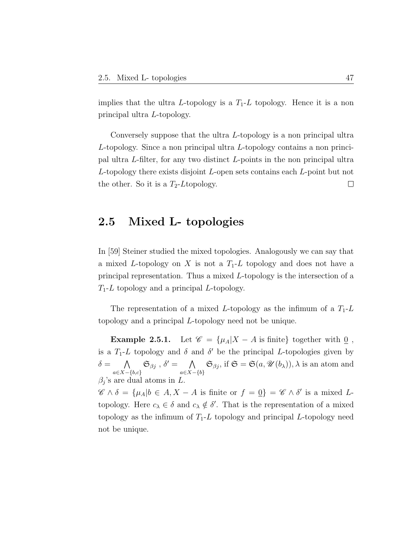implies that the ultra L-topology is a  $T_1$ -L topology. Hence it is a non principal ultra L-topology.

Conversely suppose that the ultra L-topology is a non principal ultra L-topology. Since a non principal ultra L-topology contains a non principal ultra L-filter, for any two distinct L-points in the non principal ultra L-topology there exists disjoint L-open sets contains each L-point but not the other. So it is a  $T_2$ -Ltopology.  $\Box$ 

## 2.5 Mixed L- topologies

In [59] Steiner studied the mixed topologies. Analogously we can say that a mixed L-topology on X is not a  $T_1$ -L topology and does not have a principal representation. Thus a mixed L-topology is the intersection of a  $T_1$ -L topology and a principal L-topology.

The representation of a mixed L-topology as the infimum of a  $T_1$ -L topology and a principal L-topology need not be unique.

Example 2.5.1. Let  $\mathscr{C} = {\mu_A | X - A \text{ is finite}}$  together with  $\underline{0}$ , is a  $T_1$ -L topology and  $\delta$  and  $\delta'$  be the principal L-topologies given by  $\delta = \bigwedge$  $a \in X - \{b, c\}$  $\mathfrak{S}_{\beta j}$ ,  $\delta' = \bigwedge$  $a \in X - \{b\}$  $\mathfrak{S}_{\beta j}$ , if  $\mathfrak{S} = \mathfrak{S}(a, \mathcal{U}(b_{\lambda})), \lambda$  is an atom and  $\beta_j$ 's are dual atoms in L.

 $\mathscr{C} \wedge \delta = {\mu_A | b \in A, X - A \text{ is finite or } f = \underline{0}} = \mathscr{C} \wedge \delta' \text{ is a mixed } L$ topology. Here  $c_{\lambda} \in \delta$  and  $c_{\lambda} \notin \delta'$ . That is the representation of a mixed topology as the infimum of  $T_1$ -L topology and principal L-topology need not be unique.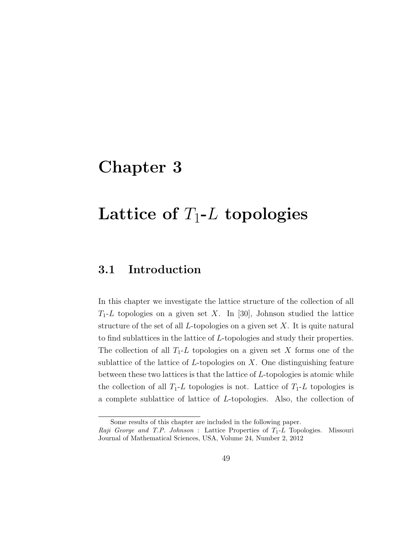## Chapter 3

# ${\rm Lattice\,\, of}\,\, T_1\hbox{-}L\,\, {\rm topologies}$

## 3.1 Introduction

In this chapter we investigate the lattice structure of the collection of all  $T_1$ -L topologies on a given set X. In [30], Johnson studied the lattice structure of the set of all  $L$ -topologies on a given set  $X$ . It is quite natural to find sublattices in the lattice of L-topologies and study their properties. The collection of all  $T_1$ -L topologies on a given set X forms one of the sublattice of the lattice of  $L$ -topologies on  $X$ . One distinguishing feature between these two lattices is that the lattice of L-topologies is atomic while the collection of all  $T_1$ -L topologies is not. Lattice of  $T_1$ -L topologies is a complete sublattice of lattice of L-topologies. Also, the collection of

Some results of this chapter are included in the following paper.

Raji George and T.P. Johnson : Lattice Properties of  $T_1$ -L Topologies. Missouri Journal of Mathematical Sciences, USA, Volume 24, Number 2, 2012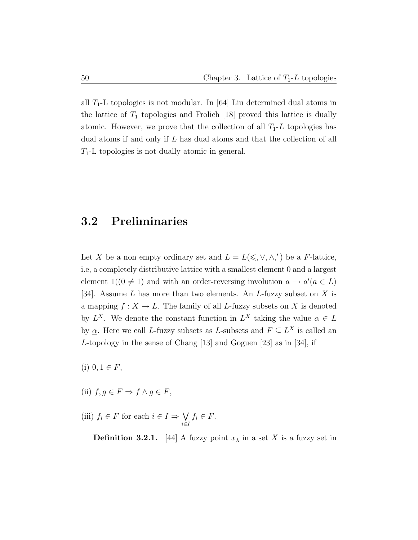all  $T_1$ -L topologies is not modular. In [64] Liu determined dual atoms in the lattice of  $T_1$  topologies and Frolich [18] proved this lattice is dually atomic. However, we prove that the collection of all  $T_1$ -L topologies has dual atoms if and only if L has dual atoms and that the collection of all  $T_1$ -L topologies is not dually atomic in general.

### 3.2 Preliminaries

Let X be a non empty ordinary set and  $L = L(\leq, \vee, \wedge,')$  be a F-lattice, i.e, a completely distributive lattice with a smallest element 0 and a largest element  $1((0 \neq 1)$  and with an order-reversing involution  $a \rightarrow a'(a \in L)$ [34]. Assume  $L$  has more than two elements. An  $L$ -fuzzy subset on  $X$  is a mapping  $f: X \to L$ . The family of all L-fuzzy subsets on X is denoted by  $L^X$ . We denote the constant function in  $L^X$  taking the value  $\alpha \in L$ by  $\underline{\alpha}$ . Here we call L-fuzzy subsets as L-subsets and  $F \subseteq L^X$  is called an L-topology in the sense of Chang [13] and Goguen [23] as in [34], if

(i)  $0, 1 \in F$ ,

- (ii)  $f, g \in F \Rightarrow f \wedge g \in F$ ,
- (iii)  $f_i \in F$  for each  $i \in I \Rightarrow \bigvee$ i∈I  $f_i \in F$ .

**Definition 3.2.1.** [44] A fuzzy point  $x_{\lambda}$  in a set X is a fuzzy set in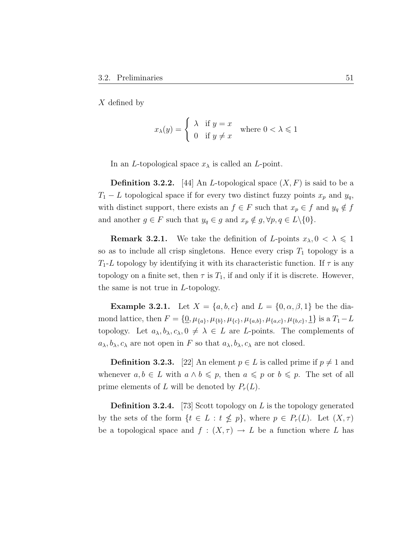X defined by

$$
x_{\lambda}(y) = \begin{cases} \lambda & \text{if } y = x \\ 0 & \text{if } y \neq x \end{cases} \text{ where } 0 < \lambda \leq 1
$$

In an *L*-topological space  $x_{\lambda}$  is called an *L*-point.

**Definition 3.2.2.** [44] An *L*-topological space  $(X, F)$  is said to be a  $T_1 - L$  topological space if for every two distinct fuzzy points  $x_p$  and  $y_q$ , with distinct support, there exists an  $f \in F$  such that  $x_p \in f$  and  $y_q \notin f$ and another  $g \in F$  such that  $y_q \in g$  and  $x_p \notin g$ ,  $\forall p, q \in L \setminus \{0\}.$ 

**Remark 3.2.1.** We take the definition of L-points  $x_{\lambda}, 0 < \lambda \leq 1$ so as to include all crisp singletons. Hence every crisp  $T_1$  topology is a  $T_1$ -L topology by identifying it with its characteristic function. If  $\tau$  is any topology on a finite set, then  $\tau$  is  $T_1$ , if and only if it is discrete. However, the same is not true in L-topology.

**Example 3.2.1.** Let  $X = \{a, b, c\}$  and  $L = \{0, \alpha, \beta, 1\}$  be the diamond lattice, then  $F = \{0, \mu_{\{a\}}, \mu_{\{b\}}, \mu_{\{c\}}, \mu_{\{a,b\}}, \mu_{\{a,c\}}, \mu_{\{b,c\}}, \underline{1}\}\$ is a  $T_1 - L$ topology. Let  $a_{\lambda}, b_{\lambda}, c_{\lambda}, 0 \neq \lambda \in L$  are L-points. The complements of  $a_{\lambda}, b_{\lambda}, c_{\lambda}$  are not open in F so that  $a_{\lambda}, b_{\lambda}, c_{\lambda}$  are not closed.

**Definition 3.2.3.** [22] An element  $p \in L$  is called prime if  $p \neq 1$  and whenever  $a, b \in L$  with  $a \wedge b \leq p$ , then  $a \leq p$  or  $b \leq p$ . The set of all prime elements of L will be denoted by  $P_r(L)$ .

**Definition 3.2.4.** [73] Scott topology on L is the topology generated by the sets of the form  $\{t \in L : t \nleq p\}$ , where  $p \in P_r(L)$ . Let  $(X, \tau)$ be a topological space and  $f : (X, \tau) \to L$  be a function where L has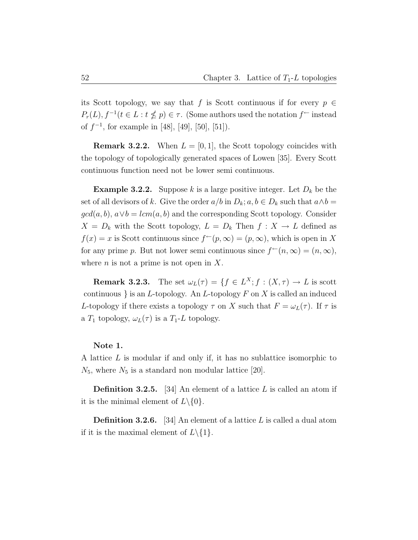its Scott topology, we say that f is Scott continuous if for every  $p \in$  $P_r(L)$ ,  $f^{-1}(t \in L : t \nleq p) \in \tau$ . (Some authors used the notation  $f^{\leftarrow}$  instead of  $f^{-1}$ , for example in [48], [49], [50], [51]).

**Remark 3.2.2.** When  $L = [0, 1]$ , the Scott topology coincides with the topology of topologically generated spaces of Lowen [35]. Every Scott continuous function need not be lower semi continuous.

**Example 3.2.2.** Suppose k is a large positive integer. Let  $D_k$  be the set of all devisors of k. Give the order  $a/b$  in  $D_k$ ;  $a, b \in D_k$  such that  $a \wedge b =$  $gcd(a, b), a \vee b = lcm(a, b)$  and the corresponding Scott topology. Consider  $X = D_k$  with the Scott topology,  $L = D_k$  Then  $f: X \to L$  defined as  $f(x) = x$  is Scott continuous since  $f^{\leftarrow}(p, \infty) = (p, \infty)$ , which is open in X for any prime p. But not lower semi continuous since  $f^{\leftarrow}(n,\infty) = (n,\infty)$ , where  $n$  is not a prime is not open in X.

**Remark 3.2.3.** The set  $\omega_L(\tau) = \{f \in L^X; f : (X, \tau) \to L \text{ is scott}\}\$ continuous } is an  $L$ -topology. An  $L$ -topology  $F$  on  $X$  is called an induced L-topology if there exists a topology  $\tau$  on X such that  $F = \omega_L(\tau)$ . If  $\tau$  is a  $T_1$  topology,  $\omega_L(\tau)$  is a  $T_1$ -L topology.

#### Note 1.

A lattice L is modular if and only if, it has no sublattice isomorphic to  $N_5$ , where  $N_5$  is a standard non modular lattice [20].

**Definition 3.2.5.** [34] An element of a lattice  $L$  is called an atom if it is the minimal element of  $L \setminus \{0\}.$ 

**Definition 3.2.6.** [34] An element of a lattice L is called a dual atom if it is the maximal element of  $L \setminus \{1\}.$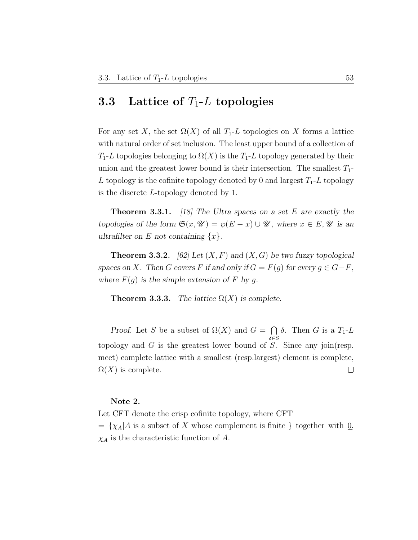### 3.3 Lattice of  $T_1$ -L topologies

For any set X, the set  $\Omega(X)$  of all  $T_1$ -L topologies on X forms a lattice with natural order of set inclusion. The least upper bound of a collection of  $T_1$ -L topologies belonging to  $\Omega(X)$  is the  $T_1$ -L topology generated by their union and the greatest lower bound is their intersection. The smallest  $T_1$ -L topology is the cofinite topology denoted by 0 and largest  $T_1$ -L topology is the discrete L-topology denoted by 1.

**Theorem 3.3.1.** [18] The Ultra spaces on a set E are exactly the topologies of the form  $\mathfrak{S}(x, \mathcal{U}) = \wp(E - x) \cup \mathcal{U}$ , where  $x \in E, \mathcal{U}$  is an ultrafilter on E not containing  $\{x\}$ .

**Theorem 3.3.2.** [62] Let  $(X, F)$  and  $(X, G)$  be two fuzzy topological spaces on X. Then G covers F if and only if  $G = F(g)$  for every  $g \in G - F$ , where  $F(g)$  is the simple extension of F by g.

**Theorem 3.3.3.** The lattice  $\Omega(X)$  is complete.

Proof. Let S be a subset of  $\Omega(X)$  and  $G = \bigcap$ δ. Then *G* is a  $T_1$ -*L*  $\delta \in S$ topology and  $G$  is the greatest lower bound of  $S$ . Since any join(resp. meet) complete lattice with a smallest (resp.largest) element is complete,  $\Omega(X)$  is complete.  $\Box$ 

### Note 2.

Let CFT denote the crisp cofinite topology, where CFT  $= \{ \chi_A | A$  is a subset of X whose complement is finite } together with  $Q$ ,  $\chi_A$  is the characteristic function of A.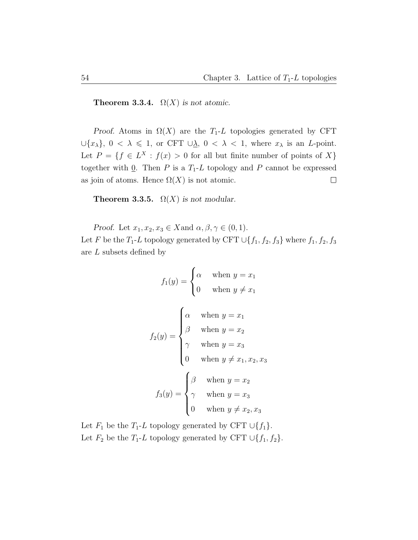**Theorem 3.3.4.**  $\Omega(X)$  is not atomic.

Proof. Atoms in  $\Omega(X)$  are the T<sub>1</sub>-L topologies generated by CFT  $\bigcup \{x_{\lambda}\}, 0 < \lambda \leq 1$ , or CFT  $\bigcup_{\lambda} 0 < \lambda < 1$ , where  $x_{\lambda}$  is an *L*-point. Let  $P = \{f \in L^X : f(x) > 0 \text{ for all but finite number of points of } X\}$ together with  $Q$ . Then P is a  $T_1$ -L topology and P cannot be expressed as join of atoms. Hence  $\Omega(X)$  is not atomic.  $\Box$ 

**Theorem 3.3.5.**  $\Omega(X)$  is not modular.

Proof. Let  $x_1, x_2, x_3 \in X$  and  $\alpha, \beta, \gamma \in (0, 1)$ .

Let F be the  $T_1$ -L topology generated by CFT  $\cup$ {f<sub>1</sub>, f<sub>2</sub>, f<sub>3</sub>} where f<sub>1</sub>, f<sub>2</sub>, f<sub>3</sub> are L subsets defined by

$$
f_1(y) = \begin{cases} \alpha & \text{when } y = x_1 \\ 0 & \text{when } y \neq x_1 \end{cases}
$$

$$
f_2(y) = \begin{cases} \alpha & \text{when } y = x_1 \\ \beta & \text{when } y = x_2 \\ \gamma & \text{when } y = x_3 \\ 0 & \text{when } y \neq x_1, x_2, x_3 \end{cases}
$$

$$
f_3(y) = \begin{cases} \beta & \text{when } y = x_2 \\ \gamma & \text{when } y = x_3 \\ 0 & \text{when } y \neq x_2, x_3 \end{cases}
$$

Let  $F_1$  be the  $T_1$ -L topology generated by CFT ∪{f<sub>1</sub>}. Let  $F_2$  be the  $T_1$ -L topology generated by CFT  $\cup \{f_1, f_2\}$ .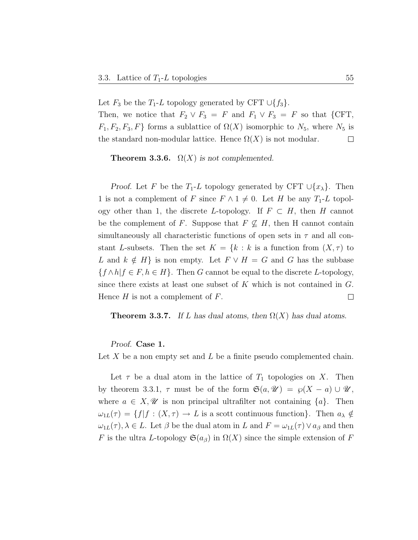Let  $F_3$  be the  $T_1$ -L topology generated by CFT  $\cup \{f_3\}$ . Then, we notice that  $F_2 \vee F_3 = F$  and  $F_1 \vee F_3 = F$  so that {CFT,  $F_1, F_2, F_3, F$  forms a sublattice of  $\Omega(X)$  isomorphic to  $N_5$ , where  $N_5$  is the standard non-modular lattice. Hence  $\Omega(X)$  is not modular.  $\Box$ 

**Theorem 3.3.6.**  $\Omega(X)$  is not complemented.

*Proof.* Let F be the T<sub>1</sub>-L topology generated by CFT  $\cup \{x_{\lambda}\}\$ . Then 1 is not a complement of F since  $F \wedge 1 \neq 0$ . Let H be any  $T_1$ -L topology other than 1, the discrete L-topology. If  $F \subset H$ , then H cannot be the complement of F. Suppose that  $F \nsubseteq H$ , then H cannot contain simultaneously all characteristic functions of open sets in  $\tau$  and all constant L-subsets. Then the set  $K = \{k : k \text{ is a function from } (X, \tau) \text{ to }$ L and  $k \notin H$ } is non empty. Let  $F \vee H = G$  and G has the subbase  $\{f \wedge h | f \in F, h \in H\}$ . Then G cannot be equal to the discrete L-topology, since there exists at least one subset of  $K$  which is not contained in  $G$ . Hence  $H$  is not a complement of  $F$ .  $\Box$ 

**Theorem 3.3.7.** If L has dual atoms, then  $\Omega(X)$  has dual atoms.

Proof. Case 1.

Let X be a non empty set and L be a finite pseudo complemented chain.

Let  $\tau$  be a dual atom in the lattice of  $T_1$  topologies on X. Then by theorem 3.3.1,  $\tau$  must be of the form  $\mathfrak{S}(a, \mathcal{U}) = \wp(X - a) \cup \mathcal{U}$ , where  $a \in X, \mathscr{U}$  is non principal ultrafilter not containing  $\{a\}$ . Then  $\omega_{1L}(\tau) = \{f | f : (X, \tau) \to L \text{ is a scott continuous function}\}.$  Then  $a_{\lambda} \notin$  $\omega_{1L}(\tau)$ ,  $\lambda \in L$ . Let  $\beta$  be the dual atom in L and  $F = \omega_{1L}(\tau) \vee a_{\beta}$  and then F is the ultra L-topology  $\mathfrak{S}(a_{\beta})$  in  $\Omega(X)$  since the simple extension of F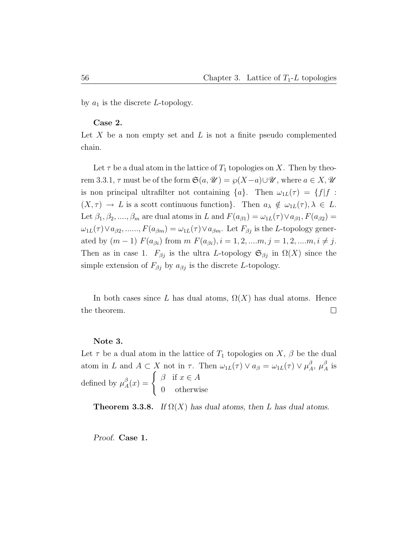by  $a_1$  is the discrete L-topology.

### Case 2.

Let  $X$  be a non empty set and  $L$  is not a finite pseudo complemented chain.

Let  $\tau$  be a dual atom in the lattice of  $T_1$  topologies on X. Then by theorem 3.3.1,  $\tau$  must be of the form  $\mathfrak{S}(a, \mathcal{U}) = \wp(X-a) \cup \mathcal{U}$ , where  $a \in X, \mathcal{U}$ is non principal ultrafilter not containing  $\{a\}$ . Then  $\omega_{1L}(\tau) = \{f | f :$  $(X, \tau) \to L$  is a scott continuous function}. Then  $a_{\lambda} \notin \omega_{1L}(\tau), \lambda \in L$ . Let  $\beta_1, \beta_2, ..., \beta_m$  are dual atoms in L and  $F(a_{\beta 1}) = \omega_{1L}(\tau) \vee a_{\beta 1}$ ,  $F(a_{\beta 2}) =$  $\omega_{1L}(\tau) \vee a_{\beta 2}, \dots, F(a_{\beta m}) = \omega_{1L}(\tau) \vee a_{\beta m}$ . Let  $F_{\beta j}$  is the L-topology generated by  $(m-1)$   $F(a_{\beta i})$  from  $m$   $F(a_{\beta i}), i = 1, 2, ..., m, j = 1, 2, ..., m, i \neq j$ . Then as in case 1.  $F_{\beta j}$  is the ultra L-topology  $\mathfrak{S}_{\beta j}$  in  $\Omega(X)$  since the simple extension of  $F_{\beta j}$  by  $a_{\beta j}$  is the discrete L-topology.

In both cases since L has dual atoms,  $\Omega(X)$  has dual atoms. Hence the theorem.  $\Box$ 

#### Note 3.

Let  $\tau$  be a dual atom in the lattice of  $T_1$  topologies on  $X, \beta$  be the dual atom in L and  $A \subset X$  not in  $\tau$ . Then  $\omega_{1L}(\tau) \vee a_{\beta} = \omega_{1L}(\tau) \vee \mu_{A}^{\beta}$  $^{\beta}_{A},~\mu^{\beta}_{A}$  $_A^{\beta}$  is defined by  $\mu_A^{\beta}$  $A^{\beta}(x) = \begin{cases} \beta & \text{if } x \in A \\ 0 & \text{otherwise} \end{cases}$ 0 otherwise

**Theorem 3.3.8.** If  $\Omega(X)$  has dual atoms, then L has dual atoms.

Proof. Case 1.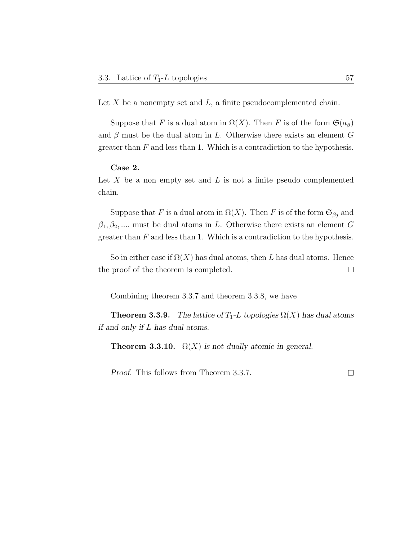Let  $X$  be a nonempty set and  $L$ , a finite pseudocomplemented chain.

Suppose that F is a dual atom in  $\Omega(X)$ . Then F is of the form  $\mathfrak{S}(a_{\beta})$ and  $\beta$  must be the dual atom in L. Otherwise there exists an element G greater than  $F$  and less than 1. Which is a contradiction to the hypothesis.

### Case 2.

Let  $X$  be a non empty set and  $L$  is not a finite pseudo complemented chain.

Suppose that F is a dual atom in  $\Omega(X)$ . Then F is of the form  $\mathfrak{S}_{\beta j}$  and  $\beta_1, \beta_2, \dots$  must be dual atoms in L. Otherwise there exists an element G greater than  $F$  and less than 1. Which is a contradiction to the hypothesis.

So in either case if  $\Omega(X)$  has dual atoms, then L has dual atoms. Hence the proof of the theorem is completed.  $\Box$ 

Combining theorem 3.3.7 and theorem 3.3.8, we have

**Theorem 3.3.9.** The lattice of  $T_1$ -L topologies  $\Omega(X)$  has dual atoms if and only if L has dual atoms.

**Theorem 3.3.10.**  $\Omega(X)$  is not dually atomic in general.

Proof. This follows from Theorem 3.3.7.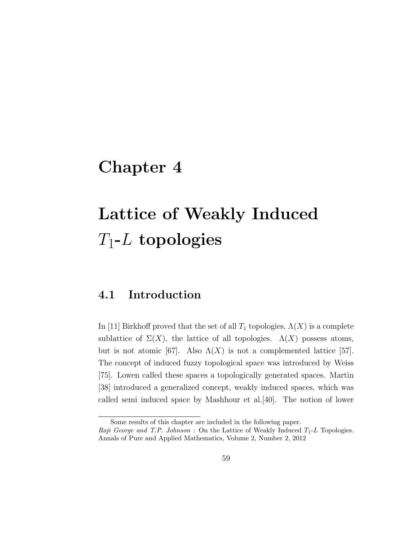# Chapter 4

# Lattice of Weakly Induced  $T_1\hbox{-} L \; \mathbf{topologies}$

## 4.1 Introduction

In [11] Birkhoff proved that the set of all  $T_1$  topologies,  $\Lambda(X)$  is a complete sublattice of  $\Sigma(X)$ , the lattice of all topologies.  $\Lambda(X)$  possess atoms, but is not atomic [67]. Also  $\Lambda(X)$  is not a complemented lattice [57]. The concept of induced fuzzy topological space was introduced by Weiss [75]. Lowen called these spaces a topologically generated spaces. Martin [38] introduced a generalized concept, weakly induced spaces, which was called semi induced space by Mashhour et al.[40]. The notion of lower

Some results of this chapter are included in the following paper.

Raji George and T.P. Johnson : On the Lattice of Weakly Induced  $T_1$ -L Topologies. Annals of Pure and Applied Mathematics, Volume 2, Number 2, 2012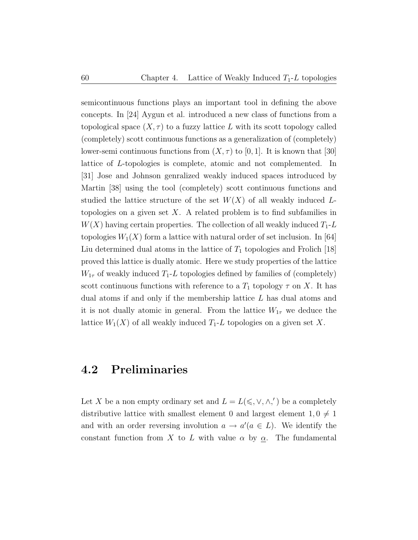semicontinuous functions plays an important tool in defining the above concepts. In [24] Aygun et al. introduced a new class of functions from a topological space  $(X, \tau)$  to a fuzzy lattice L with its scott topology called (completely) scott continuous functions as a generalization of (completely) lower-semi continuous functions from  $(X, \tau)$  to [0, 1]. It is known that [30] lattice of L-topologies is complete, atomic and not complemented. In [31] Jose and Johnson genralized weakly induced spaces introduced by Martin [38] using the tool (completely) scott continuous functions and studied the lattice structure of the set  $W(X)$  of all weakly induced Ltopologies on a given set  $X$ . A related problem is to find subfamilies in  $W(X)$  having certain properties. The collection of all weakly induced  $T_1$ -L topologies  $W_1(X)$  form a lattice with natural order of set inclusion. In [64] Liu determined dual atoms in the lattice of  $T_1$  topologies and Frolich [18] proved this lattice is dually atomic. Here we study properties of the lattice  $W_{1\tau}$  of weakly induced  $T_1$ -L topologies defined by families of (completely) scott continuous functions with reference to a  $T_1$  topology  $\tau$  on X. It has dual atoms if and only if the membership lattice L has dual atoms and it is not dually atomic in general. From the lattice  $W_{1\tau}$  we deduce the lattice  $W_1(X)$  of all weakly induced  $T_1$ -L topologies on a given set X.

## 4.2 Preliminaries

Let X be a non empty ordinary set and  $L = L(\leq, \vee, \wedge,')$  be a completely distributive lattice with smallest element 0 and largest element  $1, 0 \neq 1$ and with an order reversing involution  $a \to a'(a \in L)$ . We identify the constant function from X to L with value  $\alpha$  by  $\alpha$ . The fundamental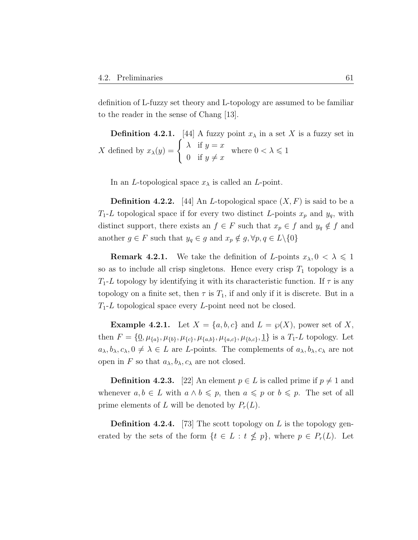definition of L-fuzzy set theory and L-topology are assumed to be familiar to the reader in the sense of Chang [13].

**Definition 4.2.1.** [44] A fuzzy point  $x_{\lambda}$  in a set X is a fuzzy set in X defined by  $x_{\lambda}(y) = \begin{cases} \lambda & \text{if } y = x \\ 0 & \text{if } y \end{cases}$ 0 if  $y \neq x$ where  $0 < \lambda \leq 1$ 

In an *L*-topological space  $x_{\lambda}$  is called an *L*-point.

**Definition 4.2.2.** [44] An *L*-topological space  $(X, F)$  is said to be a  $T_1$ -L topological space if for every two distinct L-points  $x_p$  and  $y_q$ , with distinct support, there exists an  $f \in F$  such that  $x_p \in f$  and  $y_q \notin f$  and another  $g \in F$  such that  $y_q \in g$  and  $x_p \notin g$ ,  $\forall p, q \in L \setminus \{0\}$ 

**Remark 4.2.1.** We take the definition of L-points  $x_{\lambda}, 0 < \lambda \leq 1$ so as to include all crisp singletons. Hence every crisp  $T_1$  topology is a  $T_1$ -L topology by identifying it with its characteristic function. If  $\tau$  is any topology on a finite set, then  $\tau$  is  $T_1$ , if and only if it is discrete. But in a  $T_1$ -L topological space every L-point need not be closed.

**Example 4.2.1.** Let  $X = \{a, b, c\}$  and  $L = \varphi(X)$ , power set of X, then  $F = \{0, \mu_{\{a\}}, \mu_{\{b\}}, \mu_{\{c\}}, \mu_{\{a,b\}}, \mu_{\{a,c\}}, \mu_{\{b,c\}}, \underline{1}\}\$ is a  $T_1$ -L topology. Let  $a_{\lambda}, b_{\lambda}, c_{\lambda}, 0 \neq \lambda \in L$  are L-points. The complements of  $a_{\lambda}, b_{\lambda}, c_{\lambda}$  are not open in F so that  $a_{\lambda}, b_{\lambda}, c_{\lambda}$  are not closed.

**Definition 4.2.3.** [22] An element  $p \in L$  is called prime if  $p \neq 1$  and whenever  $a, b \in L$  with  $a \wedge b \leq p$ , then  $a \leq p$  or  $b \leq p$ . The set of all prime elements of L will be denoted by  $P_r(L)$ .

**Definition 4.2.4.** [73] The scott topology on L is the topology generated by the sets of the form  $\{t \in L : t \nleq p\}$ , where  $p \in P_r(L)$ . Let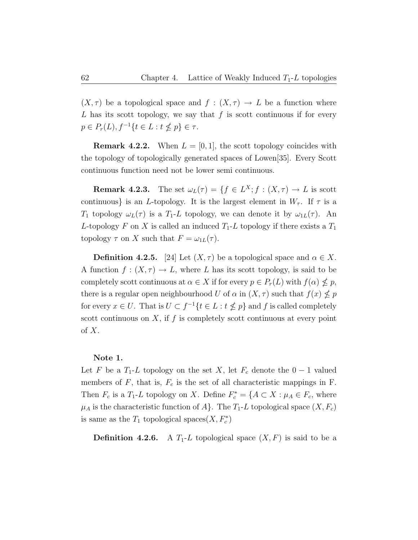$(X, \tau)$  be a topological space and  $f : (X, \tau) \to L$  be a function where L has its scott topology, we say that  $f$  is scott continuous if for every  $p \in P_r(L)$ ,  $f^{-1}\{t \in L : t \nleq p\} \in \tau$ .

**Remark 4.2.2.** When  $L = [0, 1]$ , the scott topology coincides with the topology of topologically generated spaces of Lowen[35]. Every Scott continuous function need not be lower semi continuous.

**Remark 4.2.3.** The set  $\omega_L(\tau) = \{f \in L^X; f : (X, \tau) \to L \text{ is scott}\}\$ continuous} is an L-topology. It is the largest element in  $W_{\tau}$ . If  $\tau$  is a  $T_1$  topology  $\omega_L(\tau)$  is a  $T_1$ -L topology, we can denote it by  $\omega_{1L}(\tau)$ . An L-topology F on X is called an induced  $T_1$ -L topology if there exists a  $T_1$ topology  $\tau$  on X such that  $F = \omega_{1L}(\tau)$ .

**Definition 4.2.5.** [24] Let  $(X, \tau)$  be a topological space and  $\alpha \in X$ . A function  $f: (X, \tau) \to L$ , where L has its scott topology, is said to be completely scott continuous at  $\alpha \in X$  if for every  $p \in P_r(L)$  with  $f(\alpha) \nleq p$ , there is a regular open neighbourhood U of  $\alpha$  in  $(X, \tau)$  such that  $f(x) \nleq p$ for every  $x \in U$ . That is  $U \subset f^{-1} \{ t \in L : t \nleq p \}$  and f is called completely scott continuous on  $X$ , if  $f$  is completely scott continuous at every point  $\mathrm{of}\ X.$ 

#### Note 1.

Let F be a  $T_1$ -L topology on the set X, let  $F_c$  denote the  $0-1$  valued members of  $F$ , that is,  $F_c$  is the set of all characteristic mappings in  $F$ . Then  $F_c$  is a  $T_1$ -L topology on X. Define  $F_c^* = \{A \subset X : \mu_A \in F_c$ , where  $\mu_A$  is the characteristic function of A}. The  $T_1$ -L topological space  $(X, F_c)$ is same as the  $T_1$  topological spaces $(X, F_c^*)$ 

**Definition 4.2.6.** A  $T_1$ -L topological space  $(X, F)$  is said to be a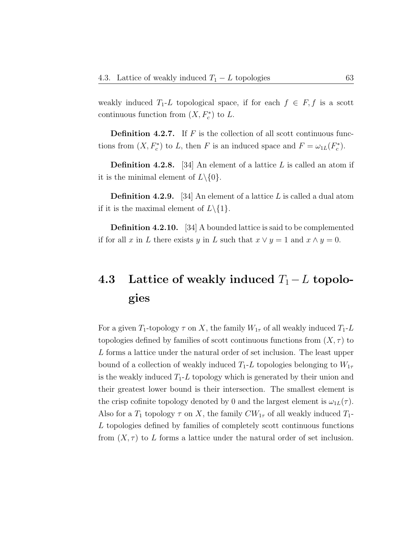weakly induced  $T_1$ -L topological space, if for each  $f \in F$ , f is a scott continuous function from  $(X, F_c^*)$  to L.

**Definition 4.2.7.** If  $F$  is the collection of all scott continuous functions from  $(X, F_c^*)$  to L, then F is an induced space and  $F = \omega_{1L}(F_c^*)$ .

**Definition 4.2.8.** [34] An element of a lattice  $L$  is called an atom if it is the minimal element of  $L \setminus \{0\}.$ 

**Definition 4.2.9.** [34] An element of a lattice  $L$  is called a dual atom if it is the maximal element of  $L \setminus \{1\}.$ 

Definition 4.2.10. [34] A bounded lattice is said to be complemented if for all x in L there exists y in L such that  $x \vee y = 1$  and  $x \wedge y = 0$ .

# 4.3 Lattice of weakly induced  $T_1 - L$  topologies

For a given  $T_1$ -topology  $\tau$  on X, the family  $W_{1\tau}$  of all weakly induced  $T_1$ -L topologies defined by families of scott continuous functions from  $(X, \tau)$  to L forms a lattice under the natural order of set inclusion. The least upper bound of a collection of weakly induced  $T_1$ -L topologies belonging to  $W_{1\tau}$ is the weakly induced  $T_1$ -L topology which is generated by their union and their greatest lower bound is their intersection. The smallest element is the crisp cofinite topology denoted by 0 and the largest element is  $\omega_{1L}(\tau)$ . Also for a  $T_1$  topology  $\tau$  on X, the family  $CW_{1\tau}$  of all weakly induced  $T_1$ -L topologies defined by families of completely scott continuous functions from  $(X, \tau)$  to L forms a lattice under the natural order of set inclusion.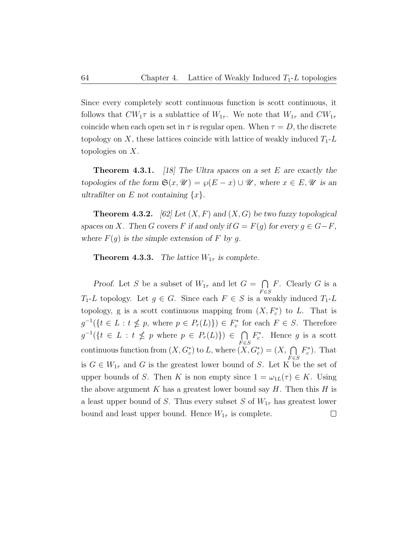Since every completely scott continuous function is scott continuous, it follows that  $CW_1\tau$  is a sublattice of  $W_{1\tau}$ . We note that  $W_{1\tau}$  and  $CW_{1\tau}$ coincide when each open set in  $\tau$  is regular open. When  $\tau = D$ , the discrete topology on X, these lattices coincide with lattice of weakly induced  $T_1$ -L topologies on X.

**Theorem 4.3.1.** [18] The Ultra spaces on a set E are exactly the topologies of the form  $\mathfrak{S}(x, \mathcal{U}) = \wp(E - x) \cup \mathcal{U}$ , where  $x \in E, \mathcal{U}$  is an ultrafilter on E not containing  $\{x\}.$ 

**Theorem 4.3.2.** [62] Let  $(X, F)$  and  $(X, G)$  be two fuzzy topological spaces on X. Then G covers F if and only if  $G = F(g)$  for every  $g \in G - F$ , where  $F(g)$  is the simple extension of F by g.

**Theorem 4.3.3.** The lattice  $W_{1\tau}$  is complete.

Proof. Let S be a subset of  $W_{1\tau}$  and let  $G = \bigcap$  $F$ . Clearly  $G$  is a  $_{F \in S}$  $T_1$ -L topology. Let  $g \in G$ . Since each  $F \in S$  is a weakly induced  $T_1$ -L topology, g is a scott continuous mapping from  $(X, F_c^*)$  to L. That is  $g^{-1}(\{t \in L : t \nleq p, \text{ where } p \in P_r(L)\}) \in F_c^*$  for each  $F \in S$ . Therefore  $g^{-1}(\lbrace t \in L : t \nleq p \text{ where } p \in P_r(L) \rbrace) \in \bigcap$  $F_c^*$ . Hence g is a scott  $F \in S$ continuous function from  $(X, G_c^*)$  to L, where  $(X, G_c^*) = (X, \bigcap F_c^*)$ . That is  $G \in W_{1\tau}$  and G is the greatest lower bound of S. Let K be the set of upper bounds of S. Then K is non empty since  $1 = \omega_{1L}(\tau) \in K$ . Using the above argument K has a greatest lower bound say H. Then this H is a least upper bound of S. Thus every subset S of  $W_{1\tau}$  has greatest lower bound and least upper bound. Hence  $W_{1\tau}$  is complete.  $\Box$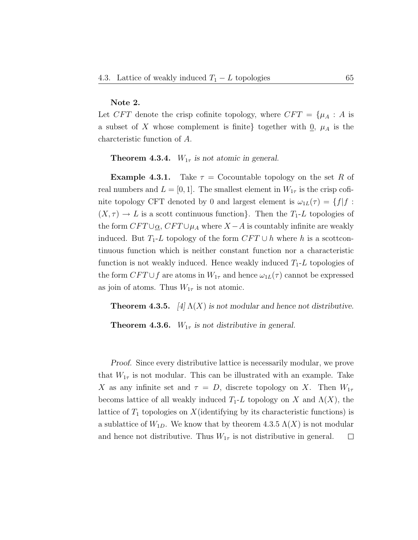### Note 2.

Let  $CFT$  denote the crisp cofinite topology, where  $CFT = \{\mu_A : A \text{ is } \}$ a subset of X whose complement is finite} together with  $\underline{0}$ ,  $\mu_A$  is the charcteristic function of A.

**Theorem 4.3.4.**  $W_{1\tau}$  is not atomic in general.

**Example 4.3.1.** Take  $\tau =$  Cocountable topology on the set R of real numbers and  $L = [0, 1]$ . The smallest element in  $W_{1\tau}$  is the crisp cofinite topology CFT denoted by 0 and largest element is  $\omega_{1L}(\tau) = \{f | f :$  $(X, \tau) \to L$  is a scott continuous function}. Then the  $T_1$ -L topologies of the form  $CFT \cup_{\alpha}$ ,  $CFT \cup_{\mu_A}$  where  $X - A$  is countably infinite are weakly induced. But  $T_1$ -L topology of the form  $CFT \cup h$  where h is a scottcontinuous function which is neither constant function nor a characteristic function is not weakly induced. Hence weakly induced  $T_1$ -L topologies of the form  $CFT \cup f$  are atoms in  $W_{1\tau}$  and hence  $\omega_{1L}(\tau)$  cannot be expressed as join of atoms. Thus  $W_{1\tau}$  is not atomic.

**Theorem 4.3.5.** [4]  $\Lambda(X)$  is not modular and hence not distributive.

**Theorem 4.3.6.**  $W_{1\tau}$  is not distributive in general.

Proof. Since every distributive lattice is necessarily modular, we prove that  $W_{1\tau}$  is not modular. This can be illustrated with an example. Take X as any infinite set and  $\tau = D$ , discrete topology on X. Then  $W_{1\tau}$ becoms lattice of all weakly induced  $T_1$ -L topology on X and  $\Lambda(X)$ , the lattice of  $T_1$  topologies on X (identifying by its characteristic functions) is a sublattice of  $W_{1D}$ . We know that by theorem 4.3.5  $\Lambda(X)$  is not modular and hence not distributive. Thus  $W_{1\tau}$  is not distributive in general.  $\Box$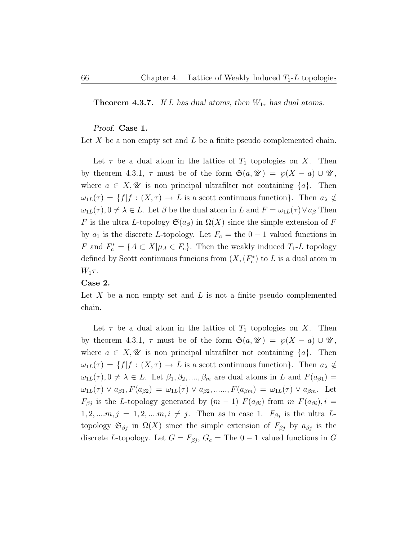**Theorem 4.3.7.** If L has dual atoms, then  $W_{1\tau}$  has dual atoms.

### Proof. Case 1.

Let X be a non empty set and  $L$  be a finite pseudo complemented chain.

Let  $\tau$  be a dual atom in the lattice of  $T_1$  topologies on X. Then by theorem 4.3.1,  $\tau$  must be of the form  $\mathfrak{S}(a, \mathcal{U}) = \varphi(X - a) \cup \mathcal{U}$ , where  $a \in X, \mathscr{U}$  is non principal ultrafilter not containing  $\{a\}$ . Then  $\omega_{1L}(\tau) = \{f | f : (X, \tau) \to L \text{ is a scott continuous function}\}.$  Then  $a_{\lambda} \notin$  $\omega_{1L}(\tau)$ ,  $0 \neq \lambda \in L$ . Let  $\beta$  be the dual atom in L and  $F = \omega_{1L}(\tau) \vee a_{\beta}$  Then F is the ultra L-topology  $\mathfrak{S}(a_{\beta})$  in  $\Omega(X)$  since the simple extension of F by  $a_1$  is the discrete L-topology. Let  $F_c$  = the  $0-1$  valued functions in F and  $F_c^* = \{A \subset X | \mu_A \in F_c\}$ . Then the weakly induced  $T_1$ -L topology defined by Scott continuous funcions from  $(X, (F_c^*)$  to L is a dual atom in  $W_1\tau$ .

### Case 2.

Let  $X$  be a non empty set and  $L$  is not a finite pseudo complemented chain.

Let  $\tau$  be a dual atom in the lattice of  $T_1$  topologies on X. Then by theorem 4.3.1,  $\tau$  must be of the form  $\mathfrak{S}(a, \mathcal{U}) = \wp(X - a) \cup \mathcal{U}$ , where  $a \in X, \mathscr{U}$  is non principal ultrafilter not containing  $\{a\}$ . Then  $\omega_{1L}(\tau) = \{f | f : (X, \tau) \to L \text{ is a scott continuous function}\}.$  Then  $a_{\lambda} \notin$  $\omega_{1L}(\tau)$ ,  $0 \neq \lambda \in L$ . Let  $\beta_1, \beta_2, ..., \beta_m$  are dual atoms in L and  $F(a_{\beta 1}) =$  $\omega_{1L}(\tau) \vee a_{\beta 1}, F(a_{\beta 2}) = \omega_{1L}(\tau) \vee a_{\beta 2}, \dots, F(a_{\beta m}) = \omega_{1L}(\tau) \vee a_{\beta m}.$  Let  $F_{\beta j}$  is the L-topology generated by  $(m-1)$   $F(a_{\beta i})$  from  $m F(a_{\beta i}), i =$  $1, 2, ..., m, j = 1, 2, ..., m, i \neq j$ . Then as in case 1.  $F_{\beta j}$  is the ultra Ltopology  $\mathfrak{S}_{\beta j}$  in  $\Omega(X)$  since the simple extension of  $F_{\beta j}$  by  $a_{\beta j}$  is the discrete L-topology. Let  $G = F_{\beta j}$ ,  $G_c =$  The  $0 - 1$  valued functions in G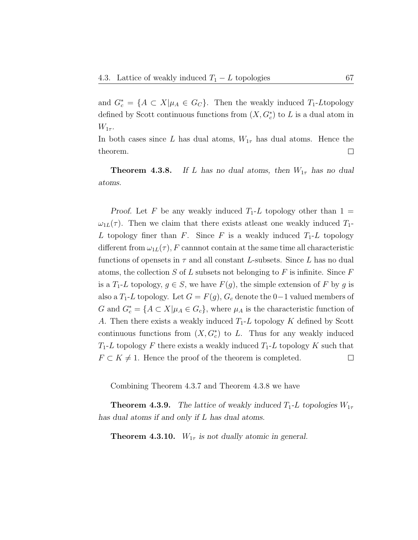and  $G_c^* = \{A \subset X | \mu_A \in G_C\}$ . Then the weakly induced  $T_1$ -Ltopology defined by Scott continuous functions from  $(X, G_c^*)$  to L is a dual atom in  $W_{1\tau}$ .

In both cases since L has dual atoms,  $W_{1\tau}$  has dual atoms. Hence the theorem.  $\Box$ 

**Theorem 4.3.8.** If L has no dual atoms, then  $W_{1\tau}$  has no dual atoms.

Proof. Let F be any weakly induced  $T_1$ -L topology other than  $1 =$  $\omega_{1L}(\tau)$ . Then we claim that there exists at least one weakly induced  $T_1$ -L topology finer than F. Since F is a weakly induced  $T_1$ -L topology different from  $\omega_{1L}(\tau)$ , F cannnot contain at the same time all characteristic functions of opensets in  $\tau$  and all constant L-subsets. Since L has no dual atoms, the collection  $S$  of  $L$  subsets not belonging to  $F$  is infinite. Since  $F$ is a  $T_1$ -L topology,  $g \in S$ , we have  $F(g)$ , the simple extension of F by g is also a  $T_1$ -L topology. Let  $G = F(g)$ ,  $G_c$  denote the 0−1 valued members of G and  $G_c^* = \{A \subset X | \mu_A \in G_c\}$ , where  $\mu_A$  is the characteristic function of A. Then there exists a weakly induced  $T_1$ -L topology K defined by Scott continuous functions from  $(X, G_e^*)$  to L. Thus for any weakly induced  $T_1$ -L topology F there exists a weakly induced  $T_1$ -L topology K such that  $F \subset K \neq 1$ . Hence the proof of the theorem is completed.  $\Box$ 

Combining Theorem 4.3.7 and Theorem 4.3.8 we have

**Theorem 4.3.9.** The lattice of weakly induced  $T_1$ -L topologies  $W_{1\tau}$ has dual atoms if and only if L has dual atoms.

**Theorem 4.3.10.**  $W_{1\tau}$  is not dually atomic in general.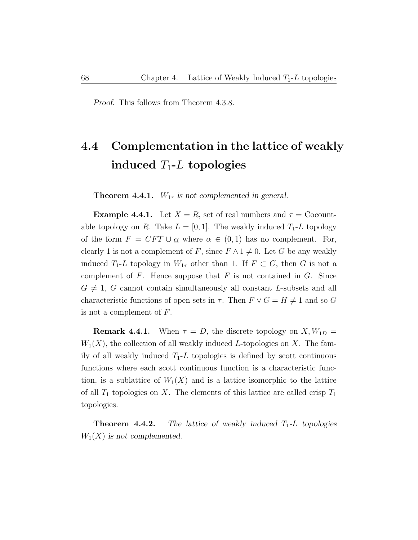Proof. This follows from Theorem 4.3.8.

# 4.4 Complementation in the lattice of weakly induced  $T_1$ -L topologies

**Theorem 4.4.1.**  $W_{1\tau}$  is not complemented in general.

**Example 4.4.1.** Let  $X = R$ , set of real numbers and  $\tau =$  Cocountable topology on R. Take  $L = [0, 1]$ . The weakly induced  $T_1$ -L topology of the form  $F = CFT \cup \alpha$  where  $\alpha \in (0,1)$  has no complement. For, clearly 1 is not a complement of F, since  $F \wedge 1 \neq 0$ . Let G be any weakly induced  $T_1$ -L topology in  $W_{1\tau}$  other than 1. If  $F \subset G$ , then G is not a complement of  $F$ . Hence suppose that  $F$  is not contained in  $G$ . Since  $G \neq 1$ , G cannot contain simultaneously all constant L-subsets and all characteristic functions of open sets in  $\tau$ . Then  $F \vee G = H \neq 1$  and so G is not a complement of  $F$ .

**Remark 4.4.1.** When  $\tau = D$ , the discrete topology on  $X, W_{1D} =$  $W_1(X)$ , the collection of all weakly induced L-topologies on X. The family of all weakly induced  $T_1$ -L topologies is defined by scott continuous functions where each scott continuous function is a characteristic function, is a sublattice of  $W_1(X)$  and is a lattice isomorphic to the lattice of all  $T_1$  topologies on X. The elements of this lattice are called crisp  $T_1$ topologies.

**Theorem 4.4.2.** The lattice of weakly induced  $T_1$ -L topologies  $W_1(X)$  is not complemented.

 $\Box$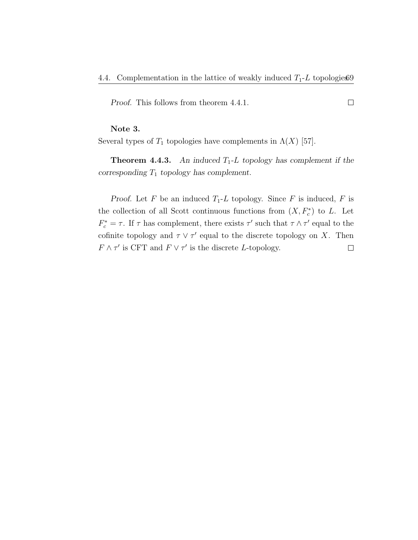$\Box$ 

Proof. This follows from theorem 4.4.1.

### Note 3.

Several types of  $T_1$  topologies have complements in  $\Lambda(X)$  [57].

**Theorem 4.4.3.** An induced  $T_1$ -L topology has complement if the corresponding  $T_1$  topology has complement.

Proof. Let F be an induced  $T_1$ -L topology. Since F is induced, F is the collection of all Scott continuous functions from  $(X, F_c^*)$  to L. Let  $F_c^* = \tau$ . If  $\tau$  has complement, there exists  $\tau'$  such that  $\tau \wedge \tau'$  equal to the cofinite topology and  $\tau \vee \tau'$  equal to the discrete topology on X. Then  $F \wedge \tau'$  is CFT and  $F \vee \tau'$  is the discrete L-topology.  $\Box$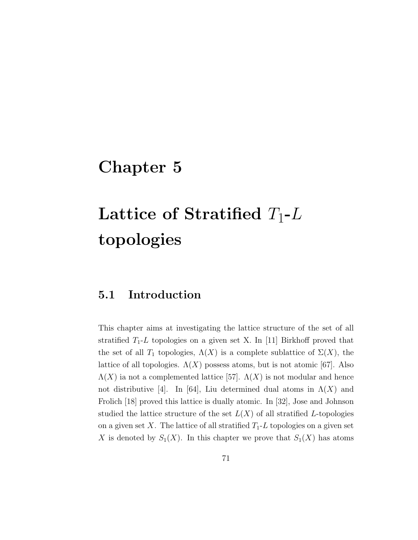# Chapter 5

# $\bf{Lattice\,\, of\,\, Stratified\,\, } T_1\hbox{-} L$ topologies

## 5.1 Introduction

This chapter aims at investigating the lattice structure of the set of all stratified  $T_1$ -L topologies on a given set X. In [11] Birkhoff proved that the set of all  $T_1$  topologies,  $\Lambda(X)$  is a complete sublattice of  $\Sigma(X)$ , the lattice of all topologies.  $\Lambda(X)$  possess atoms, but is not atomic [67]. Also  $\Lambda(X)$  ia not a complemented lattice [57].  $\Lambda(X)$  is not modular and hence not distributive [4]. In [64], Liu determined dual atoms in  $\Lambda(X)$  and Frolich [18] proved this lattice is dually atomic. In [32], Jose and Johnson studied the lattice structure of the set  $L(X)$  of all stratified L-topologies on a given set X. The lattice of all stratified  $T_1$ -L topologies on a given set X is denoted by  $S_1(X)$ . In this chapter we prove that  $S_1(X)$  has atoms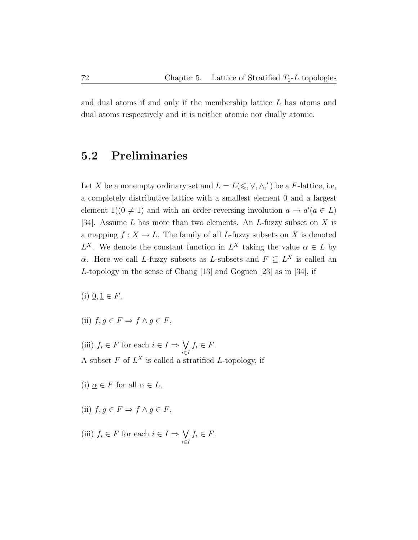and dual atoms if and only if the membership lattice  $L$  has atoms and dual atoms respectively and it is neither atomic nor dually atomic.

## 5.2 Preliminaries

Let X be a nonempty ordinary set and  $L = L(\leq, \vee, \wedge,')$  be a F-lattice, i.e, a completely distributive lattice with a smallest element 0 and a largest element  $1((0 \neq 1)$  and with an order-reversing involution  $a \to a'(a \in L)$ [34]. Assume  $L$  has more than two elements. An  $L$ -fuzzy subset on  $X$  is a mapping  $f: X \to L$ . The family of all L-fuzzy subsets on X is denoted  $L^X$ . We denote the constant function in  $L^X$  taking the value  $\alpha \in L$  by  $\underline{\alpha}$ . Here we call L-fuzzy subsets as L-subsets and  $F \subseteq L^X$  is called an L-topology in the sense of Chang [13] and Goguen [23] as in [34], if

(i)  $\underline{0}, \underline{1} \in F$ ,

- (ii)  $f, g \in F \Rightarrow f \wedge g \in F$ ,
- (iii)  $f_i \in F$  for each  $i \in I \Rightarrow \bigvee$ i∈I  $f_i \in F$ . A subset  $F$  of  $L^X$  is called a stratified  $L$ -topology, if
- (i)  $\underline{\alpha} \in F$  for all  $\alpha \in L$ ,
- (ii)  $f, g \in F \Rightarrow f \wedge g \in F$ ,
- (iii)  $f_i \in F$  for each  $i \in I \Rightarrow \bigvee$ i∈I  $f_i \in F$ .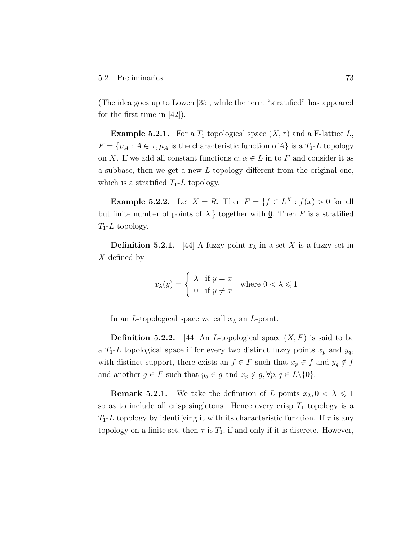(The idea goes up to Lowen [35], while the term "stratified" has appeared for the first time in  $|42|$ ).

**Example 5.2.1.** For a  $T_1$  topological space  $(X, \tau)$  and a F-lattice L,  $F = {\mu_A : A \in \tau, \mu_A \text{ is the characteristic function of } A}$  is a  $T_1$ -L topology on X. If we add all constant functions  $\alpha, \alpha \in L$  in to F and consider it as a subbase, then we get a new L-topology different from the original one, which is a stratified  $T_1$ -L topology.

**Example 5.2.2.** Let  $X = R$ . Then  $F = \{f \in L^X : f(x) > 0 \text{ for all }$ but finite number of points of  $X\}$  together with 0. Then F is a stratified  $T_1$ -L topology.

**Definition 5.2.1.** [44] A fuzzy point  $x_{\lambda}$  in a set X is a fuzzy set in X defined by

$$
x_{\lambda}(y) = \begin{cases} \lambda & \text{if } y = x \\ 0 & \text{if } y \neq x \end{cases} \text{ where } 0 < \lambda \leq 1
$$

In an *L*-topological space we call  $x_{\lambda}$  an *L*-point.

**Definition 5.2.2.** [44] An *L*-topological space  $(X, F)$  is said to be a  $T_1$ -L topological space if for every two distinct fuzzy points  $x_p$  and  $y_q$ , with distinct support, there exists an  $f \in F$  such that  $x_p \in f$  and  $y_q \notin f$ and another  $g \in F$  such that  $y_q \in g$  and  $x_p \notin g$ ,  $\forall p, q \in L \setminus \{0\}$ .

**Remark 5.2.1.** We take the definition of L points  $x_{\lambda}, 0 < \lambda \leq 1$ so as to include all crisp singletons. Hence every crisp  $T_1$  topology is a  $T_1$ -L topology by identifying it with its characteristic function. If  $\tau$  is any topology on a finite set, then  $\tau$  is  $T_1$ , if and only if it is discrete. However,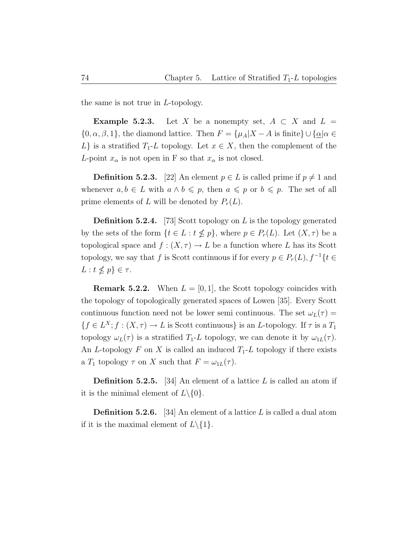the same is not true in L-topology.

**Example 5.2.3.** Let X be a nonempty set,  $A \subset X$  and  $L =$  $\{0, \alpha, \beta, 1\}$ , the diamond lattice. Then  $F = {\mu_A | X - A}$  is finite}  $\cup {\alpha | \alpha \in \mathbb{R}^d}$ L} is a stratified  $T_1$ -L topology. Let  $x \in X$ , then the complement of the L-point  $x_{\alpha}$  is not open in F so that  $x_{\alpha}$  is not closed.

**Definition 5.2.3.** [22] An element  $p \in L$  is called prime if  $p \neq 1$  and whenever  $a, b \in L$  with  $a \wedge b \leq p$ , then  $a \leq p$  or  $b \leq p$ . The set of all prime elements of L will be denoted by  $P_r(L)$ .

**Definition 5.2.4.** [73] Scott topology on L is the topology generated by the sets of the form  $\{t \in L : t \nleq p\}$ , where  $p \in P_r(L)$ . Let  $(X, \tau)$  be a topological space and  $f : (X, \tau) \to L$  be a function where L has its Scott topology, we say that f is Scott continuous if for every  $p \in P_r(L)$ ,  $f^{-1}\{t \in$  $L: t \nleq p$   $\in \tau$ .

**Remark 5.2.2.** When  $L = [0, 1]$ , the Scott topology coincides with the topology of topologically generated spaces of Lowen [35]. Every Scott continuous function need not be lower semi continuous. The set  $\omega_L(\tau) =$  ${f \in L^X; f : (X, \tau) \to L \text{ is Scott continuous}}$  is an L-topology. If  $\tau$  is a  $T_1$ topology  $\omega_L(\tau)$  is a stratified  $T_1$ -L topology, we can denote it by  $\omega_{1L}(\tau)$ . An L-topology F on X is called an induced  $T_1$ -L topology if there exists a  $T_1$  topology  $\tau$  on X such that  $F = \omega_{1L}(\tau)$ .

**Definition 5.2.5.** [34] An element of a lattice L is called an atom if it is the minimal element of  $L \setminus \{0\}.$ 

**Definition 5.2.6.** [34] An element of a lattice  $L$  is called a dual atom if it is the maximal element of  $L \setminus \{1\}.$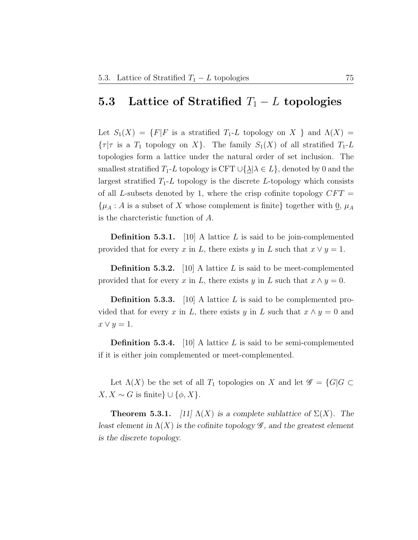### **5.3** Lattice of Stratified  $T_1 - L$  topologies

Let  $S_1(X) = \{F|F$  is a stratified  $T_1$ -L topology on X } and  $\Lambda(X) =$  $\{\tau | \tau \text{ is a } T_1 \text{ topology on } X\}.$  The family  $S_1(X)$  of all stratified  $T_1$ -L topologies form a lattice under the natural order of set inclusion. The smallest stratified  $T_1$ -L topology is CFT  $\cup{\{\lambda|\lambda\in L\}}$ , denoted by 0 and the largest stratified  $T_1$ -L topology is the discrete L-topology which consists of all L-subsets denoted by 1, where the crisp cofinite topology  $CFT =$  $\{\mu_A : A \text{ is a subset of } X \text{ whose complement is finite}\}$  together with  $\underline{0}, \mu_A$ is the charcteristic function of A.

**Definition 5.3.1.** [10] A lattice L is said to be join-complemented provided that for every x in L, there exists y in L such that  $x \vee y = 1$ .

**Definition 5.3.2.** [10] A lattice L is said to be meet-complemented provided that for every x in L, there exists y in L such that  $x \wedge y = 0$ .

**Definition 5.3.3.** [10] A lattice L is said to be complemented provided that for every x in L, there exists y in L such that  $x \wedge y = 0$  and  $x \vee y = 1.$ 

**Definition 5.3.4.** [10] A lattice L is said to be semi-complemented if it is either join complemented or meet-complemented.

Let  $\Lambda(X)$  be the set of all  $T_1$  topologies on X and let  $\mathscr{G} = \{G | G \subset$  $X, X \sim G$  is finite}  $\cup \{\phi, X\}.$ 

**Theorem 5.3.1.** [11]  $\Lambda(X)$  is a complete sublattice of  $\Sigma(X)$ . The least element in  $\Lambda(X)$  is the cofinite topology  $\mathscr G$ , and the greatest element is the discrete topology.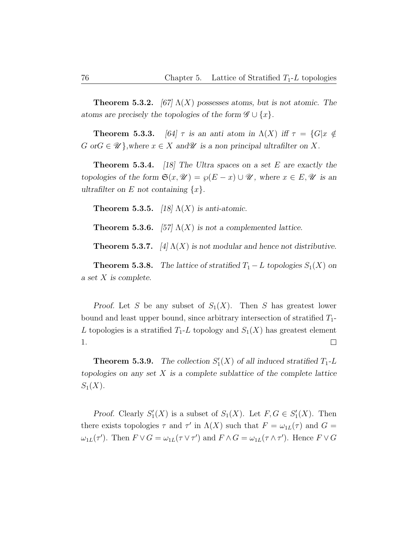**Theorem 5.3.2.** [67]  $\Lambda(X)$  possesses atoms, but is not atomic. The atoms are precisely the topologies of the form  $\mathscr{G} \cup \{x\}.$ 

**Theorem 5.3.3.** [64]  $\tau$  is an anti atom in  $\Lambda(X)$  iff  $\tau = \{G | x \notin \mathbb{R}\}$  $G \text{ or } G \in \mathcal{U}$ , where  $x \in X$  and  $\mathcal{U}$  is a non principal ultrafilter on X.

**Theorem 5.3.4.** [18] The Ultra spaces on a set E are exactly the topologies of the form  $\mathfrak{S}(x, \mathcal{U}) = \wp(E - x) \cup \mathcal{U}$ , where  $x \in E, \mathcal{U}$  is an ultrafilter on E not containing  $\{x\}$ .

**Theorem 5.3.5.** [18]  $\Lambda(X)$  is anti-atomic.

**Theorem 5.3.6.** [57]  $\Lambda(X)$  is not a complemented lattice.

**Theorem 5.3.7.** [4]  $\Lambda(X)$  is not modular and hence not distributive.

**Theorem 5.3.8.** The lattice of stratified  $T_1 - L$  topologies  $S_1(X)$  on a set X is complete.

Proof. Let S be any subset of  $S_1(X)$ . Then S has greatest lower bound and least upper bound, since arbitrary intersection of stratified  $T_1$ -L topologies is a stratified  $T_1$ -L topology and  $S_1(X)$  has greatest element  $\Box$ 1.

**Theorem 5.3.9.** The collection  $S'_1(X)$  of all induced stratified  $T_1$ -L topologies on any set  $X$  is a complete sublattice of the complete lattice  $S_1(X)$ .

Proof. Clearly  $S'_1(X)$  is a subset of  $S_1(X)$ . Let  $F, G \in S'_1(X)$ . Then there exists topologies  $\tau$  and  $\tau'$  in  $\Lambda(X)$  such that  $F = \omega_{1L}(\tau)$  and  $G =$  $\omega_{1L}(\tau')$ . Then  $F \vee G = \omega_{1L}(\tau \vee \tau')$  and  $F \wedge G = \omega_{1L}(\tau \wedge \tau')$ . Hence  $F \vee G$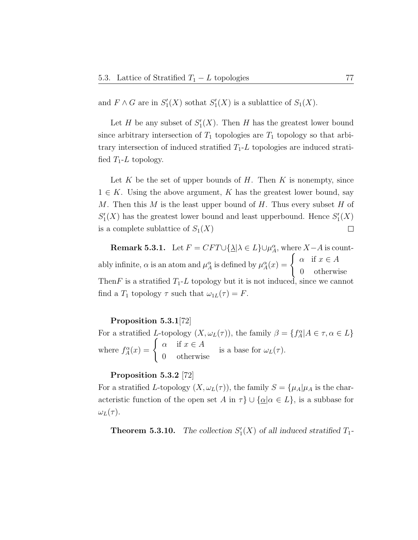and  $F \wedge G$  are in  $S'_1(X)$  sothat  $S'_1(X)$  is a sublattice of  $S_1(X)$ .

Let H be any subset of  $S'_1(X)$ . Then H has the greatest lower bound since arbitrary intersection of  $T_1$  topologies are  $T_1$  topology so that arbitrary intersection of induced stratified  $T_1$ -L topologies are induced stratified  $T_1$ -L topology.

Let K be the set of upper bounds of H. Then K is nonempty, since  $1 \in K$ . Using the above argument, K has the greatest lower bound, say M. Then this M is the least upper bound of H. Thus every subset H of  $S'_{1}(X)$  has the greatest lower bound and least upperbound. Hence  $S'_{1}(X)$  $\Box$ is a complete sublattice of  $S_1(X)$ 

**Remark 5.3.1.** Let  $F = CFT \cup {\{\Delta | \lambda \in L\}} \cup \mu_A^{\alpha}$ , where  $X - A$  is countably infinite,  $\alpha$  is an atom and  $\mu_A^{\alpha}$  is defined by  $\mu_A^{\alpha}(x) = \begin{cases} \alpha & \text{if } x \in A \\ 0 & \text{otherwise} \end{cases}$ 0 otherwise Then F is a stratified  $T_1$ -L topology but it is not induced, since we cannot find a  $T_1$  topology  $\tau$  such that  $\omega_{1L}(\tau) = F$ .

### Proposition 5.3.1[72]

For a stratified L-topology  $(X, \omega_L(\tau))$ , the family  $\beta = \{f_A^{\alpha} | A \in \tau, \alpha \in L\}$ where  $f_A^{\alpha}(x) = \begin{cases} \alpha & \text{if } x \in A \\ 0 & \text{otherwise} \end{cases}$ 0 otherwise is a base for  $\omega_L(\tau)$ .

### Proposition 5.3.2 [72]

For a stratified L-topology  $(X, \omega_L(\tau))$ , the family  $S = {\mu_A|\mu_A}$  is the characteristic function of the open set A in  $\tau$   $\cup$  { $\underline{\alpha}$ | $\alpha \in L$ }, is a subbase for  $\omega_L(\tau)$ .

**Theorem 5.3.10.** The collection  $S'_1(X)$  of all induced stratified  $T_1$ -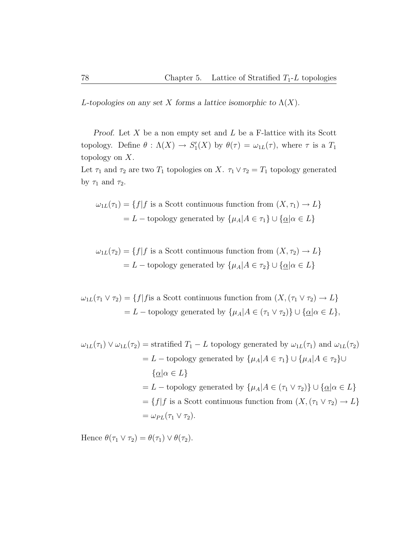L-topologies on any set X forms a lattice isomorphic to  $\Lambda(X)$ .

*Proof.* Let  $X$  be a non empty set and  $L$  be a F-lattice with its Scott topology. Define  $\theta : \Lambda(X) \to S'_1(X)$  by  $\theta(\tau) = \omega_{1L}(\tau)$ , where  $\tau$  is a  $T_1$ topology on  $X$ .

Let  $\tau_1$  and  $\tau_2$  are two  $T_1$  topologies on X.  $\tau_1 \vee \tau_2 = T_1$  topology generated by  $\tau_1$  and  $\tau_2$ .

$$
\omega_{1L}(\tau_1) = \{f | f \text{ is a Scott continuous function from } (X, \tau_1) \to L\}
$$

$$
= L - \text{topology generated by } \{\mu_A | A \in \tau_1\} \cup \{\underline{\alpha} | \alpha \in L\}
$$

$$
\omega_{1L}(\tau_2) = \{f | f \text{ is a Scott continuous function from } (X, \tau_2) \to L\}
$$

$$
= L - \text{topology generated by } \{\mu_A | A \in \tau_2\} \cup \{\underline{\alpha} | \alpha \in L\}
$$

 $\omega_{1L}(\tau_1 \vee \tau_2) = \{f | f \text{ is a Scott continuous function from } (X, (\tau_1 \vee \tau_2) \to L\}$ = L – topology generated by  $\{\mu_A | A \in (\tau_1 \vee \tau_2)\} \cup \{\underline{\alpha} | \alpha \in L\},\$ 

$$
\omega_{1L}(\tau_1) \vee \omega_{1L}(\tau_2) = \text{stratified } T_1 - L \text{ topology generated by } \omega_{1L}(\tau_1) \text{ and } \omega_{1L}(\tau_2)
$$

$$
= L - \text{topology generated by } \{\mu_A | A \in \tau_1\} \cup \{\mu_A | A \in \tau_2\} \cup
$$

$$
\{\underline{\alpha} | \alpha \in L\}
$$

$$
= L - \text{topology generated by } \{\mu_A | A \in (\tau_1 \vee \tau_2)\} \cup \{\underline{\alpha} | \alpha \in L\}
$$

$$
= \{f | f \text{ is a Scott continuous function from } (X, (\tau_1 \vee \tau_2) \to L\}
$$

$$
= \omega_{PL}(\tau_1 \vee \tau_2).
$$

Hence  $\theta(\tau_1 \vee \tau_2) = \theta(\tau_1) \vee \theta(\tau_2)$ .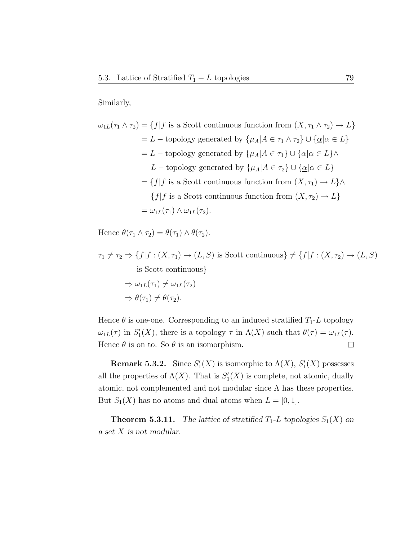### Similarly,

$$
\omega_{1L}(\tau_1 \wedge \tau_2) = \{f | f \text{ is a Scott continuous function from } (X, \tau_1 \wedge \tau_2) \to L\}
$$
  
= L - topology generated by  $\{\mu_A | A \in \tau_1 \wedge \tau_2\} \cup \{\underline{\alpha} | \alpha \in L\}$   
= L - topology generated by  $\{\mu_A | A \in \tau_1\} \cup \{\underline{\alpha} | \alpha \in L\} \wedge$   
L - topology generated by  $\{\mu_A | A \in \tau_2\} \cup \{\underline{\alpha} | \alpha \in L\}$   
=  $\{f | f \text{ is a Scott continuous function from } (X, \tau_1) \to L\} \wedge$   
 $\{f | f \text{ is a Scott continuous function from } (X, \tau_2) \to L\}$   
=  $\omega_{1L}(\tau_1) \wedge \omega_{1L}(\tau_2).$ 

Hence  $\theta(\tau_1 \wedge \tau_2) = \theta(\tau_1) \wedge \theta(\tau_2)$ .

$$
\tau_1 \neq \tau_2 \Rightarrow \{f | f : (X, \tau_1) \to (L, S) \text{ is Scott continuous} \} \neq \{f | f : (X, \tau_2) \to (L, S) \text{ is Scott continuous} \}
$$
  
\n
$$
\Rightarrow \omega_{1L}(\tau_1) \neq \omega_{1L}(\tau_2)
$$
  
\n
$$
\Rightarrow \theta(\tau_1) \neq \theta(\tau_2).
$$

Hence  $\theta$  is one-one. Corresponding to an induced stratified  $T_1$ -L topology  $\omega_{1L}(\tau)$  in  $S'_{1}(X)$ , there is a topology  $\tau$  in  $\Lambda(X)$  such that  $\theta(\tau) = \omega_{1L}(\tau)$ . Hence  $\theta$  is on to. So  $\theta$  is an isomorphism.  $\Box$ 

**Remark 5.3.2.** Since  $S'_1(X)$  is isomorphic to  $\Lambda(X)$ ,  $S'_1(X)$  possesses all the properties of  $\Lambda(X)$ . That is  $S'_{1}(X)$  is complete, not atomic, dually atomic, not complemented and not modular since  $\Lambda$  has these properties. But  $S_1(X)$  has no atoms and dual atoms when  $L = [0, 1]$ .

**Theorem 5.3.11.** The lattice of stratified  $T_1$ -L topologies  $S_1(X)$  on a set X is not modular.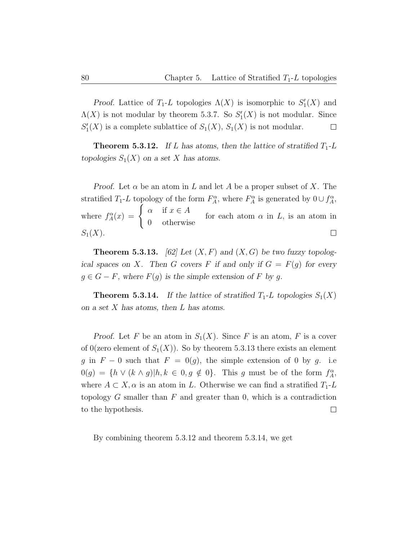Proof. Lattice of  $T_1$ -L topologies  $\Lambda(X)$  is isomorphic to  $S'_1(X)$  and  $\Lambda(X)$  is not modular by theorem 5.3.7. So  $S'_{1}(X)$  is not modular. Since  $S'_{1}(X)$  is a complete sublattice of  $S_{1}(X)$ ,  $S_{1}(X)$  is not modular.  $\Box$ 

**Theorem 5.3.12.** If L has atoms, then the lattice of stratified  $T_1$ -L topologies  $S_1(X)$  on a set X has atoms.

Proof. Let  $\alpha$  be an atom in L and let A be a proper subset of X. The stratified  $T_1$ -L topology of the form  $F_A^{\alpha}$ , where  $F_A^{\alpha}$  is generated by  $0 \cup f_A^{\alpha}$ , where  $f_A^{\alpha}(x) = \begin{cases} \alpha & \text{if } x \in A \\ 0 & \text{otherwise} \end{cases}$ for each atom  $\alpha$  in  $L$ , is an atom in 0 otherwise  $S_1(X)$ .  $\Box$ 

**Theorem 5.3.13.** [62] Let  $(X, F)$  and  $(X, G)$  be two fuzzy topological spaces on X. Then G covers F if and only if  $G = F(g)$  for every  $g \in G - F$ , where  $F(g)$  is the simple extension of F by g.

**Theorem 5.3.14.** If the lattice of stratified  $T_1$ -L topologies  $S_1(X)$ on a set X has atoms, then L has atoms.

Proof. Let F be an atom in  $S_1(X)$ . Since F is an atom, F is a cover of 0(zero element of  $S_1(X)$ ). So by theorem 5.3.13 there exists an element g in  $F - 0$  such that  $F = 0(q)$ , the simple extension of 0 by g. i.e  $0(g) = \{h \vee (k \wedge g) | h, k \in 0, g \notin 0\}.$  This g must be of the form  $f_A^{\alpha}$ , where  $A \subset X$ ,  $\alpha$  is an atom in L. Otherwise we can find a stratified  $T_1$ -L topology  $G$  smaller than  $F$  and greater than  $0$ , which is a contradiction to the hypothesis.  $\Box$ 

By combining theorem 5.3.12 and theorem 5.3.14, we get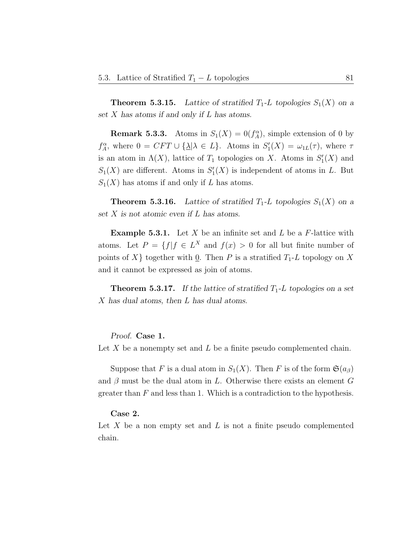**Theorem 5.3.15.** Lattice of stratified  $T_1$ -L topologies  $S_1(X)$  on a set X has atoms if and only if L has atoms.

**Remark 5.3.3.** Atoms in  $S_1(X) = 0(f_A^{\alpha})$ , simple extension of 0 by  $f_A^{\alpha}$ , where  $0 = CFT \cup {\{\underline{\lambda}} | \lambda \in L\}$ . Atoms in  $S'_1(X) = \omega_{1L}(\tau)$ , where  $\tau$ is an atom in  $\Lambda(X)$ , lattice of  $T_1$  topologies on X. Atoms in  $S'_1(X)$  and  $S_1(X)$  are different. Atoms in  $S'_1(X)$  is independent of atoms in L. But  $S_1(X)$  has atoms if and only if L has atoms.

**Theorem 5.3.16.** Lattice of stratified  $T_1$ -L topologies  $S_1(X)$  on a set  $X$  is not atomic even if  $L$  has atoms.

**Example 5.3.1.** Let  $X$  be an infinite set and  $L$  be a  $F$ -lattice with atoms. Let  $P = \{f | f \in L^X \text{ and } f(x) > 0 \text{ for all but finite number of } \}$ points of X { $\}$  together with  $Q$ . Then P is a stratified  $T_1$ -L topology on X and it cannot be expressed as join of atoms.

**Theorem 5.3.17.** If the lattice of stratified  $T_1$ -L topologies on a set X has dual atoms, then L has dual atoms.

Proof. Case 1.

Let X be a nonempty set and L be a finite pseudo complemented chain.

Suppose that F is a dual atom in  $S_1(X)$ . Then F is of the form  $\mathfrak{S}(a_{\beta})$ and  $\beta$  must be the dual atom in L. Otherwise there exists an element G greater than  $F$  and less than 1. Which is a contradiction to the hypothesis.

### Case 2.

Let X be a non empty set and  $L$  is not a finite pseudo complemented chain.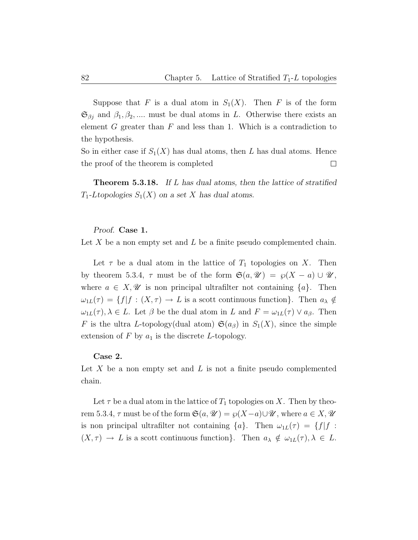Suppose that F is a dual atom in  $S_1(X)$ . Then F is of the form  $\mathfrak{S}_{\beta j}$  and  $\beta_1, \beta_2, \dots$  must be dual atoms in L. Otherwise there exists an element  $G$  greater than  $F$  and less than 1. Which is a contradiction to the hypothesis.

So in either case if  $S_1(X)$  has dual atoms, then L has dual atoms. Hence the proof of the theorem is completed  $\Box$ 

**Theorem 5.3.18.** If L has dual atoms, then the lattice of stratified  $T_1$ -Ltopologies  $S_1(X)$  on a set X has dual atoms.

### Proof. Case 1.

Let X be a non empty set and L be a finite pseudo complemented chain.

Let  $\tau$  be a dual atom in the lattice of  $T_1$  topologies on X. Then by theorem 5.3.4,  $\tau$  must be of the form  $\mathfrak{S}(a, \mathcal{U}) = \wp(X - a) \cup \mathcal{U}$ , where  $a \in X, \mathscr{U}$  is non principal ultrafilter not containing  $\{a\}$ . Then  $\omega_{1L}(\tau) = \{f | f : (X, \tau) \to L \text{ is a scott continuous function}\}.$  Then  $a_{\lambda} \notin$  $\omega_{1L}(\tau)$ ,  $\lambda \in L$ . Let  $\beta$  be the dual atom in L and  $F = \omega_{1L}(\tau) \vee a_{\beta}$ . Then F is the ultra L-topology(dual atom)  $\mathfrak{S}(a_{\beta})$  in  $S_1(X)$ , since the simple extension of  $F$  by  $a_1$  is the discrete L-topology.

### Case 2.

Let X be a non empty set and  $L$  is not a finite pseudo complemented chain.

Let  $\tau$  be a dual atom in the lattice of  $T_1$  topologies on X. Then by theorem 5.3.4,  $\tau$  must be of the form  $\mathfrak{S}(a, \mathcal{U}) = \wp(X-a) \cup \mathcal{U}$ , where  $a \in X, \mathcal{U}$ is non principal ultrafilter not containing  $\{a\}$ . Then  $\omega_{1L}(\tau) = \{f | f :$  $(X, \tau) \to L$  is a scott continuous function}. Then  $a_{\lambda} \notin \omega_{1L}(\tau), \lambda \in L$ .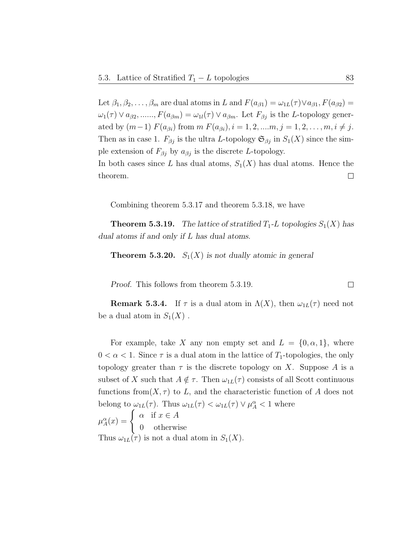Let  $\beta_1, \beta_2, \ldots, \beta_m$  are dual atoms in L and  $F(a_{\beta 1}) = \omega_{1L}(\tau) \vee a_{\beta 1}, F(a_{\beta 2}) =$  $\omega_1(\tau) \vee a_{\beta 2}, \dots, F(a_{\beta m}) = \omega_{1l}(\tau) \vee a_{\beta m}$ . Let  $F_{\beta j}$  is the L-topology generated by  $(m-1)$   $F(a_{\beta i})$  from  $m F(a_{\beta i}), i = 1, 2, ..., m, j = 1, 2, ..., m, i \neq j$ . Then as in case 1.  $F_{\beta j}$  is the ultra L-topology  $\mathfrak{S}_{\beta j}$  in  $S_1(X)$  since the simple extension of  $F_{\beta j}$  by  $a_{\beta j}$  is the discrete L-topology. In both cases since L has dual atoms,  $S_1(X)$  has dual atoms. Hence the  $\Box$ theorem.

Combining theorem 5.3.17 and theorem 5.3.18, we have

**Theorem 5.3.19.** The lattice of stratified  $T_1$ -L topologies  $S_1(X)$  has dual atoms if and only if L has dual atoms.

**Theorem 5.3.20.**  $S_1(X)$  is not dually atomic in general

Proof. This follows from theorem 5.3.19.

**Remark 5.3.4.** If  $\tau$  is a dual atom in  $\Lambda(X)$ , then  $\omega_{1L}(\tau)$  need not be a dual atom in  $S_1(X)$ .

For example, take X any non empty set and  $L = \{0, \alpha, 1\}$ , where  $0 < \alpha < 1$ . Since  $\tau$  is a dual atom in the lattice of  $T_1$ -topologies, the only topology greater than  $\tau$  is the discrete topology on X. Suppose A is a subset of X such that  $A \notin \tau$ . Then  $\omega_{1L}(\tau)$  consists of all Scott continuous functions from  $(X, \tau)$  to L, and the characteristic function of A does not belong to  $\omega_{1L}(\tau)$ . Thus  $\omega_{1L}(\tau) < \omega_{1L}(\tau) \vee \mu_A^{\alpha} < 1$  where  $\mu_A^{\alpha}(x) = \begin{cases} \alpha & \text{if } x \in A \\ 0 & \text{otherwise} \end{cases}$ 0 otherwise Thus  $\omega_{1L}(\tau)$  is not a dual atom in  $S_1(X)$ .

 $\Box$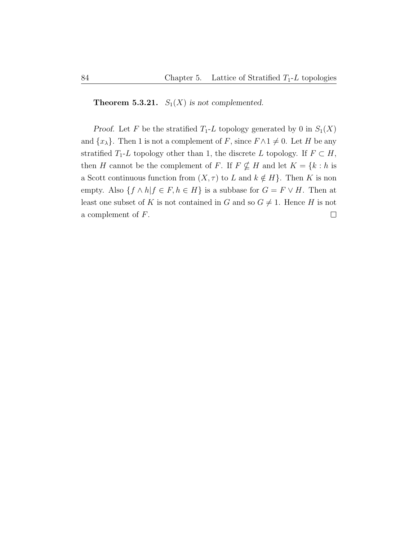**Theorem 5.3.21.**  $S_1(X)$  is not complemented.

Proof. Let F be the stratified  $T_1$ -L topology generated by 0 in  $S_1(X)$ and  $\{x_{\lambda}\}.$  Then 1 is not a complement of F, since  $F \wedge 1 \neq 0$ . Let H be any stratified  $T_1$ -L topology other than 1, the discrete L topology. If  $F \subset H$ , then H cannot be the complement of F. If  $F \nsubseteq H$  and let  $K = \{k : h$  is a Scott continuous function from  $(X, \tau)$  to L and  $k \notin H$ . Then K is non empty. Also  $\{f \wedge h | f \in F, h \in H\}$  is a subbase for  $G = F \vee H$ . Then at least one subset of K is not contained in G and so  $G \neq 1$ . Hence H is not  $\Box$ a complement of F.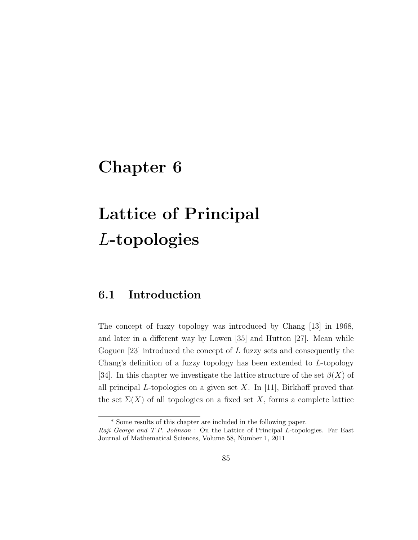# Chapter 6

# Lattice of Principal L-topologies

## 6.1 Introduction

The concept of fuzzy topology was introduced by Chang [13] in 1968, and later in a different way by Lowen [35] and Hutton [27]. Mean while Goguen [23] introduced the concept of L fuzzy sets and consequently the Chang's definition of a fuzzy topology has been extended to L-topology [34]. In this chapter we investigate the lattice structure of the set  $\beta(X)$  of all principal L-topologies on a given set X. In [11], Birkhoff proved that the set  $\Sigma(X)$  of all topologies on a fixed set X, forms a complete lattice

<sup>\*</sup> Some results of this chapter are included in the following paper.

Raji George and T.P. Johnson : On the Lattice of Principal L-topologies. Far East Journal of Mathematical Sciences, Volume 58, Number 1, 2011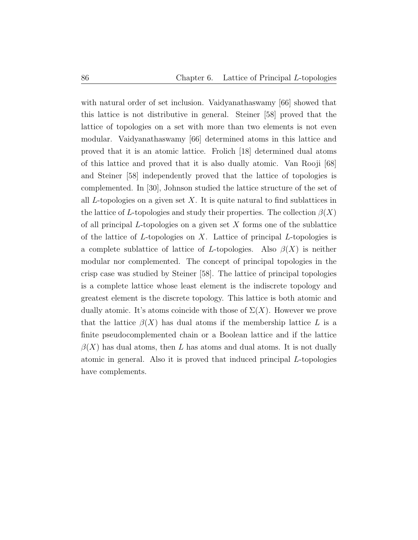with natural order of set inclusion. Vaidyanathaswamy [66] showed that this lattice is not distributive in general. Steiner [58] proved that the lattice of topologies on a set with more than two elements is not even modular. Vaidyanathaswamy [66] determined atoms in this lattice and proved that it is an atomic lattice. Frolich [18] determined dual atoms of this lattice and proved that it is also dually atomic. Van Rooji [68] and Steiner [58] independently proved that the lattice of topologies is complemented. In [30], Johnson studied the lattice structure of the set of all  $L$ -topologies on a given set X. It is quite natural to find sublattices in the lattice of L-topologies and study their properties. The collection  $\beta(X)$ of all principal  $L$ -topologies on a given set  $X$  forms one of the sublattice of the lattice of  $L$ -topologies on  $X$ . Lattice of principal  $L$ -topologies is a complete sublattice of lattice of L-topologies. Also  $\beta(X)$  is neither modular nor complemented. The concept of principal topologies in the crisp case was studied by Steiner [58]. The lattice of principal topologies is a complete lattice whose least element is the indiscrete topology and greatest element is the discrete topology. This lattice is both atomic and dually atomic. It's atoms coincide with those of  $\Sigma(X)$ . However we prove that the lattice  $\beta(X)$  has dual atoms if the membership lattice L is a finite pseudocomplemented chain or a Boolean lattice and if the lattice  $\beta(X)$  has dual atoms, then L has atoms and dual atoms. It is not dually atomic in general. Also it is proved that induced principal L-topologies have complements.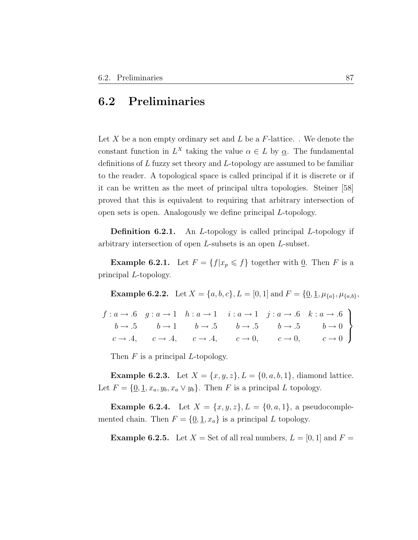### 6.2 Preliminaries

Let X be a non empty ordinary set and  $L$  be a  $F$ -lattice. . We denote the constant function in  $L^X$  taking the value  $\alpha \in L$  by  $\underline{\alpha}$ . The fundamental definitions of L fuzzy set theory and L-topology are assumed to be familiar to the reader. A topological space is called principal if it is discrete or if it can be written as the meet of principal ultra topologies. Steiner [58] proved that this is equivalent to requiring that arbitrary intersection of open sets is open. Analogously we define principal L-topology.

**Definition 6.2.1.** An *L*-topology is called principal *L*-topology if arbitrary intersection of open L-subsets is an open L-subset.

**Example 6.2.1.** Let  $F = \{f | x_p \leq f\}$  together with 0. Then F is a principal L-topology.

**Example 6.2.2.** Let  $X = \{a, b, c\}$ ,  $L = [0, 1]$  and  $F = \{0, 1, \mu_{\{a\}}, \mu_{\{a,b\}}\}$ 

 $f: a \rightarrow .6 \quad g: a \rightarrow 1 \quad h: a \rightarrow 1$  $b \rightarrow .5$   $b \rightarrow 1$   $b \rightarrow .5$  $c \rightarrow .4, \quad c \rightarrow .4, \quad c \rightarrow .4,$  $i: a \rightarrow 1 \quad j: a \rightarrow .6 \quad k: a \rightarrow .6$  $b \rightarrow .5$   $b \rightarrow .5$   $b \rightarrow 0$  $c \to 0$ ,  $c \to 0$ ,  $c \to 0$  $\mathcal{L}$  $\overline{\mathcal{L}}$  $\int$ 

Then  $F$  is a principal  $L$ -topology.

**Example 6.2.3.** Let  $X = \{x, y, z\}, L = \{0, a, b, 1\}$ , diamond lattice. Let  $F = \{0, 1, x_a, y_b, x_a \vee y_b\}$ . Then F is a principal L topology.

**Example 6.2.4.** Let  $X = \{x, y, z\}, L = \{0, a, 1\}, \text{ a pseudocomple-}$ mented chain. Then  $F = \{0, 1, x_a\}$  is a principal L topology.

**Example 6.2.5.** Let  $X = \text{Set of all real numbers}, L = [0, 1]$  and  $F =$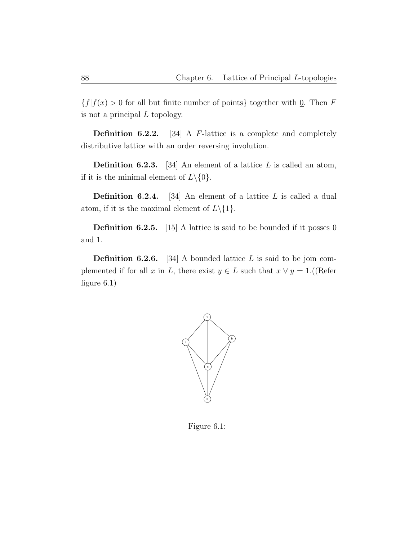${f|f(x) > 0$  for all but finite number of points} together with 0. Then F is not a principal  $L$  topology.

**Definition 6.2.2.** [34] A  $F$ -lattice is a complete and completely distributive lattice with an order reversing involution.

**Definition 6.2.3.** [34] An element of a lattice  $L$  is called an atom, if it is the minimal element of  $L \setminus \{0\}.$ 

**Definition 6.2.4.** [34] An element of a lattice  $L$  is called a dual atom, if it is the maximal element of  $L \setminus \{1\}.$ 

**Definition 6.2.5.** [15] A lattice is said to be bounded if it posses 0 and 1.

**Definition 6.2.6.** [34] A bounded lattice  $L$  is said to be join complemented if for all x in L, there exist  $y \in L$  such that  $x \vee y = 1$ .((Refer figure 6.1)



Figure 6.1: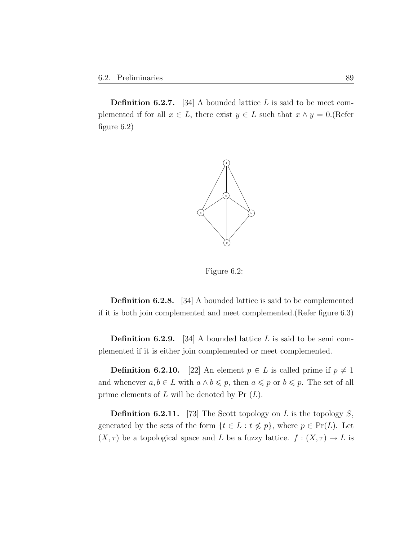**Definition 6.2.7.** [34] A bounded lattice  $L$  is said to be meet complemented if for all  $x \in L$ , there exist  $y \in L$  such that  $x \wedge y = 0$ . (Refer figure 6.2)



Figure 6.2:

Definition 6.2.8. [34] A bounded lattice is said to be complemented if it is both join complemented and meet complemented.(Refer figure 6.3)

**Definition 6.2.9.** [34] A bounded lattice L is said to be semi complemented if it is either join complemented or meet complemented.

**Definition 6.2.10.** [22] An element  $p \in L$  is called prime if  $p \neq 1$ and whenever  $a, b \in L$  with  $a \wedge b \leq p$ , then  $a \leq p$  or  $b \leq p$ . The set of all prime elements of  $L$  will be denoted by Pr  $(L)$ .

**Definition 6.2.11.** [73] The Scott topology on L is the topology  $S$ , generated by the sets of the form  $\{t \in L : t \nleq p\}$ , where  $p \in Pr(L)$ . Let  $(X, \tau)$  be a topological space and  $L$  be a fuzzy lattice.  $f : (X, \tau) \to L$  is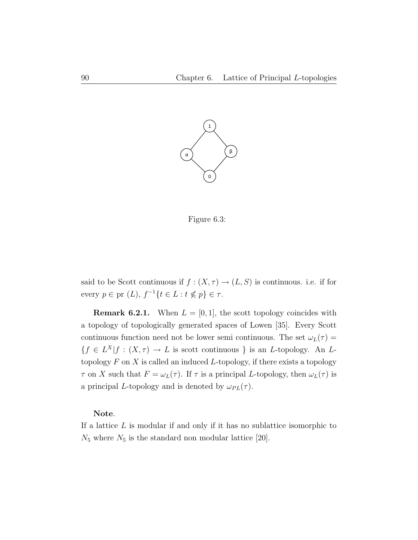

Figure 6.3:

said to be Scott continuous if  $f : (X, \tau) \to (L, S)$  is continuous. i.e. if for every  $p \in \text{pr } (L)$ ,  $f^{-1} \{ t \in L : t \nleq p \} \in \tau$ .

**Remark 6.2.1.** When  $L = [0, 1]$ , the scott topology coincides with a topology of topologically generated spaces of Lowen [35]. Every Scott continuous function need not be lower semi continuous. The set  $\omega_L(\tau) =$  ${f \in L^X | f : (X, \tau) \to L \text{ is scott continuous } }$  is an L-topology. An Ltopology  $F$  on  $X$  is called an induced  $L$ -topology, if there exists a topology  $\tau$  on X such that  $F = \omega_L(\tau)$ . If  $\tau$  is a principal L-topology, then  $\omega_L(\tau)$  is a principal L-topology and is denoted by  $\omega_{PL}(\tau)$ .

#### Note.

If a lattice  $L$  is modular if and only if it has no sublattice isomorphic to  $N_5$  where  $N_5$  is the standard non modular lattice [20].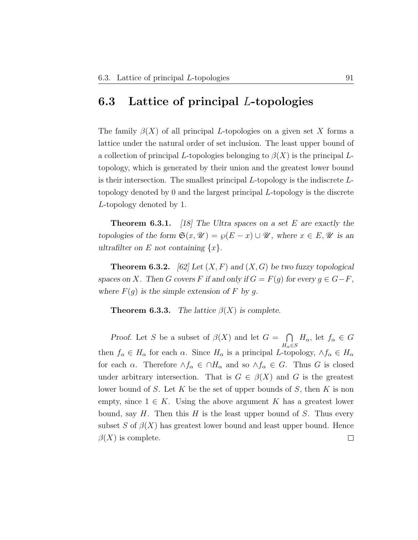### 6.3 Lattice of principal L-topologies

The family  $\beta(X)$  of all principal L-topologies on a given set X forms a lattice under the natural order of set inclusion. The least upper bound of a collection of principal L-topologies belonging to  $\beta(X)$  is the principal Ltopology, which is generated by their union and the greatest lower bound is their intersection. The smallest principal  $L$ -topology is the indiscrete  $L$ topology denoted by 0 and the largest principal L-topology is the discrete L-topology denoted by 1.

**Theorem 6.3.1.** [18] The Ultra spaces on a set E are exactly the topologies of the form  $\mathfrak{S}(x, \mathcal{U}) = \wp(E - x) \cup \mathcal{U}$ , where  $x \in E, \mathcal{U}$  is an ultrafilter on E not containing  $\{x\}$ .

**Theorem 6.3.2.** [62] Let  $(X, F)$  and  $(X, G)$  be two fuzzy topological spaces on X. Then G covers F if and only if  $G = F(g)$  for every  $g \in G - F$ , where  $F(g)$  is the simple extension of F by g.

**Theorem 6.3.3.** The lattice  $\beta(X)$  is complete.

*Proof.* Let S be a subset of  $\beta(X)$  and let  $G = \bigcap$  $H_{\alpha}$ , let  $f_{\alpha} \in G$  $H_{\alpha}$ ∈S then  $f_{\alpha} \in H_{\alpha}$  for each  $\alpha$ . Since  $H_{\alpha}$  is a principal L-topology,  $\wedge f_{\alpha} \in H_{\alpha}$ for each  $\alpha$ . Therefore  $\wedge f_{\alpha} \in \cap H_{\alpha}$  and so  $\wedge f_{\alpha} \in G$ . Thus G is closed under arbitrary intersection. That is  $G \in \beta(X)$  and G is the greatest lower bound of S. Let K be the set of upper bounds of S, then K is non empty, since  $1 \in K$ . Using the above argument K has a greatest lower bound, say  $H$ . Then this  $H$  is the least upper bound of  $S$ . Thus every subset S of  $\beta(X)$  has greatest lower bound and least upper bound. Hence  $\beta(X)$  is complete.  $\Box$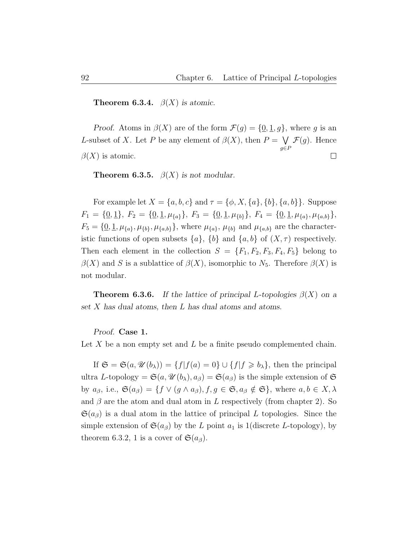**Theorem 6.3.4.**  $\beta(X)$  is atomic.

*Proof.* Atoms in  $\beta(X)$  are of the form  $\mathcal{F}(g) = \{0, 1, g\}$ , where g is an L-subset of X. Let P be any element of  $\beta(X)$ , then  $P = \bigvee$  $\mathcal{F}(g)$ . Hence g∈P  $\beta(X)$  is atomic.  $\Box$ 

**Theorem 6.3.5.**  $\beta(X)$  is not modular.

For example let  $X = \{a, b, c\}$  and  $\tau = \{\phi, X, \{a\}, \{b\}, \{a, b\}\}\$ . Suppose  $F_1 = \{0, 1\}, F_2 = \{0, 1, \mu_{\{a\}}\}, F_3 = \{0, 1, \mu_{\{b\}}\}, F_4 = \{0, 1, \mu_{\{a\}}, \mu_{\{a,b\}}\},$  $F_5 = \{ \underline{0}, \underline{1}, \mu_{\{a\}}, \mu_{\{b\}}, \mu_{\{a,b\}} \}$ , where  $\mu_{\{a\}}, \mu_{\{b\}}$  and  $\mu_{\{a,b\}}$  are the characteristic functions of open subsets  $\{a\}$ ,  $\{b\}$  and  $\{a, b\}$  of  $(X, \tau)$  respectively. Then each element in the collection  $S = \{F_1, F_2, F_3, F_4, F_5\}$  belong to  $\beta(X)$  and S is a sublattice of  $\beta(X)$ , isomorphic to N<sub>5</sub>. Therefore  $\beta(X)$  is not modular.

**Theorem 6.3.6.** If the lattice of principal L-topologies  $\beta(X)$  on a set X has dual atoms, then L has dual atoms and atoms.

Proof. Case 1.

Let X be a non empty set and L be a finite pseudo complemented chain.

If  $\mathfrak{S} = \mathfrak{S}(a, \mathcal{U}(b_\lambda)) = \{f | f(a) = 0\} \cup \{f | f \geq b_\lambda\}$ , then the principal ultra L-topology =  $\mathfrak{S}(a, \mathcal{U}(b_\lambda), a_\beta) = \mathfrak{S}(a_\beta)$  is the simple extension of  $\mathfrak{S}$ by  $a_{\beta}$ , i.e.,  $\mathfrak{S}(a_{\beta}) = \{ f \lor (g \land a_{\beta}), f, g \in \mathfrak{S}, a_{\beta} \notin \mathfrak{S} \}, \text{ where } a, b \in X, \lambda$ and  $\beta$  are the atom and dual atom in L respectively (from chapter 2). So  $\mathfrak{S}(a_{\beta})$  is a dual atom in the lattice of principal L topologies. Since the simple extension of  $\mathfrak{S}(a_{\beta})$  by the L point  $a_1$  is 1(discrete L-topology), by theorem 6.3.2, 1 is a cover of  $\mathfrak{S}(a_{\beta})$ .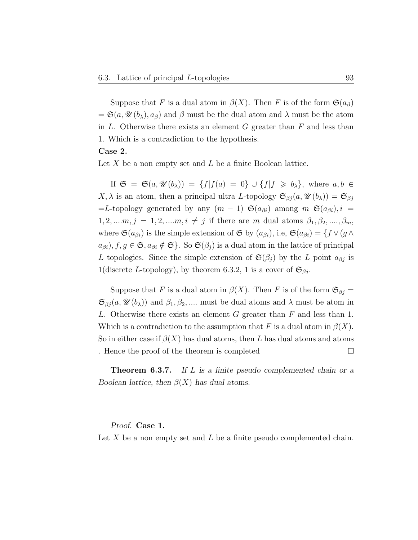Suppose that F is a dual atom in  $\beta(X)$ . Then F is of the form  $\mathfrak{S}(a_{\beta})$  $=\mathfrak{S}(a,\mathscr{U}(b_{\lambda}),a_{\beta})$  and  $\beta$  must be the dual atom and  $\lambda$  must be the atom in  $L$ . Otherwise there exists an element  $G$  greater than  $F$  and less than 1. Which is a contradiction to the hypothesis.

#### Case 2.

Let X be a non empty set and  $L$  be a finite Boolean lattice.

If  $\mathfrak{S} = \mathfrak{S}(a, \mathcal{U}(b_{\lambda})) = \{f | f(a) = 0\} \cup \{f | f \geq b_{\lambda}\}\$ , where  $a, b \in$  $X, \lambda$  is an atom, then a principal ultra L-topology  $\mathfrak{S}_{\beta j}(a, \mathcal{U}(b_{\lambda})) = \mathfrak{S}_{\beta j}$ =L-topology generated by any  $(m-1)$   $\mathfrak{S}(a_{\beta i})$  among  $m$   $\mathfrak{S}(a_{\beta i}), i =$  $1, 2, ..., m, j = 1, 2, ..., m, i \neq j$  if there are m dual atoms  $\beta_1, \beta_2, ..., \beta_m$ , where  $\mathfrak{S}(a_{\beta i})$  is the simple extension of  $\mathfrak{S}$  by  $(a_{\beta i})$ , i.e,  $\mathfrak{S}(a_{\beta i}) = \{f \vee (g \wedge f) \in \mathfrak{S}(a_{\beta i})\}$  $a_{\beta i}$ ,  $f, g \in \mathfrak{S}, a_{\beta i} \notin \mathfrak{S}$ . So  $\mathfrak{S}(\beta_i)$  is a dual atom in the lattice of principal L topologies. Since the simple extension of  $\mathfrak{S}(\beta_j)$  by the L point  $a_{\beta j}$  is 1(discrete L-topology), by theorem 6.3.2, 1 is a cover of  $\mathfrak{S}_{\beta j}$ .

Suppose that F is a dual atom in  $\beta(X)$ . Then F is of the form  $\mathfrak{S}_{\beta j} =$  $\mathfrak{S}_{\beta j}(a,\mathscr{U}(b_{\lambda}))$  and  $\beta_1,\beta_2,...$  must be dual atoms and  $\lambda$  must be atom in L. Otherwise there exists an element  $G$  greater than  $F$  and less than 1. Which is a contradiction to the assumption that F is a dual atom in  $\beta(X)$ . So in either case if  $\beta(X)$  has dual atoms, then L has dual atoms and atoms . Hence the proof of the theorem is completed  $\Box$ 

**Theorem 6.3.7.** If L is a finite pseudo complemented chain or a Boolean lattice, then  $\beta(X)$  has dual atoms.

Proof. Case 1.

Let X be a non empty set and L be a finite pseudo complemented chain.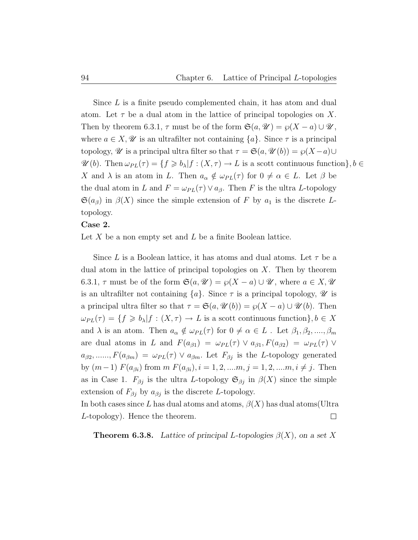Since L is a finite pseudo complemented chain, it has atom and dual atom. Let  $\tau$  be a dual atom in the lattice of principal topologies on X. Then by theorem 6.3.1,  $\tau$  must be of the form  $\mathfrak{S}(a, \mathcal{U}) = \wp(X - a) \cup \mathcal{U}$ , where  $a \in X$ ,  $\mathscr U$  is an ultrafilter not containing  $\{a\}$ . Since  $\tau$  is a principal topology,  $\mathscr U$  is a principal ultra filter so that  $\tau = \mathfrak{S}(a, \mathscr U(b)) = \wp(X-a) \cup$  $\mathscr{U}(b)$ . Then  $\omega_{PL}(\tau) = \{f \geq b_\lambda | f : (X, \tau) \to L \text{ is a scott continuous function}\}, b \in$ X and  $\lambda$  is an atom in L. Then  $a_{\alpha} \notin \omega_{PL}(\tau)$  for  $0 \neq \alpha \in L$ . Let  $\beta$  be the dual atom in L and  $F = \omega_{PL}(\tau) \vee a_{\beta}$ . Then F is the ultra L-topology  $\mathfrak{S}(a_{\beta})$  in  $\beta(X)$  since the simple extension of F by  $a_1$  is the discrete Ltopology.

#### Case 2.

Let X be a non empty set and  $L$  be a finite Boolean lattice.

Since L is a Boolean lattice, it has atoms and dual atoms. Let  $\tau$  be a dual atom in the lattice of principal topologies on  $X$ . Then by theorem 6.3.1,  $\tau$  must be of the form  $\mathfrak{S}(a, \mathcal{U}) = \wp(X - a) \cup \mathcal{U}$ , where  $a \in X, \mathcal{U}$ is an ultrafilter not containing  $\{a\}$ . Since  $\tau$  is a principal topology,  $\mathscr U$  is a principal ultra filter so that  $\tau = \mathfrak{S}(a, \mathcal{U}(b)) = \wp(X - a) \cup \mathcal{U}(b)$ . Then  $\omega_{PL}(\tau) = \{f \geq b_\lambda | f : (X, \tau) \to L \text{ is a scott continuous function}\}, b \in X$ and  $\lambda$  is an atom. Then  $a_{\alpha} \notin \omega_{PL}(\tau)$  for  $0 \neq \alpha \in L$ . Let  $\beta_1, \beta_2, ..., \beta_m$ are dual atoms in L and  $F(a_{\beta 1}) = \omega_{PL}(\tau) \vee a_{\beta 1} F(a_{\beta 2}) = \omega_{PL}(\tau) \vee$  $a_{\beta 2}, \ldots, F(a_{\beta m}) = \omega_{PL}(\tau) \vee a_{\beta m}$ . Let  $F_{\beta j}$  is the L-topology generated by  $(m-1)$   $F(a_{\beta i})$  from  $m$   $F(a_{\beta i}), i = 1, 2, ..., m, j = 1, 2, ..., m, i \neq j$ . Then as in Case 1.  $F_{\beta j}$  is the ultra L-topology  $\mathfrak{S}_{\beta j}$  in  $\beta(X)$  since the simple extension of  $F_{\beta j}$  by  $a_{\beta j}$  is the discrete L-topology. In both cases since L has dual atoms and atoms,  $\beta(X)$  has dual atoms (Ultra

**Theorem 6.3.8.** Lattice of principal L-topologies  $\beta(X)$ , on a set X

 $\Box$ 

L-topology). Hence the theorem.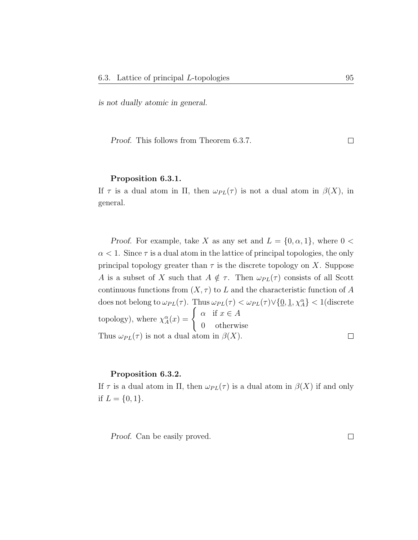is not dually atomic in general.

Proof. This follows from Theorem 6.3.7.  $\Box$ 

#### Proposition 6.3.1.

If  $\tau$  is a dual atom in  $\Pi$ , then  $\omega_{PL}(\tau)$  is not a dual atom in  $\beta(X)$ , in general.

*Proof.* For example, take X as any set and  $L = \{0, \alpha, 1\}$ , where  $0 <$  $\alpha$  < 1. Since  $\tau$  is a dual atom in the lattice of principal topologies, the only principal topology greater than  $\tau$  is the discrete topology on X. Suppose A is a subset of X such that  $A \notin \tau$ . Then  $\omega_{PL}(\tau)$  consists of all Scott continuous functions from  $(X, \tau)$  to L and the characteristic function of A does not belong to  $\omega_{PL}(\tau)$ . Thus  $\omega_{PL}(\tau) < \omega_{PL}(\tau) \vee \{\underline{0}, \underline{1}, \chi_A^{\alpha}\} < 1$ (discrete topology), where  $\chi_A^{\alpha}(x) = \begin{cases} \alpha & \text{if } x \in A \\ 0 & \text{otherwise} \end{cases}$ 0 otherwise Thus  $\omega_{PL}(\tau)$  is not a dual atom in  $\beta(X)$ .  $\Box$ 

#### Proposition 6.3.2.

If  $\tau$  is a dual atom in  $\Pi$ , then  $\omega_{PL}(\tau)$  is a dual atom in  $\beta(X)$  if and only if  $L = \{0, 1\}.$ 

Proof. Can be easily proved.

 $\Box$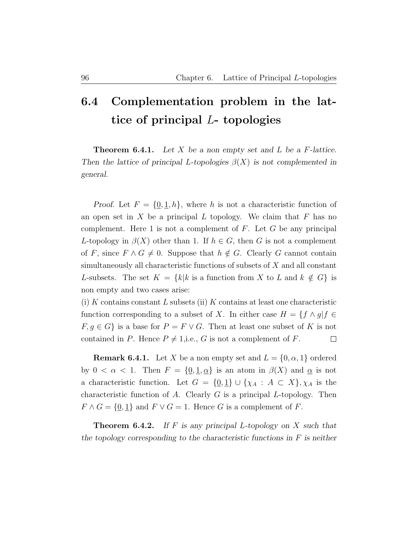## 6.4 Complementation problem in the lattice of principal L- topologies

**Theorem 6.4.1.** Let  $X$  be a non empty set and  $L$  be a  $F$ -lattice. Then the lattice of principal L-topologies  $\beta(X)$  is not complemented in general.

Proof. Let  $F = \{0, 1, h\}$ , where h is not a characteristic function of an open set in  $X$  be a principal  $L$  topology. We claim that  $F$  has no complement. Here 1 is not a complement of  $F$ . Let  $G$  be any principal L-topology in  $\beta(X)$  other than 1. If  $h \in G$ , then G is not a complement of F, since  $F \wedge G \neq 0$ . Suppose that  $h \notin G$ . Clearly G cannot contain simultaneously all characteristic functions of subsets of  $X$  and all constant L-subsets. The set  $K = \{k | k$  is a function from X to L and  $k \notin G\}$  is non empty and two cases arise:

 $(i)$  K contains constant L subsets (ii) K contains at least one characteristic function corresponding to a subset of X. In either case  $H = \{f \wedge g | f \in$  $F, g \in G$  is a base for  $P = F \vee G$ . Then at least one subset of K is not contained in P. Hence  $P \neq 1$ , i.e., G is not a complement of F.  $\Box$ 

**Remark 6.4.1.** Let X be a non empty set and  $L = \{0, \alpha, 1\}$  ordered by  $0 < \alpha < 1$ . Then  $F = \{0, 1, \alpha\}$  is an atom in  $\beta(X)$  and  $\alpha$  is not a characteristic function. Let  $G = \{0,1\} \cup \{\chi_A : A \subset X\}$ ,  $\chi_A$  is the characteristic function of  $A$ . Clearly  $G$  is a principal  $L$ -topology. Then  $F \wedge G = \{0, 1\}$  and  $F \vee G = 1$ . Hence G is a complement of F.

**Theorem 6.4.2.** If F is any principal L-topology on X such that the topology corresponding to the characteristic functions in  $F$  is neither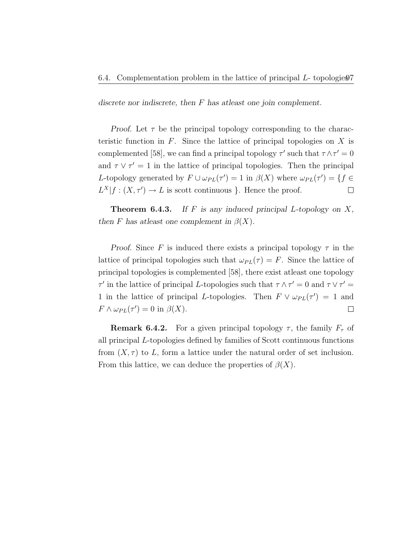discrete nor indiscrete, then F has atleast one join complement.

*Proof.* Let  $\tau$  be the principal topology corresponding to the characteristic function in  $F$ . Since the lattice of principal topologies on  $X$  is complemented [58], we can find a principal topology  $\tau'$  such that  $\tau \wedge \tau' = 0$ and  $\tau \vee \tau' = 1$  in the lattice of principal topologies. Then the principal L-topology generated by  $F \cup \omega_{PL}(\tau') = 1$  in  $\beta(X)$  where  $\omega_{PL}(\tau') = \{f \in$  $L^X|f:(X,\tau')\to L$  is scott continuous }. Hence the proof.  $\Box$ 

**Theorem 6.4.3.** If F is any induced principal L-topology on  $X$ , then F has at least one complement in  $\beta(X)$ .

Proof. Since F is induced there exists a principal topology  $\tau$  in the lattice of principal topologies such that  $\omega_{PL}(\tau) = F$ . Since the lattice of principal topologies is complemented [58], there exist atleast one topology  $\tau'$  in the lattice of principal L-topologies such that  $\tau \wedge \tau' = 0$  and  $\tau \vee \tau' =$ 1 in the lattice of principal L-topologies. Then  $F \vee \omega_{PL}(\tau') = 1$  and  $F \wedge \omega_{PL}(\tau') = 0$  in  $\beta(X)$ .  $\Box$ 

**Remark 6.4.2.** For a given principal topology  $\tau$ , the family  $F_{\tau}$  of all principal L-topologies defined by families of Scott continuous functions from  $(X, \tau)$  to L, form a lattice under the natural order of set inclusion. From this lattice, we can deduce the properties of  $\beta(X)$ .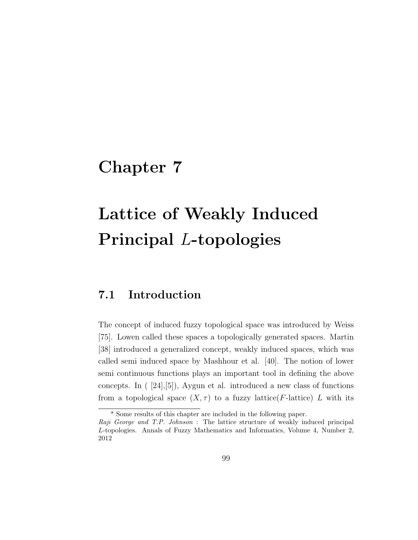## Chapter 7

# Lattice of Weakly Induced Principal L-topologies

### 7.1 Introduction

The concept of induced fuzzy topological space was introduced by Weiss [75]. Lowen called these spaces a topologically generated spaces. Martin [38] introduced a generalized concept, weakly induced spaces, which was called semi induced space by Mashhour et al. [40]. The notion of lower semi continuous functions plays an important tool in defining the above concepts. In ( [24],[5]), Aygun et al. introduced a new class of functions from a topological space  $(X, \tau)$  to a fuzzy lattice(*F*-lattice) L with its

<sup>\*</sup> Some results of this chapter are included in the following paper.

Raji George and T.P. Johnson : The lattice structure of weakly induced principal L-topologies. Annals of Fuzzy Mathematics and Informatics, Volume 4, Number 2, 2012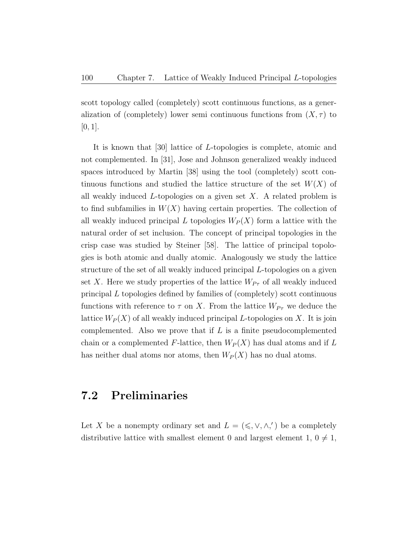scott topology called (completely) scott continuous functions, as a generalization of (completely) lower semi continuous functions from  $(X, \tau)$  to  $[0, 1].$ 

It is known that [30] lattice of L-topologies is complete, atomic and not complemented. In [31], Jose and Johnson generalized weakly induced spaces introduced by Martin [38] using the tool (completely) scott continuous functions and studied the lattice structure of the set  $W(X)$  of all weakly induced  $L$ -topologies on a given set  $X$ . A related problem is to find subfamilies in  $W(X)$  having certain properties. The collection of all weakly induced principal L topologies  $W_P(X)$  form a lattice with the natural order of set inclusion. The concept of principal topologies in the crisp case was studied by Steiner [58]. The lattice of principal topologies is both atomic and dually atomic. Analogously we study the lattice structure of the set of all weakly induced principal L-topologies on a given set X. Here we study properties of the lattice  $W_{P_{\tau}}$  of all weakly induced principal L topologies defined by families of (completely) scott continuous functions with reference to  $\tau$  on X. From the lattice  $W_{P_{\tau}}$  we deduce the lattice  $W_P(X)$  of all weakly induced principal L-topologies on X. It is join complemented. Also we prove that if  $L$  is a finite pseudocomplemented chain or a complemented F-lattice, then  $W_P(X)$  has dual atoms and if L has neither dual atoms nor atoms, then  $W_P(X)$  has no dual atoms.

### 7.2 Preliminaries

Let X be a nonempty ordinary set and  $L = (\leq, \vee, \wedge,')$  be a completely distributive lattice with smallest element 0 and largest element 1,  $0 \neq 1$ ,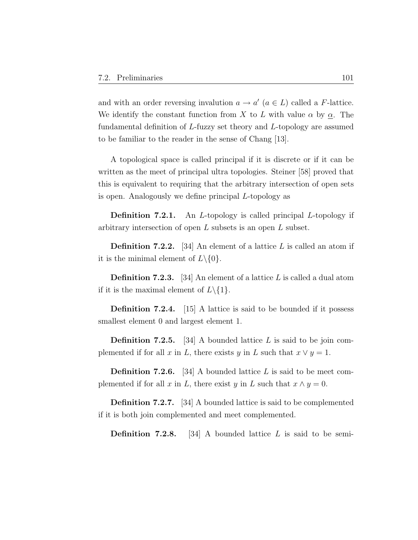and with an order reversing invalution  $a \to a'$   $(a \in L)$  called a F-lattice. We identify the constant function from X to L with value  $\alpha$  by  $\alpha$ . The fundamental definition of L-fuzzy set theory and L-topology are assumed to be familiar to the reader in the sense of Chang [13].

A topological space is called principal if it is discrete or if it can be written as the meet of principal ultra topologies. Steiner [58] proved that this is equivalent to requiring that the arbitrary intersection of open sets is open. Analogously we define principal L-topology as

Definition 7.2.1. An L-topology is called principal L-topology if arbitrary intersection of open  $L$  subsets is an open  $L$  subset.

**Definition 7.2.2.** [34] An element of a lattice  $L$  is called an atom if it is the minimal element of  $L \setminus \{0\}.$ 

**Definition 7.2.3.** [34] An element of a lattice  $L$  is called a dual atom if it is the maximal element of  $L \setminus \{1\}.$ 

**Definition 7.2.4.** [15] A lattice is said to be bounded if it possess smallest element 0 and largest element 1.

**Definition 7.2.5.** [34] A bounded lattice  $L$  is said to be join complemented if for all x in L, there exists y in L such that  $x \vee y = 1$ .

**Definition 7.2.6.** [34] A bounded lattice L is said to be meet complemented if for all x in L, there exist y in L such that  $x \wedge y = 0$ .

Definition 7.2.7. [34] A bounded lattice is said to be complemented if it is both join complemented and meet complemented.

**Definition 7.2.8.** [34] A bounded lattice L is said to be semi-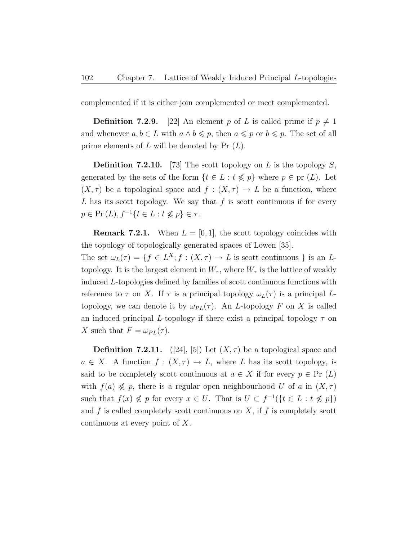complemented if it is either join complemented or meet complemented.

**Definition 7.2.9.** [22] An element p of L is called prime if  $p \neq 1$ and whenever  $a, b \in L$  with  $a \wedge b \leq p$ , then  $a \leq p$  or  $b \leq p$ . The set of all prime elements of  $L$  will be denoted by Pr  $(L)$ .

**Definition 7.2.10.** [73] The scott topology on L is the topology S, generated by the sets of the form  $\{t \in L : t \nleq p\}$  where  $p \in pr(L)$ . Let  $(X, \tau)$  be a topological space and  $f : (X, \tau) \to L$  be a function, where L has its scott topology. We say that  $f$  is scott continuous if for every  $p \in Pr(L), f^{-1}\{t \in L : t \nleq p\} \in \tau.$ 

**Remark 7.2.1.** When  $L = [0, 1]$ , the scott topology coincides with the topology of topologically generated spaces of Lowen [35].

The set  $\omega_L(\tau) = \{ f \in L^X; f : (X, \tau) \to L \text{ is scott continuous } \}$  is an Ltopology. It is the largest element in  $W_{\tau}$ , where  $W_{\tau}$  is the lattice of weakly induced L-topologies defined by families of scott continuous functions with reference to  $\tau$  on X. If  $\tau$  is a principal topology  $\omega_L(\tau)$  is a principal Ltopology, we can denote it by  $\omega_{PL}(\tau)$ . An *L*-topology F on X is called an induced principal L-topology if there exist a principal topology  $\tau$  on X such that  $F = \omega_{PL}(\tau)$ .

**Definition 7.2.11.** ([24], [5]) Let  $(X, \tau)$  be a topological space and  $a \in X$ . A function  $f : (X, \tau) \to L$ , where L has its scott topology, is said to be completely scott continuous at  $a \in X$  if for every  $p \in Pr(L)$ with  $f(a) \nleq p$ , there is a regular open neighbourhood U of a in  $(X, \tau)$ such that  $f(x) \nleq p$  for every  $x \in U$ . That is  $U \subset f^{-1}(\{t \in L : t \nleq p\})$ and f is called completely scott continuous on  $X$ , if f is completely scott continuous at every point of X.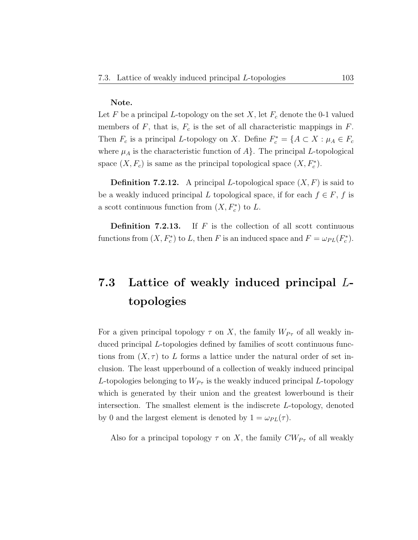#### Note.

Let F be a principal L-topology on the set X, let  $F_c$  denote the 0-1 valued members of  $F$ , that is,  $F_c$  is the set of all characteristic mappings in  $F$ . Then  $F_c$  is a principal L-topology on X. Define  $F_c^* = \{A \subset X : \mu_A \in F_c\}$ where  $\mu_A$  is the characteristic function of  $A$ . The principal L-topological space  $(X, F_c)$  is same as the principal topological space  $(X, F_c^*)$ .

**Definition 7.2.12.** A principal L-topological space  $(X, F)$  is said to be a weakly induced principal L topological space, if for each  $f \in F$ , f is a scott continuous function from  $(X, F_c^*)$  to L.

**Definition 7.2.13.** If  $F$  is the collection of all scott continuous functions from  $(X, F_c^*)$  to L, then F is an induced space and  $F = \omega_{PL}(F_c^*)$ .

## 7.3 Lattice of weakly induced principal Ltopologies

For a given principal topology  $\tau$  on X, the family  $W_{P_{\tau}}$  of all weakly induced principal L-topologies defined by families of scott continuous functions from  $(X, \tau)$  to L forms a lattice under the natural order of set inclusion. The least upperbound of a collection of weakly induced principal L-topologies belonging to  $W_{P_{\tau}}$  is the weakly induced principal L-topology which is generated by their union and the greatest lowerbound is their intersection. The smallest element is the indiscrete L-topology, denoted by 0 and the largest element is denoted by  $1 = \omega_{PL}(\tau)$ .

Also for a principal topology  $\tau$  on X, the family  $CW_{P_{\tau}}$  of all weakly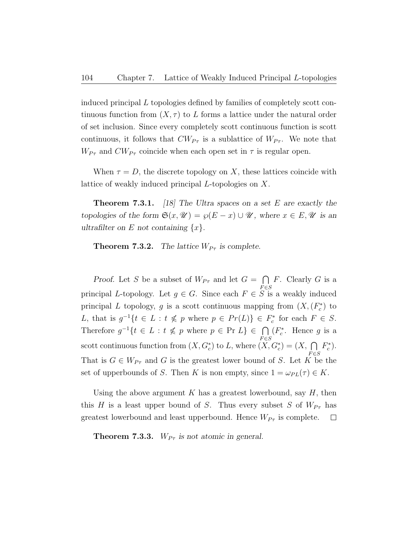induced principal L topologies defined by families of completely scott continuous function from  $(X, \tau)$  to L forms a lattice under the natural order of set inclusion. Since every completely scott continuous function is scott continuous, it follows that  $CW_{P_{\tau}}$  is a sublattice of  $W_{P_{\tau}}$ . We note that  $W_{P_{\tau}}$  and  $CW_{P_{\tau}}$  coincide when each open set in  $\tau$  is regular open.

When  $\tau = D$ , the discrete topology on X, these lattices coincide with lattice of weakly induced principal L-topologies on X.

**Theorem 7.3.1.** [18] The Ultra spaces on a set E are exactly the topologies of the form  $\mathfrak{S}(x, \mathcal{U}) = \wp(E - x) \cup \mathcal{U}$ , where  $x \in E, \mathcal{U}$  is an ultrafilter on E not containing  $\{x\}$ .

**Theorem 7.3.2.** The lattice  $W_{P_{\tau}}$  is complete.

Proof. Let S be a subset of  $W_{P_{\tau}}$  and let  $G = \bigcap$  $F \in S$  $F$ . Clearly  $G$  is a principal L-topology. Let  $g \in G$ . Since each  $F \in S$  is a weakly induced principal L topology, g is a scott continuous mapping from  $(X, (F_c^*)$  to L, that is  $g^{-1}\{t \in L : t \nleq p \text{ where } p \in Pr(L)\}\in F_c^*$  for each  $F \in S$ . Therefore  $g^{-1}\{t \in L : t \nleq p \text{ where } p \in \text{Pr } L\} \in \bigcap$  $F \in S$ ( $F_c^*$ . Hence g is a scott continuous function from  $(X, G_c^*)$  to L, where  $(X, G_c^*) = (X, \bigcap$  $_{F \in S}$  $F_c^*$ ). That is  $G \in W_{P_{\tau}}$  and G is the greatest lower bound of S. Let K be the set of upperbounds of S. Then K is non empty, since  $1 = \omega_{PL}(\tau) \in K$ .

Using the above argument  $K$  has a greatest lowerbound, say  $H$ , then this H is a least upper bound of S. Thus every subset S of  $W_{P_{\tau}}$  has greatest lowerbound and least upperbound. Hence  $W_{P_{\tau}}$  is complete.  $\Box$ 

**Theorem 7.3.3.**  $W_{P_{\tau}}$  is not atomic in general.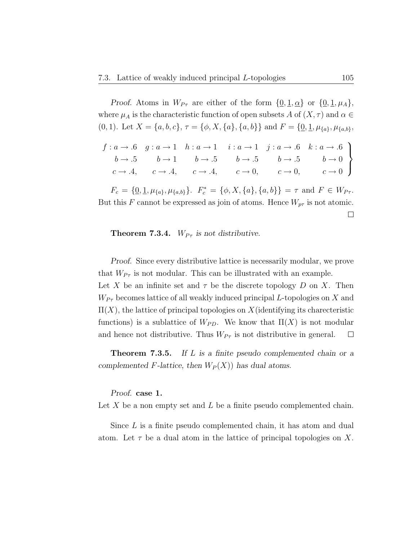Proof. Atoms in  $W_{P\tau}$  are either of the form  $\{\underline{0}, \underline{1}, \underline{\alpha}\}$  or  $\{\underline{0}, \underline{1}, \mu_A\},$ where  $\mu_A$  is the characteristic function of open subsets A of  $(X, \tau)$  and  $\alpha \in$ (0, 1). Let  $X = \{a, b, c\}, \tau = \{\phi, X, \{a\}, \{a, b\}\}\$ and  $F = \{\underline{0}, \underline{1}, \mu_{\{a\}}, \mu_{\{a, b\}}\}$ 

$$
\begin{array}{cccccc}\nf: a \rightarrow .6 & g: a \rightarrow 1 & h: a \rightarrow 1 & i: a \rightarrow 1 & j: a \rightarrow .6 & k: a \rightarrow .6 \\
b \rightarrow .5 & b \rightarrow 1 & b \rightarrow .5 & b \rightarrow .5 & b \rightarrow .5 & b \rightarrow 0 \\
c \rightarrow .4, & c \rightarrow .4, & c \rightarrow .4, & c \rightarrow 0, & c \rightarrow 0, & c \rightarrow 0\n\end{array}
$$

 $F_c = \{ \underline{0}, \underline{1}, \mu_{\{a\}}, \mu_{\{a,b\}} \}.$   $F_c^* = \{ \phi, X, \{a\}, \{a,b\} \} = \tau \text{ and } F \in W_{P\tau}.$ But this F cannot be expressed as join of atoms. Hence  $W_{p\tau}$  is not atomic.  $\Box$ 

#### **Theorem 7.3.4.**  $W_{P_{\tau}}$  is not distributive.

Proof. Since every distributive lattice is necessarily modular, we prove that  $W_{P_{\tau}}$  is not modular. This can be illustrated with an example. Let X be an infinite set and  $\tau$  be the discrete topology D on X. Then  $W_{P_{\tau}}$  becomes lattice of all weakly induced principal L-topologies on X and  $\Pi(X)$ , the lattice of principal topologies on X (identifying its charecteristic functions) is a sublattice of  $W_{PD}$ . We know that  $\Pi(X)$  is not modular and hence not distributive. Thus  $W_{P_{\tau}}$  is not distributive in general.  $\Box$ 

**Theorem 7.3.5.** If L is a finite pseudo complemented chain or a complemented F-lattice, then  $W_P(X)$  has dual atoms.

Proof. case 1.

Let X be a non empty set and  $L$  be a finite pseudo complemented chain.

Since L is a finite pseudo complemented chain, it has atom and dual atom. Let  $\tau$  be a dual atom in the lattice of principal topologies on X.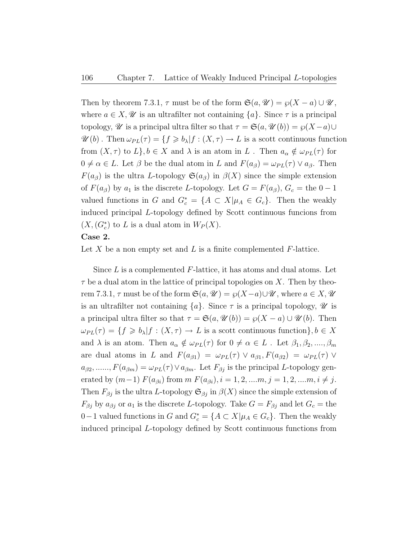Then by theorem 7.3.1,  $\tau$  must be of the form  $\mathfrak{S}(a, \mathcal{U}) = \wp(X - a) \cup \mathcal{U}$ , where  $a \in X, \mathscr{U}$  is an ultrafilter not containing  $\{a\}$ . Since  $\tau$  is a principal topology,  $\mathscr U$  is a principal ultra filter so that  $\tau = \mathfrak{S}(a, \mathscr U(b)) = \wp(X-a) \cup$  $\mathscr{U}(b)$ . Then  $\omega_{PL}(\tau) = \{f \geq b_\lambda | f : (X, \tau) \to L \text{ is a scott continuous function}\}$ from  $(X, \tau)$  to  $L$ ,  $b \in X$  and  $\lambda$  is an atom in L. Then  $a_{\alpha} \notin \omega_{PL}(\tau)$  for  $0 \neq \alpha \in L$ . Let  $\beta$  be the dual atom in L and  $F(a_{\beta}) = \omega_{PL}(\tau) \vee a_{\beta}$ . Then  $F(a_{\beta})$  is the ultra L-topology  $\mathfrak{S}(a_{\beta})$  in  $\beta(X)$  since the simple extension of  $F(a_{\beta})$  by  $a_1$  is the discrete L-topology. Let  $G = F(a_{\beta}), G_c =$  the  $0 - 1$ valued functions in G and  $G_c^* = \{A \subset X | \mu_A \in G_c\}$ . Then the weakly induced principal L-topology defined by Scott continuous funcions from  $(X, (G_c^*)$  to L is a dual atom in  $W_P(X)$ .

#### Case 2.

Let X be a non empty set and L is a finite complemented  $F$ -lattice.

Since  $L$  is a complemented  $F$ -lattice, it has atoms and dual atoms. Let  $\tau$  be a dual atom in the lattice of principal topologies on X. Then by theorem 7.3.1,  $\tau$  must be of the form  $\mathfrak{S}(a, \mathcal{U}) = \wp(X-a) \cup \mathcal{U}$ , where  $a \in X, \mathcal{U}$ is an ultrafilter not containing  $\{a\}$ . Since  $\tau$  is a principal topology,  $\mathscr U$  is a principal ultra filter so that  $\tau = \mathfrak{S}(a, \mathcal{U}(b)) = \wp(X - a) \cup \mathcal{U}(b)$ . Then  $\omega_{PL}(\tau) = \{f \geq b_\lambda | f : (X, \tau) \to L \text{ is a scott continuous function}\}, b \in X$ and  $\lambda$  is an atom. Then  $a_{\alpha} \notin \omega_{PL}(\tau)$  for  $0 \neq \alpha \in L$ . Let  $\beta_1, \beta_2, ..., \beta_m$ are dual atoms in L and  $F(a_{\beta 1}) = \omega_{PL}(\tau) \vee a_{\beta 1} F(a_{\beta 2}) = \omega_{PL}(\tau) \vee$  $a_{\beta 2}, \ldots, F(a_{\beta m}) = \omega_{PL}(\tau) \vee a_{\beta m}$ . Let  $F_{\beta j}$  is the principal L-topology generated by  $(m-1)$   $F(a_{\beta i})$  from  $m$   $F(a_{\beta i}), i = 1, 2, ..., m, j = 1, 2, ..., m, i \neq j$ . Then  $F_{\beta j}$  is the ultra L-topology  $\mathfrak{S}_{\beta j}$  in  $\beta(X)$  since the simple extension of  $F_{\beta j}$  by  $a_{\beta j}$  or  $a_1$  is the discrete L-topology. Take  $G = F_{\beta j}$  and let  $G_c =$  the 0−1 valued functions in G and  $G_c^* = \{A \subset X | \mu_A \in G_c\}$ . Then the weakly induced principal L-topology defined by Scott continuous functions from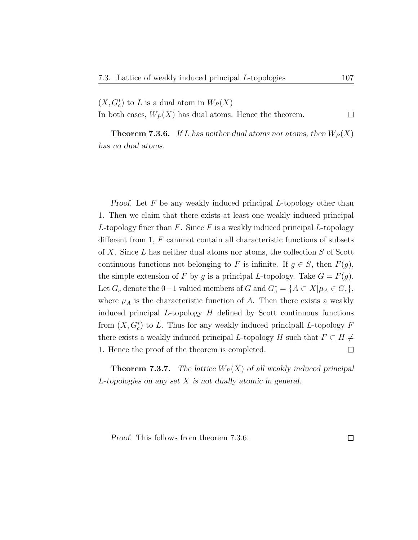$(X, G_c^*)$  to L is a dual atom in  $W_P(X)$ 

In both cases,  $W_P(X)$  has dual atoms. Hence the theorem.  $\Box$ 

**Theorem 7.3.6.** If L has neither dual atoms nor atoms, then  $W_P(X)$ has no dual atoms.

Proof. Let  $F$  be any weakly induced principal  $L$ -topology other than 1. Then we claim that there exists at least one weakly induced principal L-topology finer than  $F$ . Since  $F$  is a weakly induced principal L-topology different from  $1, F$  cannnot contain all characteristic functions of subsets of X. Since L has neither dual atoms nor atoms, the collection S of Scott continuous functions not belonging to F is infinite. If  $g \in S$ , then  $F(g)$ , the simple extension of F by g is a principal L-topology. Take  $G = F(g)$ . Let  $G_c$  denote the 0-1 valued members of G and  $G_c^* = \{A \subset X | \mu_A \in G_c\},\$ where  $\mu_A$  is the characteristic function of A. Then there exists a weakly induced principal  $L$ -topology  $H$  defined by Scott continuous functions from  $(X, G_c^*)$  to L. Thus for any weakly induced principall L-topology F there exists a weakly induced principal L-topology H such that  $F \subset H \neq$ 1. Hence the proof of the theorem is completed.  $\Box$ 

**Theorem 7.3.7.** The lattice  $W_P(X)$  of all weakly induced principal L-topologies on any set X is not dually atomic in general.

Proof. This follows from theorem 7.3.6.

 $\Box$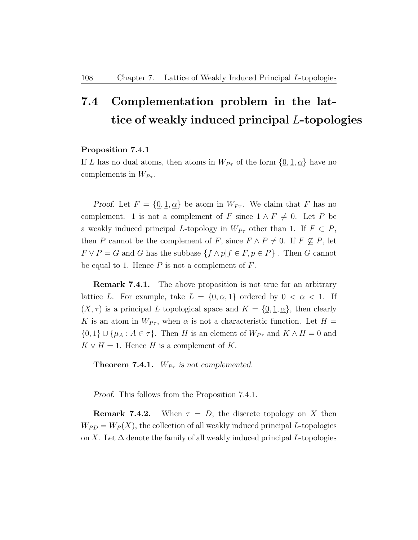## 7.4 Complementation problem in the lattice of weakly induced principal L-topologies

#### Proposition 7.4.1

If L has no dual atoms, then atoms in  $W_{P_{\tau}}$  of the form  $\{0, 1, \alpha\}$  have no complements in  $W_{P_{\tau}}$ .

Proof. Let  $F = \{0, 1, \alpha\}$  be atom in  $W_{P\tau}$ . We claim that F has no complement. 1 is not a complement of F since  $1 \wedge F \neq 0$ . Let P be a weakly induced principal L-topology in  $W_{P_{\tau}}$  other than 1. If  $F \subset P$ , then P cannot be the complement of F, since  $F \wedge P \neq 0$ . If  $F \nsubseteq P$ , let  $F \vee P = G$  and G has the subbase  $\{f \wedge p | f \in F, p \in P\}$ . Then G cannot be equal to 1. Hence  $P$  is not a complement of  $F$ .  $\Box$ 

**Remark 7.4.1.** The above proposition is not true for an arbitrary lattice L. For example, take  $L = \{0, \alpha, 1\}$  ordered by  $0 < \alpha < 1$ . If  $(X, \tau)$  is a principal L topological space and  $K = \{0, 1, \alpha\}$ , then clearly K is an atom in  $W_{P_{\tau}}$ , when  $\alpha$  is not a characteristic function. Let  $H =$  $\{0,1\} \cup \{\mu_A : A \in \tau\}.$  Then H is an element of  $W_{P_{\tau}}$  and  $K \wedge H = 0$  and  $K \vee H = 1$ . Hence H is a complement of K.

**Theorem 7.4.1.**  $W_{P_{\tau}}$  is not complemented.

Proof. This follows from the Proposition 7.4.1.  $\Box$ 

**Remark 7.4.2.** When  $\tau = D$ , the discrete topology on X then  $W_{PD} = W_P(X)$ , the collection of all weakly induced principal L-topologies on X. Let  $\Delta$  denote the family of all weakly induced principal L-topologies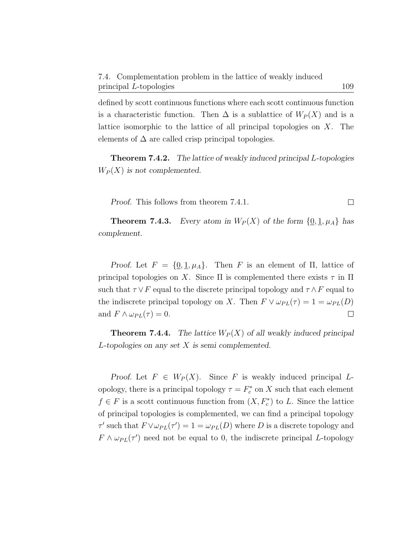defined by scott continuous functions where each scott continuous function is a characteristic function. Then  $\Delta$  is a sublattice of  $W_P(X)$  and is a lattice isomorphic to the lattice of all principal topologies on X. The elements of  $\Delta$  are called crisp principal topologies.

Theorem 7.4.2. The lattice of weakly induced principal L-topologies  $W_P(X)$  is not complemented.

Proof. This follows from theorem 7.4.1.  $\Box$ 

**Theorem 7.4.3.** Every atom in  $W_P(X)$  of the form  $\{0, 1, \mu_A\}$  has complement.

Proof. Let  $F = \{0, 1, \mu_A\}$ . Then F is an element of  $\Pi$ , lattice of principal topologies on X. Since  $\Pi$  is complemented there exists  $\tau$  in  $\Pi$ such that  $\tau \vee F$  equal to the discrete principal topology and  $\tau \wedge F$  equal to the indiscrete principal topology on X. Then  $F \vee \omega_{PL}(\tau) = 1 = \omega_{PL}(D)$ and  $F \wedge \omega_{PL}(\tau) = 0$ .  $\Box$ 

**Theorem 7.4.4.** The lattice  $W_P(X)$  of all weakly induced principal L-topologies on any set X is semi complemented.

Proof. Let  $F \in W_P(X)$ . Since F is weakly induced principal Lopology, there is a principal topology  $\tau = F_c^*$  on X such that each element  $f \in F$  is a scott continuous function from  $(X, F_c^*)$  to L. Since the lattice of principal topologies is complemented, we can find a principal topology  $\tau'$  such that  $F \vee \omega_{PL}(\tau') = 1 = \omega_{PL}(D)$  where D is a discrete topology and  $F \wedge \omega_{PL}(\tau')$  need not be equal to 0, the indiscrete principal L-topology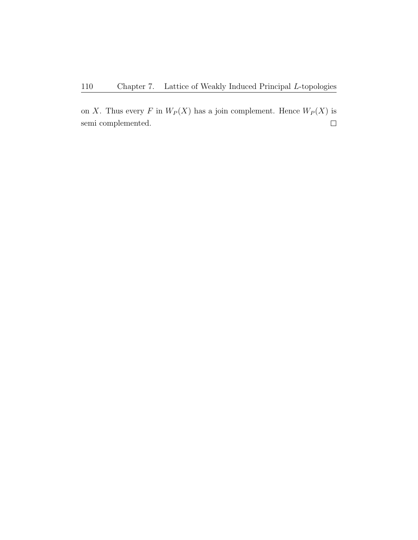on X. Thus every F in  $W_P(X)$  has a join complement. Hence  $W_P(X)$  is semi complemented. $\Box$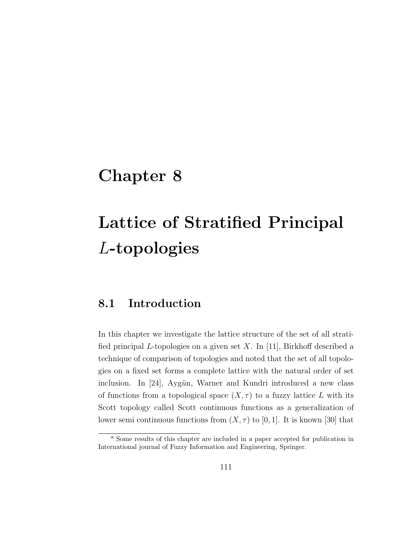## Chapter 8

# Lattice of Stratified Principal L-topologies

### 8.1 Introduction

In this chapter we investigate the lattice structure of the set of all stratified principal L-topologies on a given set X. In [11], Birkhoff described a technique of comparison of topologies and noted that the set of all topologies on a fixed set forms a complete lattice with the natural order of set inclusion. In [24], Aygün, Warner and Kundri introduced a new class of functions from a topological space  $(X, \tau)$  to a fuzzy lattice L with its Scott topology called Scott continuous functions as a generalization of lower semi continuous functions from  $(X, \tau)$  to [0, 1]. It is known [30] that

<sup>\*</sup> Some results of this chapter are included in a paper accepted for publication in International journal of Fuzzy Information and Engineering, Springer.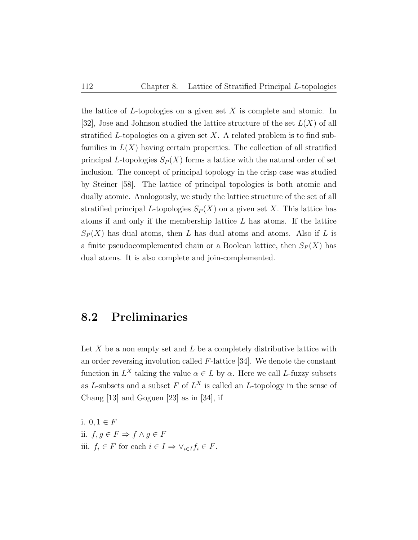the lattice of L-topologies on a given set  $X$  is complete and atomic. In [32], Jose and Johnson studied the lattice structure of the set  $L(X)$  of all stratified L-topologies on a given set  $X$ . A related problem is to find subfamilies in  $L(X)$  having certain properties. The collection of all stratified principal L-topologies  $S_P(X)$  forms a lattice with the natural order of set inclusion. The concept of principal topology in the crisp case was studied by Steiner [58]. The lattice of principal topologies is both atomic and dually atomic. Analogously, we study the lattice structure of the set of all stratified principal L-topologies  $S_P(X)$  on a given set X. This lattice has atoms if and only if the membership lattice  $L$  has atoms. If the lattice  $S_P(X)$  has dual atoms, then L has dual atoms and atoms. Also if L is a finite pseudocomplemented chain or a Boolean lattice, then  $S_P(X)$  has dual atoms. It is also complete and join-complemented.

### 8.2 Preliminaries

Let  $X$  be a non empty set and  $L$  be a completely distributive lattice with an order reversing involution called F-lattice [34]. We denote the constant function in  $L^X$  taking the value  $\alpha \in L$  by  $\underline{\alpha}$ . Here we call L-fuzzy subsets as L-subsets and a subset F of  $L^X$  is called an L-topology in the sense of Chang [13] and Goguen [23] as in [34], if

i.  $0, 1 \in F$ ii.  $f, g \in F$  ⇒  $f \land g \in F$ iii.  $f_i \in F$  for each  $i \in I \Rightarrow \vee_{i \in I} f_i \in F$ .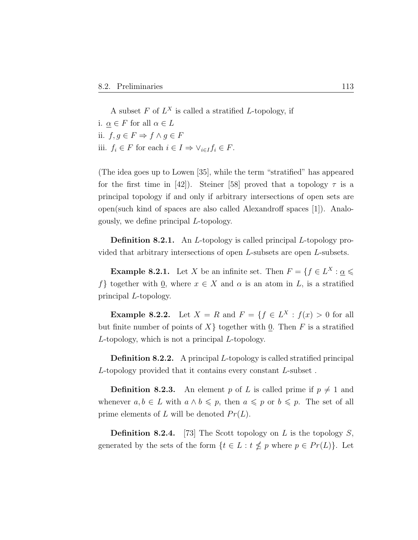A subset  $F$  of  $L^X$  is called a stratified L-topology, if i.  $\alpha \in F$  for all  $\alpha \in L$ ii. f, g ∈ F ⇒ f ∧ g ∈ F iii.  $f_i \in F$  for each  $i \in I \Rightarrow \vee_{i \in I} f_i \in F$ .

(The idea goes up to Lowen [35], while the term "stratified" has appeared for the first time in [42]). Steiner [58] proved that a topology  $\tau$  is a principal topology if and only if arbitrary intersections of open sets are open(such kind of spaces are also called Alexandroff spaces [1]). Analogously, we define principal L-topology.

Definition 8.2.1. An *L*-topology is called principal *L*-topology provided that arbitrary intersections of open L-subsets are open L-subsets.

**Example 8.2.1.** Let X be an infinite set. Then  $F = \{f \in L^X : \underline{\alpha} \leq \alpha\}$ f} together with  $\underline{0}$ , where  $x \in X$  and  $\alpha$  is an atom in L, is a stratified principal L-topology.

**Example 8.2.2.** Let  $X = R$  and  $F = \{f \in L^X : f(x) > 0 \text{ for all }$ but finite number of points of  $X\}$  together with 0. Then F is a stratified L-topology, which is not a principal L-topology.

Definition 8.2.2. A principal L-topology is called stratified principal L-topology provided that it contains every constant L-subset .

**Definition 8.2.3.** An element p of L is called prime if  $p \neq 1$  and whenever  $a, b \in L$  with  $a \wedge b \leq p$ , then  $a \leq p$  or  $b \leq p$ . The set of all prime elements of L will be denoted  $Pr(L)$ .

**Definition 8.2.4.** [73] The Scott topology on L is the topology S, generated by the sets of the form  $\{t \in L : t \nleq p \text{ where } p \in Pr(L)\}.$  Let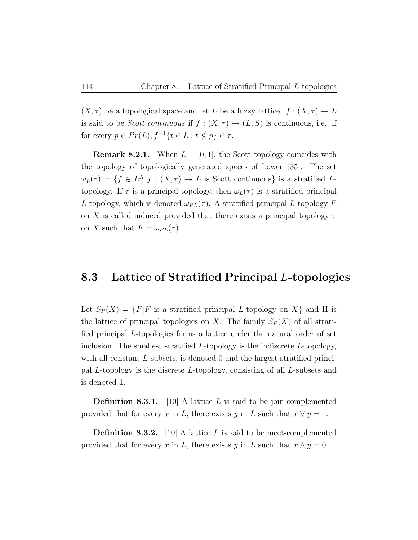$(X, \tau)$  be a topological space and let L be a fuzzy lattice.  $f : (X, \tau) \to L$ is said to be Scott continuous if  $f : (X, \tau) \to (L, S)$  is continuous, i.e., if for every  $p \in Pr(L)$ ,  $f^{-1}\{t \in L : t \nleq p\} \in \tau$ .

**Remark 8.2.1.** When  $L = [0, 1]$ , the Scott topology coincides with the topology of topologically generated spaces of Lowen [35]. The set  $\omega_L(\tau) = \{ f \in L^X | f : (X, \tau) \to L \text{ is Scott continuous} \}$  is a stratified Ltopology. If  $\tau$  is a principal topology, then  $\omega_L(\tau)$  is a stratified principal L-topology, which is denoted  $\omega_{PL}(\tau)$ . A stratified principal L-topology F on X is called induced provided that there exists a principal topology  $\tau$ on X such that  $F = \omega_{PL}(\tau)$ .

### 8.3 Lattice of Stratified Principal L-topologies

Let  $S_P(X) = \{F|F$  is a stratified principal L-topology on X and  $\Pi$  is the lattice of principal topologies on X. The family  $S_P(X)$  of all stratified principal L-topologies forms a lattice under the natural order of set inclusion. The smallest stratified  $L$ -topology is the indiscrete  $L$ -topology, with all constant L-subsets, is denoted 0 and the largest stratified principal L-topology is the discrete L-topology, consisting of all L-subsets and is denoted 1.

**Definition 8.3.1.** [10] A lattice L is said to be join-complemented provided that for every x in L, there exists y in L such that  $x \vee y = 1$ .

**Definition 8.3.2.** [10] A lattice L is said to be meet-complemented provided that for every x in L, there exists y in L such that  $x \wedge y = 0$ .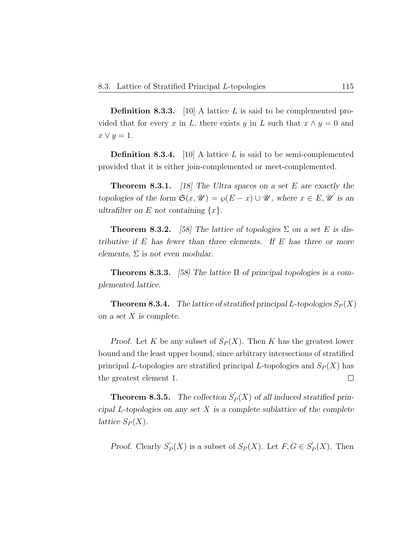**Definition 8.3.3.** [10] A lattice L is said to be complemented provided that for every x in L, there exists y in L such that  $x \wedge y = 0$  and  $x \vee y = 1.$ 

**Definition 8.3.4.** [10] A lattice L is said to be semi-complemented provided that it is either join-complemented or meet-complemented.

**Theorem 8.3.1.** [18] The Ultra spaces on a set E are exactly the topologies of the form  $\mathfrak{S}(x, \mathcal{U}) = \wp(E - x) \cup \mathcal{U}$ , where  $x \in E, \mathcal{U}$  is an ultrafilter on E not containing  $\{x\}$ .

**Theorem 8.3.2.** [58] The lattice of topologies  $\Sigma$  on a set E is distributive if  $E$  has fewer than three elements. If  $E$  has three or more elements,  $\Sigma$  is not even modular.

**Theorem 8.3.3.** [58] The lattice  $\Pi$  of principal topologies is a complemented lattice.

**Theorem 8.3.4.** The lattice of stratified principal L-topologies  $S_P(X)$ on a set X is complete.

Proof. Let K be any subset of  $S_P(X)$ . Then K has the greatest lower bound and the least upper bound, since arbitrary intersections of stratified principal L-topologies are stratified principal L-topologies and  $S_P(X)$  has the greatest element 1.  $\Box$ 

**Theorem 8.3.5.** The collection  $S'_{\ell}$  $P_P(X)$  of all induced stratified principal L-topologies on any set  $X$  is a complete sublattice of the complete lattice  $S_P(X)$ .

Proof. Clearly  $S'_{l}$  $P_P'(X)$  is a subset of  $S_P(X)$ . Let  $F, G \in S'_P$  $P_{P}(X)$ . Then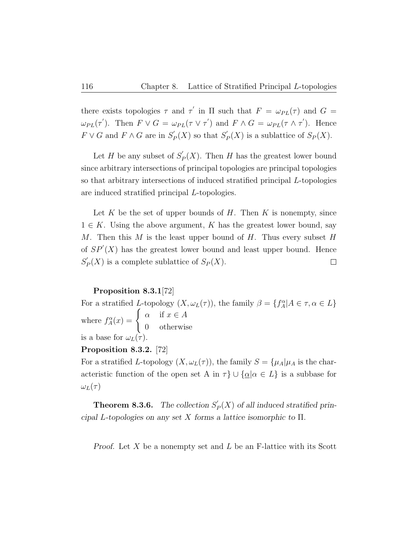there exists topologies  $\tau$  and  $\tau'$  in  $\Pi$  such that  $F = \omega_{PL}(\tau)$  and  $G =$  $\omega_{PL}(\tau')$ . Then  $F \vee G = \omega_{PL}(\tau \vee \tau')$  and  $F \wedge G = \omega_{PL}(\tau \wedge \tau')$ . Hence  $F \vee G$  and  $F \wedge G$  are in  $S'_P$  $S_P'(X)$  so that  $S_P'$  $P_P(X)$  is a sublattice of  $S_P(X)$ .

Let H be any subset of  $S'_{\mathcal{P}}$  $P_P(X)$ . Then H has the greatest lower bound since arbitrary intersections of principal topologies are principal topologies so that arbitrary intersections of induced stratified principal L-topologies are induced stratified principal L-topologies.

Let  $K$  be the set of upper bounds of  $H$ . Then  $K$  is nonempty, since  $1 \in K$ . Using the above argument, K has the greatest lower bound, say M. Then this M is the least upper bound of H. Thus every subset H of  $SP'(X)$  has the greatest lower bound and least upper bound. Hence  $S_{l}^{'}$  $P_P(X)$  is a complete sublattice of  $S_P(X)$ .  $\Box$ 

#### Proposition 8.3.1[72]

For a stratified L-topology  $(X, \omega_L(\tau))$ , the family  $\beta = \{f_A^{\alpha} | A \in \tau, \alpha \in L\}$ where  $f_A^{\alpha}(x) = \begin{cases} \alpha & \text{if } x \in A \\ 0 & \text{otherwise} \end{cases}$ 0 otherwise is a base for  $\omega_L(\tau)$ .

#### Proposition 8.3.2. [72]

For a stratified L-topology  $(X, \omega_L(\tau))$ , the family  $S = {\mu_A|\mu_A}$  is the characteristic function of the open set A in  $\tau$ }  $\cup$  { $\underline{\alpha}$ | $\alpha \in L$ } is a subbase for  $\omega_L(\tau)$ 

**Theorem 8.3.6.** The collection  $S'_{\ell}$  $P_P(X)$  of all induced stratified principal L-topologies on any set X forms a lattice isomorphic to  $\Pi$ .

Proof. Let  $X$  be a nonempty set and  $L$  be an F-lattice with its Scott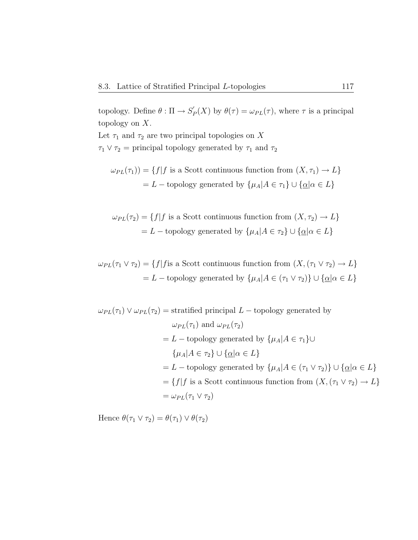topology. Define  $\theta : \Pi \to S'_1$  $\mathcal{P}_P(X)$  by  $\theta(\tau) = \omega_{PL}(\tau)$ , where  $\tau$  is a principal topology on X.

Let  $\tau_1$  and  $\tau_2$  are two principal topologies on X  $\tau_1 \vee \tau_2$  = principal topology generated by  $\tau_1$  and  $\tau_2$ 

$$
\omega_{PL}(\tau_1)) = \{ f | f \text{ is a Scott continuous function from } (X, \tau_1) \to L \}
$$

$$
= L - \text{topology generated by } \{ \mu_A | A \in \tau_1 \} \cup \{ \underline{\alpha} | \alpha \in L \}
$$

 $\omega_{PL}(\tau_2) = \{f | f$  is a Scott continuous function from  $(X, \tau_2) \to L\}$ = L – topology generated by  $\{\mu_A | A \in \tau_2\} \cup \{\underline{\alpha} | \alpha \in L\}$ 

 $\omega_{PL}(\tau_1 \vee \tau_2) = \{f | f \text{ is a Scott continuous function from } (X, (\tau_1 \vee \tau_2) \to L\}$ = L – topology generated by  $\{\mu_A | A \in (\tau_1 \vee \tau_2)\} \cup \{\underline{\alpha} | \alpha \in L\}$ 

$$
\omega_{PL}(\tau_1) \vee \omega_{PL}(\tau_2) = \text{stratified principal } L - \text{topology generated by}
$$
\n
$$
\omega_{PL}(\tau_1) \text{ and } \omega_{PL}(\tau_2)
$$
\n
$$
= L - \text{topology generated by } \{\mu_A | A \in \tau_1\} \cup
$$
\n
$$
\{\mu_A | A \in \tau_2\} \cup \{\underline{\alpha} | \alpha \in L\}
$$
\n
$$
= L - \text{topology generated by } \{\mu_A | A \in (\tau_1 \vee \tau_2)\} \cup \{\underline{\alpha} | \alpha \in L\}
$$
\n
$$
= \{f | f \text{ is a Scott continuous function from } (X, (\tau_1 \vee \tau_2) \to L\}
$$
\n
$$
= \omega_{PL}(\tau_1 \vee \tau_2)
$$

Hence  $\theta(\tau_1 \vee \tau_2) = \theta(\tau_1) \vee \theta(\tau_2)$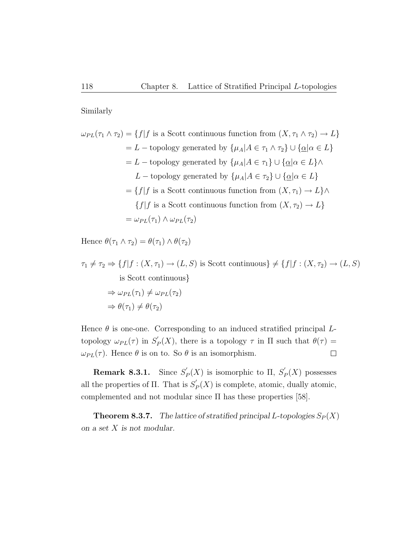Similarly

$$
\omega_{PL}(\tau_1 \wedge \tau_2) = \{f | f \text{ is a Scott continuous function from } (X, \tau_1 \wedge \tau_2) \to L\}
$$
  
= L - topology generated by  $\{\mu_A | A \in \tau_1 \wedge \tau_2\} \cup \{\underline{\alpha} | \alpha \in L\}$   
= L - topology generated by  $\{\mu_A | A \in \tau_1\} \cup \{\underline{\alpha} | \alpha \in L\} \wedge$   
L - topology generated by  $\{\mu_A | A \in \tau_2\} \cup \{\underline{\alpha} | \alpha \in L\}$   
=  $\{f | f \text{ is a Scott continuous function from } (X, \tau_1) \to L\} \wedge$   
 $\{f | f \text{ is a Scott continuous function from } (X, \tau_2) \to L\}$   
=  $\omega_{PL}(\tau_1) \wedge \omega_{PL}(\tau_2)$ 

Hence  $\theta(\tau_1 \wedge \tau_2) = \theta(\tau_1) \wedge \theta(\tau_2)$ 

$$
\tau_1 \neq \tau_2 \Rightarrow \{f | f : (X, \tau_1) \to (L, S) \text{ is Scott continuous}\} \neq \{f | f : (X, \tau_2) \to (L, S) \text{ is Scott continuous}\}
$$
  
\n
$$
\Rightarrow \omega_{PL}(\tau_1) \neq \omega_{PL}(\tau_2)
$$
  
\n
$$
\Rightarrow \theta(\tau_1) \neq \theta(\tau_2)
$$

Hence  $\theta$  is one-one. Corresponding to an induced stratified principal  $L$ topology  $\omega_{PL}(\tau)$  in  $S'_P$  $P_P(X)$ , there is a topology  $\tau$  in  $\Pi$  such that  $\theta(\tau) =$  $\omega_{PL}(\tau)$ . Hence  $\theta$  is on to. So  $\theta$  is an isomorphism.  $\Box$ 

**Remark 8.3.1.** Since  $S'_{l}$  $p'_P(X)$  is isomorphic to  $\Pi$ ,  $S'_P$  $P'_P(X)$  possesses all the properties of  $\Pi$ . That is  $S'_{\mathcal{P}}$  $P_P(X)$  is complete, atomic, dually atomic, complemented and not modular since  $\Pi$  has these properties [58].

**Theorem 8.3.7.** The lattice of stratified principal L-topologies  $S_P(X)$ on a set X is not modular.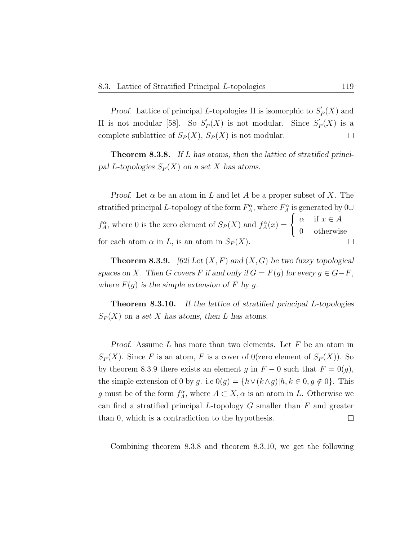Proof. Lattice of principal L-topologies  $\Pi$  is isomorphic to  $S'_{\mathcal{U}}$  $p'(X)$  and  $\Pi$  is not modular [58]. So  $S'$ <sub>1</sub>  $p'_P(X)$  is not modular. Since  $S'_P$  $_P'(X)$  is a complete sublattice of  $S_P(X)$ ,  $S_P(X)$  is not modular.  $\Box$ 

Theorem 8.3.8. If L has atoms, then the lattice of stratified principal L-topologies  $S_P(X)$  on a set X has atoms.

*Proof.* Let  $\alpha$  be an atom in L and let A be a proper subset of X. The stratified principal L-topology of the form  $F_A^{\alpha}$ , where  $F_A^{\alpha}$  is generated by 0∪  $f_A^{\alpha}$ , where 0 is the zero element of  $S_P(X)$  and  $f_A^{\alpha}(x) = \begin{cases} \alpha & \text{if } x \in A \\ 0 & \text{otherwise} \end{cases}$ 0 otherwise for each atom  $\alpha$  in L, is an atom in  $S_P(X)$ .  $\Box$ 

**Theorem 8.3.9.** [62] Let  $(X, F)$  and  $(X, G)$  be two fuzzy topological spaces on X. Then G covers F if and only if  $G = F(g)$  for every  $g \in G - F$ , where  $F(g)$  is the simple extension of F by g.

**Theorem 8.3.10.** If the lattice of stratified principal L-topologies  $S_P(X)$  on a set X has atoms, then L has atoms.

Proof. Assume  $L$  has more than two elements. Let  $F$  be an atom in  $S_P(X)$ . Since F is an atom, F is a cover of  $O(\text{zero element of } S_P(X))$ . So by theorem 8.3.9 there exists an element g in  $F - 0$  such that  $F = 0(g)$ , the simple extension of 0 by g. i.e  $0(g) = \{h \vee (k \wedge g) | h, k \in 0, g \notin 0\}$ . This g must be of the form  $f_A^{\alpha}$ , where  $A \subset X, \alpha$  is an atom in L. Otherwise we can find a stratified principal  $L$ -topology  $G$  smaller than  $F$  and greater than 0, which is a contradiction to the hypothesis.  $\Box$ 

Combining theorem 8.3.8 and theorem 8.3.10, we get the following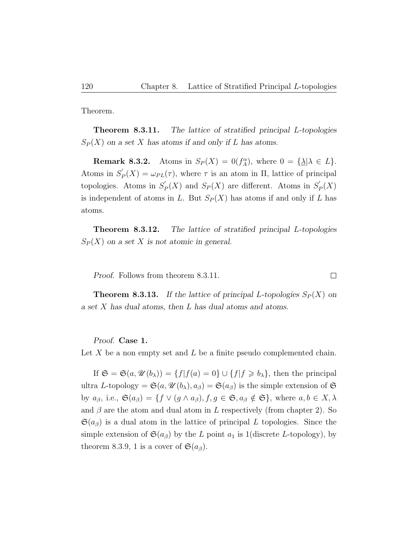Theorem.

Theorem 8.3.11. The lattice of stratified principal L-topologies  $S_P(X)$  on a set X has atoms if and only if L has atoms.

**Remark 8.3.2.** Atoms in  $S_P(X) = 0(f_A^{\alpha})$ , where  $0 = {\{\underline{\lambda}} | \lambda \in L\}$ . Atoms in  $S'_{l}$  $\mathcal{L}_P(X) = \omega_{PL}(\tau)$ , where  $\tau$  is an atom in  $\Pi$ , lattice of principal topologies. Atoms in  $S'$  $P_P'(X)$  and  $S_P(X)$  are different. Atoms in  $S_P'(X)$  $_{P}^{\prime }(X)$ is independent of atoms in L. But  $S_P(X)$  has atoms if and only if L has atoms.

Theorem 8.3.12. The lattice of stratified principal L-topologies  $S_P(X)$  on a set X is not atomic in general.

Proof. Follows from theorem 8.3.11.

**Theorem 8.3.13.** If the lattice of principal L-topologies  $S_P(X)$  on a set X has dual atoms, then L has dual atoms and atoms.

Proof. Case 1.

Let X be a non empty set and L be a finite pseudo complemented chain.

If  $\mathfrak{S} = \mathfrak{S}(a, \mathcal{U}(b_{\lambda})) = \{f | f(a) = 0\} \cup \{f | f \geq b_{\lambda}\}\$ , then the principal ultra L-topology =  $\mathfrak{S}(a, \mathcal{U}(b_\lambda), a_\beta) = \mathfrak{S}(a_\beta)$  is the simple extension of  $\mathfrak{S}$ by  $a_{\beta}$ , i.e.,  $\mathfrak{S}(a_{\beta}) = \{ f \lor (g \land a_{\beta}), f, g \in \mathfrak{S}, a_{\beta} \notin \mathfrak{S} \}, \text{ where } a, b \in X, \lambda$ and  $\beta$  are the atom and dual atom in L respectively (from chapter 2). So  $\mathfrak{S}(a_{\beta})$  is a dual atom in the lattice of principal L topologies. Since the simple extension of  $\mathfrak{S}(a_{\beta})$  by the L point  $a_1$  is 1(discrete L-topology), by theorem 8.3.9, 1 is a cover of  $\mathfrak{S}(a_{\beta})$ .

 $\Box$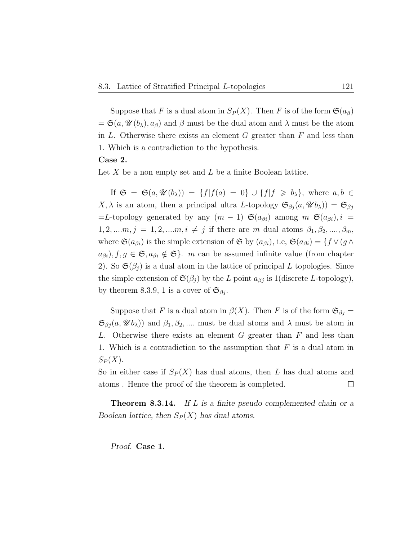Suppose that F is a dual atom in  $S_P(X)$ . Then F is of the form  $\mathfrak{S}(a_\beta)$  $=\mathfrak{S}(a,\mathscr{U}(b_{\lambda}),a_{\beta})$  and  $\beta$  must be the dual atom and  $\lambda$  must be the atom in  $L$ . Otherwise there exists an element  $G$  greater than  $F$  and less than 1. Which is a contradiction to the hypothesis. Case 2.

Let  $X$  be a non empty set and  $L$  be a finite Boolean lattice.

If  $\mathfrak{S} = \mathfrak{S}(a, \mathcal{U}(b_{\lambda})) = \{f | f(a) = 0\} \cup \{f | f \geq b_{\lambda}\}\$ , where  $a, b \in$  $X, \lambda$  is an atom, then a principal ultra L-topology  $\mathfrak{S}_{\beta j}(a, \mathscr{U} b_{\lambda}) = \mathfrak{S}_{\beta j}$ =L-topology generated by any  $(m-1)$   $\mathfrak{S}(a_{\beta i})$  among  $m$   $\mathfrak{S}(a_{\beta i}), i =$  $1, 2, ..., m, j = 1, 2, ..., m, i \neq j$  if there are m dual atoms  $\beta_1, \beta_2, ..., \beta_m$ , where  $\mathfrak{S}(a_{\beta i})$  is the simple extension of  $\mathfrak{S}$  by  $(a_{\beta i})$ , i.e,  $\mathfrak{S}(a_{\beta i}) = \{f \vee (g \wedge f) \in \mathfrak{S}(a_{\beta i})\}$  $a_{\beta i}$ ,  $f, g \in \mathfrak{S}, a_{\beta i} \notin \mathfrak{S}$ . m can be assumed infinite value (from chapter 2). So  $\mathfrak{S}(\beta_j)$  is a dual atom in the lattice of principal L topologies. Since the simple extension of  $\mathfrak{S}(\beta_j)$  by the L point  $a_{\beta j}$  is 1(discrete L-topology), by theorem 8.3.9, 1 is a cover of  $\mathfrak{S}_{\beta i}$ .

Suppose that F is a dual atom in  $\beta(X)$ . Then F is of the form  $\mathfrak{S}_{\beta j} =$  $\mathfrak{S}_{\beta j}(a, \mathscr{U} b_{\lambda})$  and  $\beta_1, \beta_2, \dots$  must be dual atoms and  $\lambda$  must be atom in L. Otherwise there exists an element  $G$  greater than  $F$  and less than 1. Which is a contradiction to the assumption that  $F$  is a dual atom in  $S_P(X)$ .

So in either case if  $S_P(X)$  has dual atoms, then L has dual atoms and atoms . Hence the proof of the theorem is completed.  $\Box$ 

**Theorem 8.3.14.** If L is a finite pseudo complemented chain or a Boolean lattice, then  $S_P(X)$  has dual atoms.

Proof. Case 1.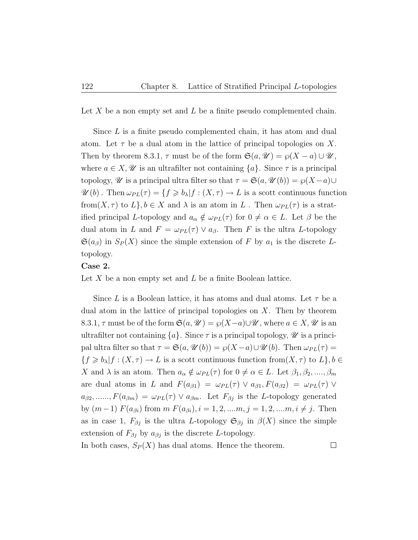Let X be a non empty set and L be a finite pseudo complemented chain.

Since L is a finite pseudo complemented chain, it has atom and dual atom. Let  $\tau$  be a dual atom in the lattice of principal topologies on X. Then by theorem 8.3.1,  $\tau$  must be of the form  $\mathfrak{S}(a, \mathcal{U}) = \wp(X - a) \cup \mathcal{U}$ , where  $a \in X$ ,  $\mathscr U$  is an ultrafilter not containing  $\{a\}$ . Since  $\tau$  is a principal topology,  $\mathscr U$  is a principal ultra filter so that  $\tau = \mathfrak{S}(a, \mathscr U(b)) = \wp(X-a) \cup$  $\mathscr{U}(b)$ . Then  $\omega_{PL}(\tau) = \{f \geq b_\lambda | f : (X, \tau) \to L \text{ is a scott continuous function}\}$ from $(X, \tau)$  to  $L\}$ ,  $b \in X$  and  $\lambda$  is an atom in  $L$ . Then  $\omega_{PL}(\tau)$  is a stratified principal L-topology and  $a_{\alpha} \notin \omega_{PL}(\tau)$  for  $0 \neq \alpha \in L$ . Let  $\beta$  be the dual atom in L and  $F = \omega_{PL}(\tau) \vee a_{\beta}$ . Then F is the ultra L-topology  $\mathfrak{S}(a_{\beta})$  in  $S_P(X)$  since the simple extension of F by  $a_1$  is the discrete Ltopology.

#### Case 2.

Let  $X$  be a non empty set and  $L$  be a finite Boolean lattice.

Since L is a Boolean lattice, it has atoms and dual atoms. Let  $\tau$  be a dual atom in the lattice of principal topologies on  $X$ . Then by theorem 8.3.1,  $\tau$  must be of the form  $\mathfrak{S}(a, \mathcal{U}) = \varphi(X-a) \cup \mathcal{U}$ , where  $a \in X, \mathcal{U}$  is an ultrafilter not containing  $\{a\}$ . Since  $\tau$  is a principal topology,  $\mathscr U$  is a principal ultra filter so that  $\tau = \mathfrak{S}(a, \mathcal{U}(b)) = \wp(X-a) \cup \mathcal{U}(b)$ . Then  $\omega_{PL}(\tau) =$  ${f \geq b_\lambda | f : (X, \tau) \to L \text{ is a scott continuous function from } (X, \tau) \text{ to } L}, b \in$ X and  $\lambda$  is an atom. Then  $a_{\alpha} \notin \omega_{PL}(\tau)$  for  $0 \neq \alpha \in L$ . Let  $\beta_1, \beta_2, ..., \beta_m$ are dual atoms in L and  $F(a_{\beta 1}) = \omega_{PL}(\tau) \vee a_{\beta 1} F(a_{\beta 2}) = \omega_{PL}(\tau) \vee$  $a_{\beta 2}, \ldots, F(a_{\beta m}) = \omega_{PL}(\tau) \vee a_{\beta m}$ . Let  $F_{\beta j}$  is the L-topology generated by  $(m-1)$   $F(a_{\beta i})$  from  $m F(a_{\beta i}), i = 1, 2, ..., m, j = 1, 2, ..., m, i \neq j$ . Then as in case 1,  $F_{\beta j}$  is the ultra L-topology  $\mathfrak{S}_{\beta j}$  in  $\beta(X)$  since the simple extension of  $F_{\beta j}$  by  $a_{\beta j}$  is the discrete L-topology. In both cases,  $S_P(X)$  has dual atoms. Hence the theorem.  $\Box$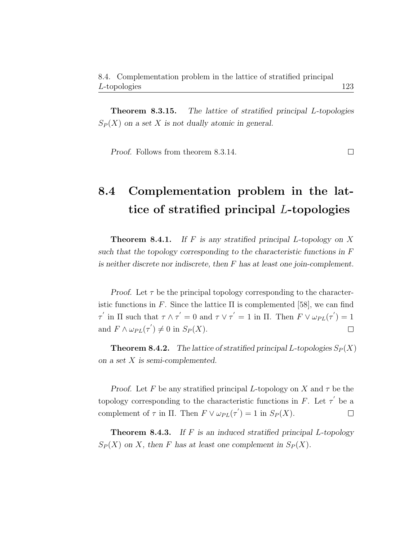Theorem 8.3.15. The lattice of stratified principal L-topologies  $S_P(X)$  on a set X is not dually atomic in general.

Proof. Follows from theorem 8.3.14.

## 8.4 Complementation problem in the lattice of stratified principal L-topologies

**Theorem 8.4.1.** If F is any stratified principal L-topology on X such that the topology corresponding to the characteristic functions in F is neither discrete nor indiscrete, then F has at least one join-complement.

*Proof.* Let  $\tau$  be the principal topology corresponding to the characteristic functions in F. Since the lattice  $\Pi$  is complemented [58], we can find  $\tau'$  in  $\Pi$  such that  $\tau \wedge \tau' = 0$  and  $\tau \vee \tau' = 1$  in  $\Pi$ . Then  $F \vee \omega_{PL}(\tau') = 1$ and  $F \wedge \omega_{PL}(\tau') \neq 0$  in  $S_P(X)$ .  $\Box$ 

**Theorem 8.4.2.** The lattice of stratified principal L-topologies  $S_P(X)$ on a set X is semi-complemented.

Proof. Let F be any stratified principal L-topology on X and  $\tau$  be the topology corresponding to the characteristic functions in F. Let  $\tau'$  be a complement of  $\tau$  in  $\Pi$ . Then  $F \vee \omega_{PL}(\tau') = 1$  in  $S_P(X)$ .  $\Box$ 

**Theorem 8.4.3.** If  $F$  is an induced stratified principal  $L$ -topology  $S_P(X)$  on X, then F has at least one complement in  $S_P(X)$ .

 $\Box$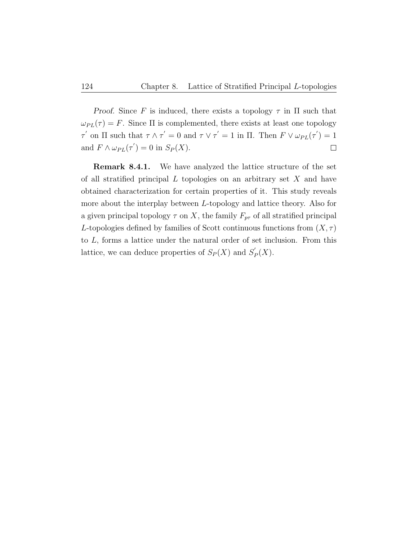Proof. Since F is induced, there exists a topology  $\tau$  in  $\Pi$  such that  $\omega_{PL}(\tau) = F$ . Since  $\Pi$  is complemented, there exists at least one topology  $\tau'$  on  $\Pi$  such that  $\tau \wedge \tau' = 0$  and  $\tau \vee \tau' = 1$  in  $\Pi$ . Then  $F \vee \omega_{PL}(\tau') = 1$ and  $F \wedge \omega_{PL}(\tau') = 0$  in  $S_P(X)$ .  $\Box$ 

Remark 8.4.1. We have analyzed the lattice structure of the set of all stratified principal  $L$  topologies on an arbitrary set  $X$  and have obtained characterization for certain properties of it. This study reveals more about the interplay between L-topology and lattice theory. Also for a given principal topology  $\tau$  on X, the family  $F_{p\tau}$  of all stratified principal L-topologies defined by families of Scott continuous functions from  $(X, \tau)$ to L, forms a lattice under the natural order of set inclusion. From this lattice, we can deduce properties of  $S_P(X)$  and  $S'_P$  $P_{P}(X).$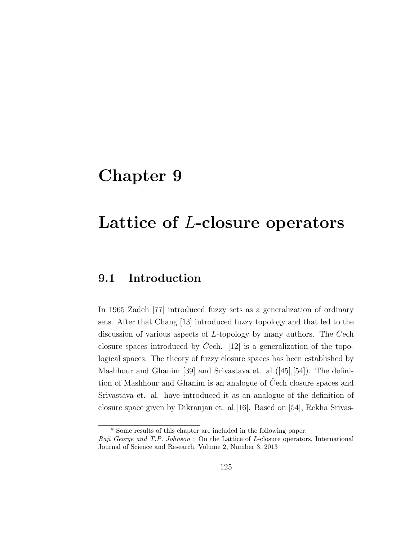# Chapter 9

# Lattice of L-closure operators

## 9.1 Introduction

In 1965 Zadeh [77] introduced fuzzy sets as a generalization of ordinary sets. After that Chang [13] introduced fuzzy topology and that led to the discussion of various aspects of  $L$ -topology by many authors. The Cech closure spaces introduced by Cech.  $[12]$  is a generalization of the topological spaces. The theory of fuzzy closure spaces has been established by Mashhour and Ghanim [39] and Srivastava et. al ([45],[54]). The definition of Mashhour and Ghanim is an analogue of  $\check{C}$ ech closure spaces and Srivastava et. al. have introduced it as an analogue of the definition of closure space given by Dikranjan et. al.[16]. Based on [54], Rekha Srivas-

<sup>\*</sup> Some results of this chapter are included in the following paper.

Raji George and T.P. Johnson : On the Lattice of L-closure operators, International Journal of Science and Research, Volume 2, Number 3, 2013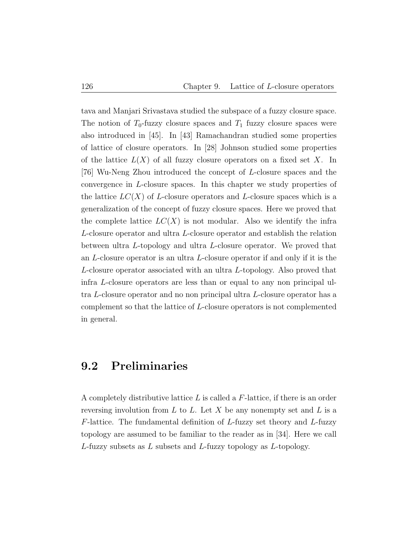tava and Manjari Srivastava studied the subspace of a fuzzy closure space. The notion of  $T_0$ -fuzzy closure spaces and  $T_1$  fuzzy closure spaces were also introduced in [45]. In [43] Ramachandran studied some properties of lattice of closure operators. In [28] Johnson studied some properties of the lattice  $L(X)$  of all fuzzy closure operators on a fixed set X. In [76] Wu-Neng Zhou introduced the concept of L-closure spaces and the convergence in L-closure spaces. In this chapter we study properties of the lattice  $LC(X)$  of L-closure operators and L-closure spaces which is a generalization of the concept of fuzzy closure spaces. Here we proved that the complete lattice  $LC(X)$  is not modular. Also we identify the infra L-closure operator and ultra L-closure operator and establish the relation between ultra L-topology and ultra L-closure operator. We proved that an L-closure operator is an ultra L-closure operator if and only if it is the L-closure operator associated with an ultra L-topology. Also proved that infra L-closure operators are less than or equal to any non principal ultra L-closure operator and no non principal ultra L-closure operator has a complement so that the lattice of L-closure operators is not complemented in general.

### 9.2 Preliminaries

A completely distributive lattice  $L$  is called a  $F$ -lattice, if there is an order reversing involution from  $L$  to  $L$ . Let  $X$  be any nonempty set and  $L$  is a  $F$ -lattice. The fundamental definition of L-fuzzy set theory and L-fuzzy topology are assumed to be familiar to the reader as in [34]. Here we call L-fuzzy subsets as L subsets and L-fuzzy topology as L-topology.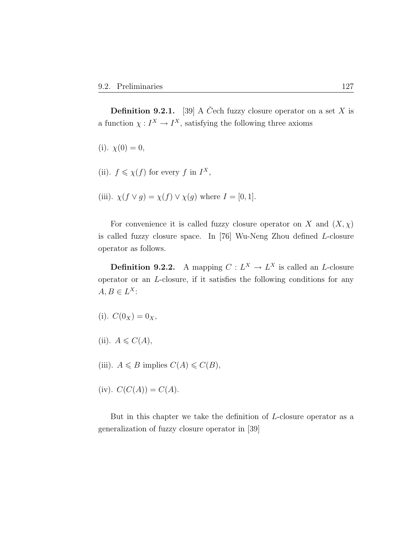**Definition 9.2.1.** [39] A Čech fuzzy closure operator on a set X is a function  $\chi: I^X \to I^X$ , satisfying the following three axioms

(i). 
$$
\chi(0) = 0
$$
,

- (ii).  $f \leq \chi(f)$  for every f in  $I^X$ ,
- (iii).  $\chi(f \vee g) = \chi(f) \vee \chi(g)$  where  $I = [0, 1]$ .

For convenience it is called fuzzy closure operator on X and  $(X, \chi)$ is called fuzzy closure space. In [76] Wu-Neng Zhou defined L-closure operator as follows.

**Definition 9.2.2.** A mapping  $C: L^X \to L^X$  is called an *L*-closure operator or an L-closure, if it satisfies the following conditions for any  $A, B \in L^X$ :

(i). 
$$
C(0_X) = 0_X
$$
,

- (ii).  $A \leqslant C(A)$ ,
- (iii).  $A \leq B$  implies  $C(A) \leq C(B)$ ,
- (iv).  $C(C(A)) = C(A)$ .

But in this chapter we take the definition of L-closure operator as a generalization of fuzzy closure operator in [39]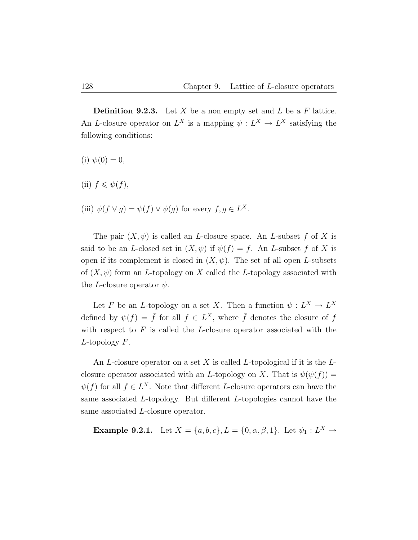**Definition 9.2.3.** Let X be a non empty set and L be a F lattice. An L-closure operator on  $L^X$  is a mapping  $\psi: L^X \to L^X$  satisfying the following conditions:

(i)  $\psi(\underline{0}) = \underline{0}$ ,

(ii)  $f \leqslant \psi(f)$ ,

(iii) 
$$
\psi(f \vee g) = \psi(f) \vee \psi(g)
$$
 for every  $f, g \in L^X$ .

The pair  $(X, \psi)$  is called an *L*-closure space. An *L*-subset f of X is said to be an L-closed set in  $(X, \psi)$  if  $\psi(f) = f$ . An L-subset f of X is open if its complement is closed in  $(X, \psi)$ . The set of all open L-subsets of  $(X, \psi)$  form an L-topology on X called the L-topology associated with the *L*-closure operator  $\psi$ .

Let F be an L-topology on a set X. Then a function  $\psi: L^X \to L^X$ defined by  $\psi(f) = \bar{f}$  for all  $f \in L^X$ , where  $\bar{f}$  denotes the closure of f with respect to  $F$  is called the *L*-closure operator associated with the  $L$ -topology  $F$ .

An L-closure operator on a set X is called L-topological if it is the  $L$ closure operator associated with an L-topology on X. That is  $\psi(\psi(f)) =$  $\psi(f)$  for all  $f \in L^X$ . Note that different L-closure operators can have the same associated L-topology. But different L-topologies cannot have the same associated L-closure operator.

**Example 9.2.1.** Let 
$$
X = \{a, b, c\}
$$
,  $L = \{0, \alpha, \beta, 1\}$ . Let  $\psi_1 : L^X \to$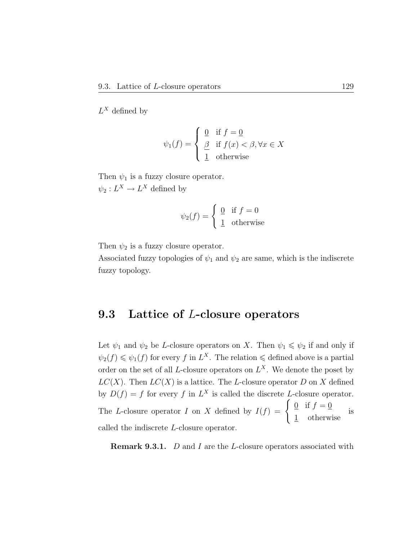$L^X$  defined by

$$
\psi_1(f) = \begin{cases} \n\frac{0}{f} & \text{if } f = \underline{0} \\ \n\frac{\beta}{1} & \text{if } f(x) < \beta, \forall x \in X \\ \n\frac{1}{1} & \text{otherwise} \n\end{cases}
$$

Then  $\psi_1$  is a fuzzy closure operator.  $\psi_2: L^X \to L^X$  defined by

$$
\psi_2(f) = \begin{cases} \underline{0} & \text{if } f = 0\\ \underline{1} & \text{otherwise} \end{cases}
$$

Then  $\psi_2$  is a fuzzy closure operator.

Associated fuzzy topologies of  $\psi_1$  and  $\psi_2$  are same, which is the indiscrete fuzzy topology.

### 9.3 Lattice of L-closure operators

Let  $\psi_1$  and  $\psi_2$  be *L*-closure operators on *X*. Then  $\psi_1 \leq \psi_2$  if and only if  $\psi_2(f) \leq \psi_1(f)$  for every f in  $L^X$ . The relation  $\leq$  defined above is a partial order on the set of all *L*-closure operators on  $L^X$ . We denote the poset by  $LC(X)$ . Then  $LC(X)$  is a lattice. The L-closure operator D on X defined by  $D(f) = f$  for every f in  $L^X$  is called the discrete L-closure operator. The L-closure operator I on X defined by  $I(f) = \begin{cases} 0 & \text{if } f = 0 \\ 0 & \text{if } f = 0 \end{cases}$ 1 otherwise is called the indiscrete L-closure operator.

**Remark 9.3.1.** *D* and *I* are the *L*-closure operators associated with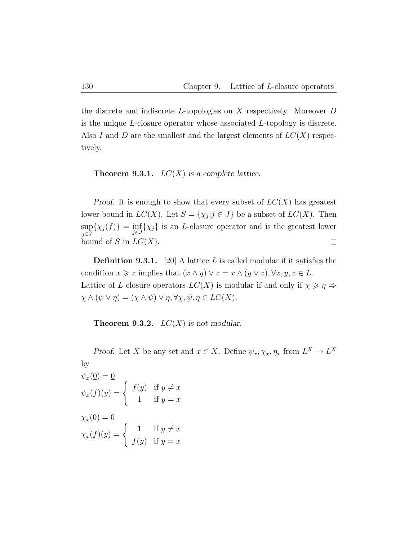the discrete and indiscrete L-topologies on X respectively. Moreover D is the unique L-closure operator whose associated L-topology is discrete. Also I and D are the smallest and the largest elements of  $LC(X)$  respectively.

**Theorem 9.3.1.**  $LC(X)$  is a complete lattice.

Proof. It is enough to show that every subset of  $LC(X)$  has greatest lower bound in  $LC(X)$ . Let  $S = \{\chi_j | j \in J\}$  be a subset of  $LC(X)$ . Then sup  $\sup_{j\in J}\{\chi_j(f)\} = \inf_{j\in J}\{\chi_j\}$  is an *L*-closure operator and is the greatest lower bound of S in  $LC(X)$ .  $\Box$ 

**Definition 9.3.1.** [20] A lattice L is called modular if it satisfies the condition  $x \geq z$  implies that  $(x \wedge y) \vee z = x \wedge (y \vee z)$ ,  $\forall x, y, z \in L$ . Lattice of L closure operators  $LC(X)$  is modular if and only if  $\chi \geqslant \eta \Rightarrow$  $\chi \wedge (\psi \vee \eta) = (\chi \wedge \psi) \vee \eta, \forall \chi, \psi, \eta \in LC(X).$ 

**Theorem 9.3.2.**  $LC(X)$  is not modular.

Proof. Let X be any set and  $x \in X$ . Define  $\psi_x, \chi_x, \eta_x$  from  $L^X \to L^X$ by

$$
\psi_x(\underline{0}) = \underline{0}
$$
  

$$
\psi_x(f)(y) = \begin{cases} f(y) & \text{if } y \neq x \\ 1 & \text{if } y = x \end{cases}
$$
  

$$
\chi_x(\underline{0}) = \underline{0}
$$
  

$$
\chi_x(f)(y) = \begin{cases} 1 & \text{if } y \neq x \\ f(y) & \text{if } y = x \end{cases}
$$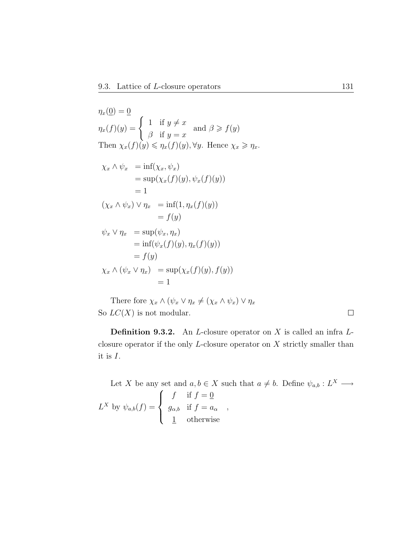$$
\eta_x(\underline{0}) = \underline{0}
$$
  
\n
$$
\eta_x(f)(y) = \begin{cases}\n1 & \text{if } y \neq x \\
\beta & \text{if } y = x\n\end{cases} \text{ and } \beta \ge f(y)
$$
  
\nThen  $\chi_x(f)(y) \le \eta_x(f)(y), \forall y$ . Hence  $\chi_x \ge \eta_x$ .

$$
\chi_x \wedge \psi_x = \inf(\chi_x, \psi_x)
$$
  
\n
$$
= \sup(\chi_x(f)(y), \psi_x(f)(y))
$$
  
\n
$$
= 1
$$
  
\n
$$
(\chi_x \wedge \psi_x) \vee \eta_x = \inf(1, \eta_x(f)(y))
$$
  
\n
$$
= f(y)
$$
  
\n
$$
\psi_x \vee \eta_x = \sup(\psi_x, \eta_x)
$$
  
\n
$$
= \inf(\psi_x(f)(y), \eta_x(f)(y))
$$
  
\n
$$
= f(y)
$$
  
\n
$$
\chi_x \wedge (\psi_x \vee \eta_x) = \sup(\chi_x(f)(y), f(y))
$$
  
\n
$$
= 1
$$

There fore  $\chi_x \wedge (\psi_x \vee \eta_x \neq (\chi_x \wedge \psi_x) \vee \eta_x)$ So  $LC(X)$  is not modular.

**Definition 9.3.2.** An *L*-closure operator on *X* is called an infra  $L$ closure operator if the only L-closure operator on X strictly smaller than it is I.

Let X be any set and  $a, b \in X$  such that  $a \neq b$ . Define  $\psi_{a,b} : L^X \longrightarrow$  $L^X$  by  $\psi_{a,b}(f) =$  $\sqrt{ }$  $\int$  $\overline{\mathcal{L}}$ f if  $f = 0$  $g_{\alpha,b}$  if  $f = a_{\alpha}$ 1 otherwise ,

 $\Box$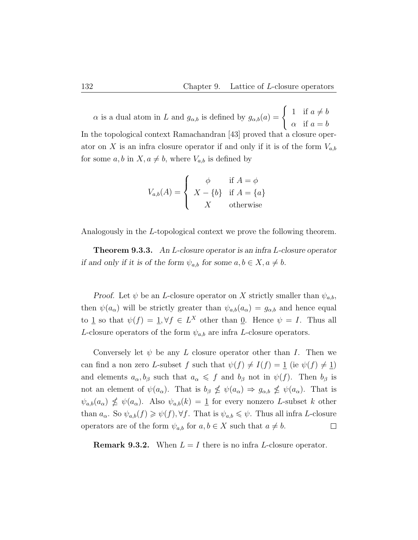$\alpha$  is a dual atom in L and  $g_{\alpha,b}$  is defined by  $g_{\alpha,b}(a) = \begin{cases} 1 & \text{if } a \neq b \\ 0 & \text{if } b \end{cases}$  $\alpha$  if  $a = b$ In the topological context Ramachandran [43] proved that a closure operator on X is an infra closure operator if and only if it is of the form  $V_{a,b}$ for some  $a, b$  in  $X, a \neq b$ , where  $V_{a,b}$  is defined by

$$
V_{a,b}(A) = \begin{cases} \phi & \text{if } A = \phi \\ X - \{b\} & \text{if } A = \{a\} \\ X & \text{otherwise} \end{cases}
$$

Analogously in the L-topological context we prove the following theorem.

Theorem 9.3.3. An L-closure operator is an infra L-closure operator if and only if it is of the form  $\psi_{a,b}$  for some  $a, b \in X, a \neq b$ .

Proof. Let  $\psi$  be an *L*-closure operator on *X* strictly smaller than  $\psi_{a,b}$ , then  $\psi(a_{\alpha})$  will be strictly greater than  $\psi_{a,b}(a_{\alpha}) = g_{\alpha,b}$  and hence equal to <u>1</u> so that  $\psi(f) = 1, \forall f \in L^X$  other than <u>0</u>. Hence  $\psi = I$ . Thus all L-closure operators of the form  $\psi_{a,b}$  are infra L-closure operators.

Conversely let  $\psi$  be any L closure operator other than I. Then we can find a non zero L-subset f such that  $\psi(f) \neq I(f) = 1$  (ie  $\psi(f) \neq 1$ ) and elements  $a_{\alpha}, b_{\beta}$  such that  $a_{\alpha} \leq f$  and  $b_{\beta}$  not in  $\psi(f)$ . Then  $b_{\beta}$  is not an element of  $\psi(a_{\alpha})$ . That is  $b_{\beta} \nleq \psi(a_{\alpha}) \Rightarrow g_{\alpha,b} \nleq \psi(a_{\alpha})$ . That is  $\psi_{a,b}(a_{\alpha}) \nleq \psi(a_{\alpha})$ . Also  $\psi_{a,b}(k) = 1$  for every nonzero L-subset k other than  $a_{\alpha}$ . So  $\psi_{a,b}(f) \geq \psi(f), \forall f$ . That is  $\psi_{a,b} \leq \psi$ . Thus all infra *L*-closure operators are of the form  $\psi_{a,b}$  for  $a, b \in X$  such that  $a \neq b$ .  $\Box$ 

**Remark 9.3.2.** When  $L = I$  there is no infra L-closure operator.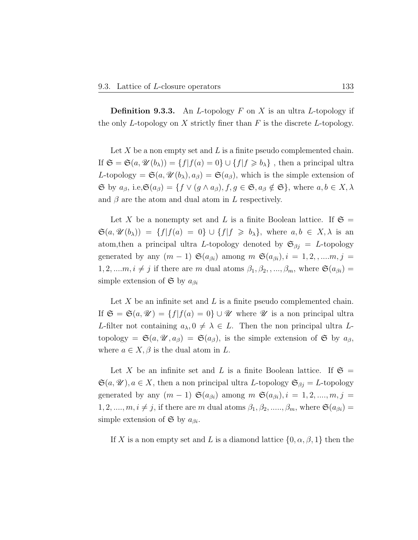**Definition 9.3.3.** An *L*-topology  $F$  on  $X$  is an ultra *L*-topology if the only L-topology on  $X$  strictly finer than  $F$  is the discrete L-topology.

Let X be a non empty set and L is a finite pseudo complemented chain. If  $\mathfrak{S} = \mathfrak{S}(a, \mathcal{U}(b_\lambda)) = \{f | f(a) = 0\} \cup \{f | f \geq b_\lambda\}$ , then a principal ultra L-topology =  $\mathfrak{S}(a, \mathcal{U}(b_\lambda), a_\beta) = \mathfrak{S}(a_\beta)$ , which is the simple extension of  $\mathfrak{S}$  by  $a_{\beta}$ , i.e, $\mathfrak{S}(a_{\beta}) = \{ f \lor (g \land a_{\beta}), f, g \in \mathfrak{S}, a_{\beta} \notin \mathfrak{S} \}$ , where  $a, b \in X, \lambda$ and  $\beta$  are the atom and dual atom in L respectively.

Let X be a nonempty set and L is a finite Boolean lattice. If  $\mathfrak{S} =$  $\mathfrak{S}(a, \mathcal{U}(b_{\lambda})) = \{f | f(a) = 0\} \cup \{f | f \ge b_{\lambda}\}, \text{ where } a, b \in X, \lambda \text{ is an }$ atom, then a principal ultra L-topology denoted by  $\mathfrak{S}_{\beta j} = L$ -topology generated by any  $(m-1)$   $\mathfrak{S}(a_{\beta i})$  among  $m$   $\mathfrak{S}(a_{\beta i}), i = 1, 2, \dots, m, j =$  $1, 2, \ldots, m, i \neq j$  if there are m dual atoms  $\beta_1, \beta_2, \ldots, \beta_m$ , where  $\mathfrak{S}(a_{\beta i}) =$ simple extension of  $\mathfrak{S}$  by  $a_{\beta i}$ 

Let  $X$  be an infinite set and  $L$  is a finite pseudo complemented chain. If  $\mathfrak{S} = \mathfrak{S}(a, \mathcal{U}) = \{f | f(a) = 0\} \cup \mathcal{U}$  where  $\mathcal U$  is a non principal ultra L-filter not containing  $a_{\lambda}, 0 \neq \lambda \in L$ . Then the non principal ultra Ltopology =  $\mathfrak{S}(a, \mathscr{U}, a_{\beta}) = \mathfrak{S}(a_{\beta})$ , is the simple extension of  $\mathfrak{S}$  by  $a_{\beta}$ , where  $a \in X$ ,  $\beta$  is the dual atom in L.

Let X be an infinite set and L is a finite Boolean lattice. If  $\mathfrak{S} =$  $\mathfrak{S}(a, \mathscr{U}), a \in X$ , then a non principal ultra L-topology  $\mathfrak{S}_{\beta i} = L$ -topology generated by any  $(m-1)$   $\mathfrak{S}(a_{\beta i})$  among  $m \mathfrak{S}(a_{\beta i}), i = 1, 2, ..., m, j =$ 1, 2, ...,  $m, i \neq j$ , if there are m dual atoms  $\beta_1, \beta_2, \ldots, \beta_m$ , where  $\mathfrak{S}(a_{\beta i}) =$ simple extension of  $\mathfrak S$  by  $a_{\beta i}$ .

If X is a non empty set and L is a diamond lattice  $\{0, \alpha, \beta, 1\}$  then the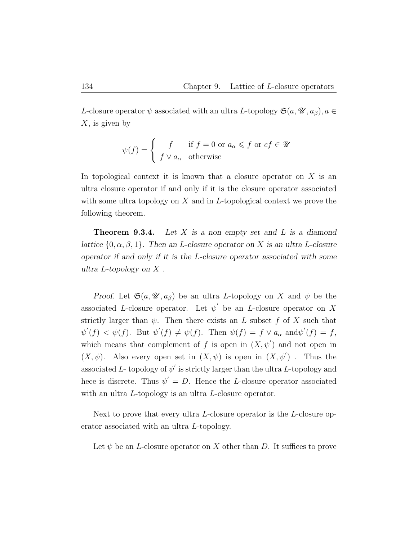L-closure operator  $\psi$  associated with an ultra L-topology  $\mathfrak{S}(a, \mathscr{U}, a_{\beta}), a \in$  $X$ , is given by

$$
\psi(f) = \begin{cases} f & \text{if } f = \underline{0} \text{ or } a_{\alpha} \leq f \text{ or } cf \in \mathcal{U} \\ f \vee a_{\alpha} & \text{otherwise} \end{cases}
$$

In topological context it is known that a closure operator on  $X$  is an ultra closure operator if and only if it is the closure operator associated with some ultra topology on  $X$  and in L-topological context we prove the following theorem.

**Theorem 9.3.4.** Let  $X$  is a non empty set and  $L$  is a diamond lattice  $\{0, \alpha, \beta, 1\}$ . Then an *L*-closure operator on *X* is an ultra *L*-closure operator if and only if it is the L-closure operator associated with some ultra  $L$ -topology on  $X$ .

Proof. Let  $\mathfrak{S}(a, \mathcal{U}, a_{\beta})$  be an ultra L-topology on X and  $\psi$  be the associated L-closure operator. Let  $\psi'$  be an L-closure operator on X strictly larger than  $\psi$ . Then there exists an L subset f of X such that  $\psi'(f) < \psi(f)$ . But  $\psi'(f) \neq \psi(f)$ . Then  $\psi(f) = f \vee a_{\alpha}$  and  $\psi'(f) = f$ , which means that complement of f is open in  $(X, \psi')$  and not open in  $(X, \psi)$ . Also every open set in  $(X, \psi)$  is open in  $(X, \psi')$ . Thus the associated L- topology of  $\psi'$  is strictly larger than the ultra L-topology and hece is discrete. Thus  $\psi' = D$ . Hence the L-closure operator associated with an ultra L-topology is an ultra L-closure operator.

Next to prove that every ultra L-closure operator is the L-closure operator associated with an ultra L-topology.

Let  $\psi$  be an *L*-closure operator on X other than D. It suffices to prove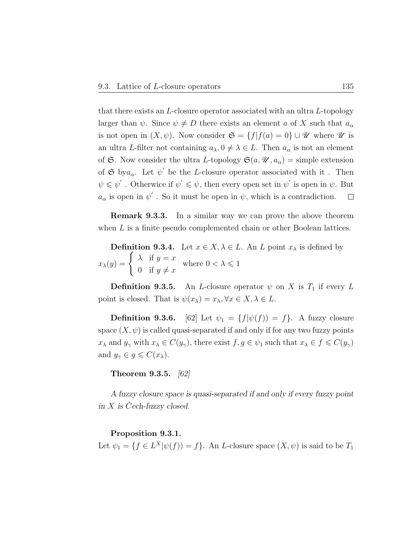that there exists an L-closure operator associated with an ultra L-topology larger than  $\psi$ . Since  $\psi \neq D$  there exists an element a of X such that  $a_{\alpha}$ is not open in  $(X, \psi)$ . Now consider  $\mathfrak{S} = \{f | f(a) = 0\} \cup \mathscr{U}$  where  $\mathscr{U}$  is an ultra L-filter not containing  $a_{\lambda}, 0 \neq \lambda \in L$ . Then  $a_{\alpha}$  is not an element of G. Now consider the ultra L-topology  $\mathfrak{S}(a, \mathcal{U}, a_{\alpha}) =$  simple extension of  $\mathfrak{S}$  by  $a_{\alpha}$ . Let  $\psi'$  be the *L*-closure operator associated with it. Then  $\psi \leq \psi'$ . Otherwice if  $\psi' \leq \psi$ , then every open set in  $\psi'$  is open in  $\psi$ . But  $a_{\alpha}$  is open in  $\psi'$ . So it must be open in  $\psi$ , which is a contradiction.  $\Box$ 

Remark 9.3.3. In a similar way we can prove the above theorem when L is a finite pseudo complemented chain or other Boolean lattices.

**Definition 9.3.4.** Let  $x \in X, \lambda \in L$ . An L point  $x_{\lambda}$  is defined by  $x_{\lambda}(y) = \begin{cases} \lambda & \text{if } y = x \\ 0 & \text{if } y \end{cases}$ 0 if  $y \neq x$ where  $0 < \lambda \leq 1$ 

**Definition 9.3.5.** An *L*-closure operator  $\psi$  on *X* is  $T_1$  if every *L* point is closed. That is  $\psi(x_\lambda) = x_\lambda, \forall x \in X, \lambda \in L$ .

**Definition 9.3.6.** [62] Let  $\psi_1 = \{f | \psi(f) \} = f\}$ . A fuzzy closure space  $(X, \psi)$  is called quasi-separated if and only if for any two fuzzy points  $x_{\lambda}$  and  $y_{\gamma}$  with  $x_{\lambda} \in C(y_{\gamma})$ , there exist  $f, g \in \psi_1$  such that  $x_{\lambda} \in f \leq C(y_{\gamma})$ and  $y_{\gamma} \in g \leqslant C(x_{\lambda}).$ 

Theorem 9.3.5. [62]

A fuzzy closure space is quasi-separated if and only if every fuzzy point in  $X$  is Cech-fuzzy closed.

#### Proposition 9.3.1.

Let  $\psi_1 = \{ f \in L^X | \psi(f) \rangle = f \}.$  An *L*-closure space  $(X, \psi)$  is said to be  $T_1$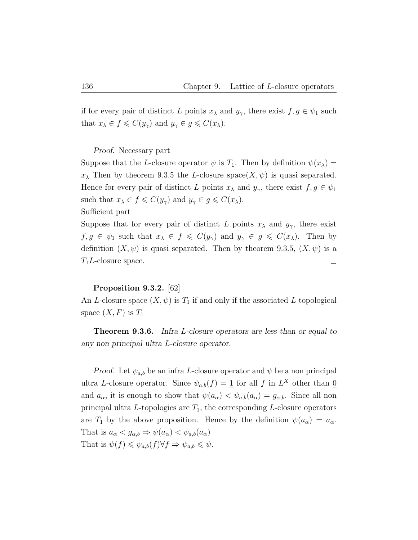if for every pair of distinct L points  $x_{\lambda}$  and  $y_{\gamma}$ , there exist  $f, g \in \psi_1$  such that  $x_{\lambda} \in f \leqslant C(y_{\gamma})$  and  $y_{\gamma} \in g \leqslant C(x_{\lambda})$ .

Proof. Necessary part

Suppose that the L-closure operator  $\psi$  is  $T_1$ . Then by definition  $\psi(x_\lambda) =$  $x_{\lambda}$  Then by theorem 9.3.5 the L-closure space( $X, \psi$ ) is quasi separated. Hence for every pair of distinct L points  $x_{\lambda}$  and  $y_{\gamma}$ , there exist  $f, g \in \psi_1$ such that  $x_{\lambda} \in f \leqslant C(y_{\gamma})$  and  $y_{\gamma} \in g \leqslant C(x_{\lambda})$ . Sufficient part

Suppose that for every pair of distinct L points  $x_{\lambda}$  and  $y_{\gamma}$ , there exist  $f, g \in \psi_1$  such that  $x_{\lambda} \in f \leqslant C(y_{\gamma})$  and  $y_{\gamma} \in g \leqslant C(x_{\lambda})$ . Then by definition  $(X, \psi)$  is quasi separated. Then by theorem 9.3.5,  $(X, \psi)$  is a  $T_1L$ -closure space.  $\Box$ 

#### Proposition 9.3.2. [62]

An L-closure space  $(X, \psi)$  is  $T_1$  if and only if the associated L topological space  $(X, F)$  is  $T_1$ 

Theorem 9.3.6. Infra L-closure operators are less than or equal to any non principal ultra L-closure operator.

*Proof.* Let  $\psi_{a,b}$  be an infra L-closure operator and  $\psi$  be a non principal ultra L-closure operator. Since  $\psi_{a,b}(f) = \mathbf{1}$  for all f in  $L^X$  other than  $\mathbf{0}$ and  $a_{\alpha}$ , it is enough to show that  $\psi(a_{\alpha}) < \psi_{a,b}(a_{\alpha}) = g_{\alpha,b}$ . Since all non principal ultra  $L$ -topologies are  $T_1$ , the corresponding  $L$ -closure operators are  $T_1$  by the above proposition. Hence by the definition  $\psi(a_\alpha) = a_\alpha$ . That is  $a_{\alpha} < g_{\alpha,b} \Rightarrow \psi(a_{\alpha}) < \psi_{a,b}(a_{\alpha})$ That is  $\psi(f) \leq \psi_{a,b}(f) \forall f \Rightarrow \psi_{a,b} \leq \psi$ .  $\Box$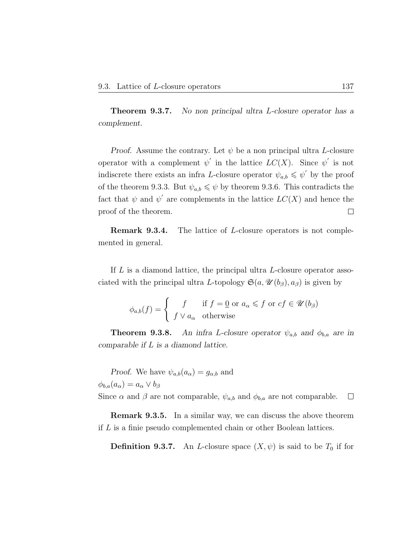**Theorem 9.3.7.** No non principal ultra L-closure operator has a complement.

Proof. Assume the contrary. Let  $\psi$  be a non principal ultra L-closure operator with a complement  $\psi'$  in the lattice  $LC(X)$ . Since  $\psi'$  is not indiscrete there exists an infra L-closure operator  $\psi_{a,b} \leqslant \psi'$  by the proof of the theorem 9.3.3. But  $\psi_{a,b} \leq \psi$  by theorem 9.3.6. This contradicts the fact that  $\psi$  and  $\psi'$  are complements in the lattice  $LC(X)$  and hence the proof of the theorem.  $\Box$ 

Remark 9.3.4. The lattice of L-closure operators is not complemented in general.

If L is a diamond lattice, the principal ultra L-closure operator associated with the principal ultra L-topology  $\mathfrak{S}(a, \mathcal{U}(b_{\beta}), a_{\beta})$  is given by

$$
\phi_{a,b}(f) = \begin{cases} f & \text{if } f = \underline{0} \text{ or } a_{\alpha} \leqslant f \text{ or } cf \in \mathcal{U}(b_{\beta}) \\ f \vee a_{\alpha} & \text{otherwise} \end{cases}
$$

**Theorem 9.3.8.** An infra L-closure operator  $\psi_{a,b}$  and  $\phi_{b,a}$  are in comparable if L is a diamond lattice.

*Proof.* We have  $\psi_{a,b}(a_{\alpha}) = g_{\alpha,b}$  and  $\phi_{b,a}(a_\alpha) = a_\alpha \vee b_\beta$ Since  $\alpha$  and  $\beta$  are not comparable,  $\psi_{a,b}$  and  $\phi_{b,a}$  are not comparable.  $\Box$ 

Remark 9.3.5. In a similar way, we can discuss the above theorem if L is a finie pseudo complemented chain or other Boolean lattices.

**Definition 9.3.7.** An *L*-closure space  $(X, \psi)$  is said to be  $T_0$  if for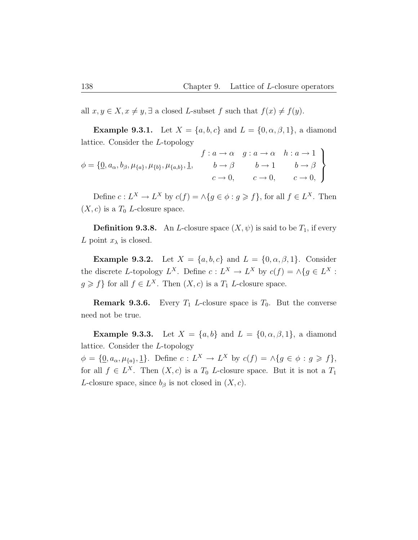all  $x, y \in X, x \neq y, \exists$  a closed L-subset f such that  $f(x) \neq f(y)$ .

**Example 9.3.1.** Let  $X = \{a, b, c\}$  and  $L = \{0, \alpha, \beta, 1\}$ , a diamond lattice. Consider the L-topology

$$
\phi = \{ \underline{0}, a_{\alpha}, b_{\beta}, \mu_{\{a\}}, \mu_{\{b\}}, \mu_{\{a,b\}}, \underline{1}, \qquad b \rightarrow \beta \qquad b \rightarrow 1 \qquad b \rightarrow \beta \}
$$
  

$$
c \rightarrow 0, \qquad c \rightarrow 0, \qquad c \rightarrow 0, \qquad c \rightarrow 0,
$$

Define  $c: L^X \to L^X$  by  $c(f) = \wedge \{g \in \phi : g \geq f\}$ , for all  $f \in L^X$ . Then  $(X, c)$  is a  $T_0$  *L*-closure space.

**Definition 9.3.8.** An *L*-closure space  $(X, \psi)$  is said to be  $T_1$ , if every L point  $x_{\lambda}$  is closed.

Example 9.3.2. Let  $X = \{a, b, c\}$  and  $L = \{0, \alpha, \beta, 1\}$ . Consider the discrete L-topology  $L^X$ . Define  $c: L^X \to L^X$  by  $c(f) = \Lambda \{ g \in L^X :$  $g \geq f$  for all  $f \in L^X$ . Then  $(X, c)$  is a  $T_1$  *L*-closure space.

**Remark 9.3.6.** Every  $T_1$  *L*-closure space is  $T_0$ . But the converse need not be true.

Example 9.3.3. Let  $X = \{a, b\}$  and  $L = \{0, \alpha, \beta, 1\}$ , a diamond lattice. Consider the L-topology

 $\phi = {\mathbf{0}, a_{\alpha}, \mu_{\{a\}}, \underline{1}}.$  Define  $c: L^X \to L^X$  by  $c(f) = \Lambda \{g \in \phi : g \geqslant f\},$ for all  $f \in L^X$ . Then  $(X, c)$  is a  $T_0$  L-closure space. But it is not a  $T_1$ L-closure space, since  $b_{\beta}$  is not closed in  $(X, c)$ .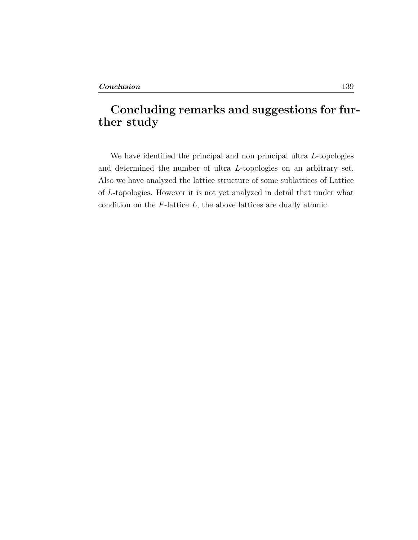# Concluding remarks and suggestions for further study

We have identified the principal and non principal ultra L-topologies and determined the number of ultra L-topologies on an arbitrary set. Also we have analyzed the lattice structure of some sublattices of Lattice of L-topologies. However it is not yet analyzed in detail that under what condition on the  $F$ -lattice  $L$ , the above lattices are dually atomic.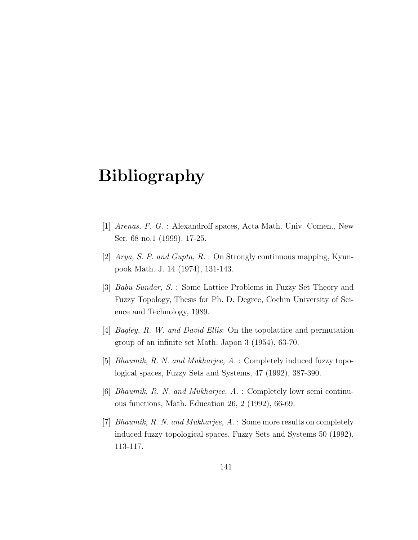# Bibliography

- [1] Arenas, F. G. : Alexandroff spaces, Acta Math. Univ. Comen., New Ser. 68 no.1 (1999), 17-25.
- [2] Arya, S. P. and Gupta, R. : On Strongly continuous mapping, Kyunpook Math. J. 14 (1974), 131-143.
- [3] Babu Sundar, S. : Some Lattice Problems in Fuzzy Set Theory and Fuzzy Topology, Thesis for Ph. D. Degree, Cochin University of Science and Technology, 1989.
- [4] Bagley, R. W. and David Ellis: On the topolattice and permutation group of an infinite set Math. Japon 3 (1954), 63-70.
- [5] Bhaumik, R. N. and Mukharjee, A. : Completely induced fuzzy topological spaces, Fuzzy Sets and Systems, 47 (1992), 387-390.
- [6] Bhaumik, R. N. and Mukharjee, A. : Completely lowr semi continuous functions, Math. Education 26, 2 (1992), 66-69.
- [7] Bhaumik, R. N. and Mukharjee, A. : Some more results on completely induced fuzzy topological spaces, Fuzzy Sets and Systems 50 (1992), 113-117.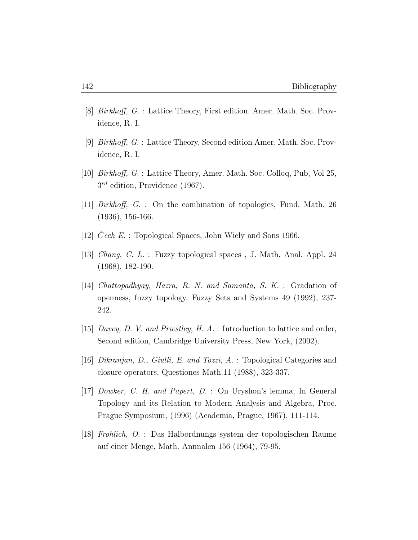- [8] Birkhoff, G. : Lattice Theory, First edition. Amer. Math. Soc. Providence, R. I.
- [9] Birkhoff, G. : Lattice Theory, Second edition Amer. Math. Soc. Providence, R. I.
- [10] Birkhoff, G. : Lattice Theory, Amer. Math. Soc. Colloq, Pub, Vol 25,  $3^{rd}$  edition, Providence (1967).
- [11] Birkhoff, G. : On the combination of topologies, Fund. Math. 26 (1936), 156-166.
- [12]  $Cech E.$ : Topological Spaces, John Wiely and Sons 1966.
- [13] Chang, C. L. : Fuzzy topological spaces , J. Math. Anal. Appl. 24 (1968), 182-190.
- [14] Chattopadhyay, Hazra, R. N. and Samanta, S. K. : Gradation of openness, fuzzy topology, Fuzzy Sets and Systems 49 (1992), 237- 242.
- [15] Davey, D. V. and Priestley, H. A. : Introduction to lattice and order, Second edition, Cambridge University Press, New York, (2002).
- [16] Dikranjan, D., Giulli, E. and Tozzi, A. : Topological Categories and closure operators, Questiones Math.11 (1988), 323-337.
- [17] Dowker, C. H. and Papert, D. : On Uryshon's lemma, In General Topology and its Relation to Modern Analysis and Algebra, Proc. Prague Symposium, (1996) (Academia, Prague, 1967), 111-114.
- [18] Frohlich, O. : Das Halbordnungs system der topologischen Raume auf einer Menge, Math. Annnalen 156 (1964), 79-95.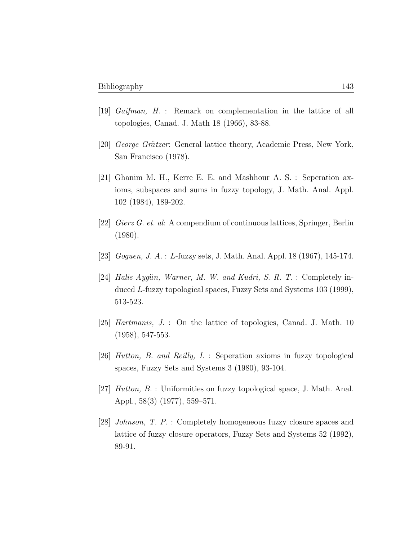- [19] Gaifman, H. : Remark on complementation in the lattice of all topologies, Canad. J. Math 18 (1966), 83-88.
- [20] George Grätzer: General lattice theory, Academic Press, New York, San Francisco (1978).
- [21] Ghanim M. H., Kerre E. E. and Mashhour A. S. : Seperation axioms, subspaces and sums in fuzzy topology, J. Math. Anal. Appl. 102 (1984), 189-202.
- [22] Gierz G. et. al: A compendium of continuous lattices, Springer, Berlin (1980).
- [23] *Goguen, J. A.* : L-fuzzy sets, J. Math. Anal. Appl. 18 (1967), 145-174.
- [24] Halis Aygün, Warner, M. W. and Kudri, S. R. T. : Completely induced L-fuzzy topological spaces, Fuzzy Sets and Systems 103 (1999), 513-523.
- [25] *Hartmanis*, J. : On the lattice of topologies, Canad. J. Math. 10 (1958), 547-553.
- [26] Hutton, B. and Reilly, I. : Seperation axioms in fuzzy topological spaces, Fuzzy Sets and Systems 3 (1980), 93-104.
- [27] Hutton, B. : Uniformities on fuzzy topological space, J. Math. Anal. Appl., 58(3) (1977), 559–571.
- [28] Johnson, T. P. : Completely homogeneous fuzzy closure spaces and lattice of fuzzy closure operators, Fuzzy Sets and Systems 52 (1992), 89-91.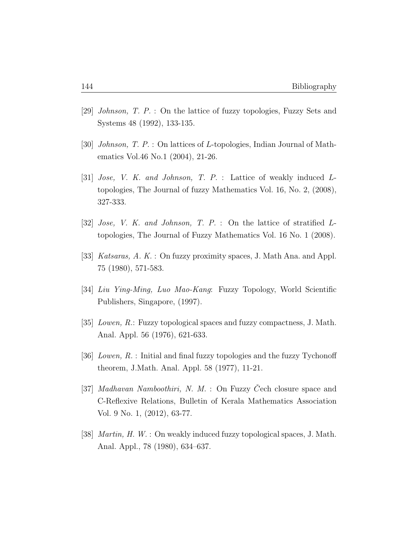- [29] Johnson, T. P. : On the lattice of fuzzy topologies, Fuzzy Sets and Systems 48 (1992), 133-135.
- [30] Johnson, T. P. : On lattices of L-topologies, Indian Journal of Mathematics Vol.46 No.1 (2004), 21-26.
- [31] Jose, V. K. and Johnson, T. P. : Lattice of weakly induced Ltopologies, The Journal of fuzzy Mathematics Vol. 16, No. 2, (2008), 327-333.
- [32] Jose, V. K. and Johnson, T. P. : On the lattice of stratified Ltopologies, The Journal of Fuzzy Mathematics Vol. 16 No. 1 (2008).
- [33] *Katsaras, A. K.* : On fuzzy proximity spaces, J. Math Ana. and Appl. 75 (1980), 571-583.
- [34] Liu Ying-Ming, Luo Mao-Kang: Fuzzy Topology, World Scientific Publishers, Singapore, (1997).
- [35] Lowen, R.: Fuzzy topological spaces and fuzzy compactness, J. Math. Anal. Appl. 56 (1976), 621-633.
- [36] Lowen, R. : Initial and final fuzzy topologies and the fuzzy Tychonoff theorem, J.Math. Anal. Appl. 58 (1977), 11-21.
- [37] *Madhavan Namboothiri*, *N. M.* : On Fuzzy Cech closure space and C-Reflexive Relations, Bulletin of Kerala Mathematics Association Vol. 9 No. 1, (2012), 63-77.
- [38] Martin, H. W. : On weakly induced fuzzy topological spaces, J. Math. Anal. Appl., 78 (1980), 634–637.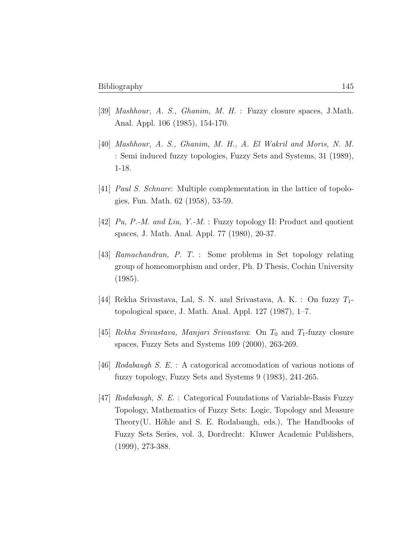- [39] Mashhour, A. S., Ghanim, M. H. : Fuzzy closure spaces, J.Math. Anal. Appl. 106 (1985), 154-170.
- [40] Mashhour, A. S., Ghanim, M. H., A. El Wakril and Moris, N. M. : Semi induced fuzzy topologies, Fuzzy Sets and Systems, 31 (1989), 1-18.
- [41] Paul S. Schnare: Multiple complementation in the lattice of topologies, Fun. Math. 62 (1958), 53-59.
- [42] Pu, P.-M. and Liu, Y.-M. : Fuzzy topology II: Product and quotient spaces, J. Math. Anal. Appl. 77 (1980), 20-37.
- [43] Ramachandran, P. T. : Some problems in Set topology relating group of homeomorphism and order, Ph. D Thesis, Cochin University (1985).
- [44] Rekha Srivastava, Lal, S. N. and Srivastava, A. K. : On fuzzy  $T_1$ topological space, J. Math. Anal. Appl. 127 (1987), 1–7.
- [45] Rekha Srivastava, Manjari Srivastava: On  $T_0$  and  $T_1$ -fuzzy closure spaces, Fuzzy Sets and Systems 109 (2000), 263-269.
- [46] Rodabaugh S. E. : A catogorical accomodation of various notions of fuzzy topology, Fuzzy Sets and Systems 9 (1983), 241-265.
- [47] Rodabaugh, S. E. : Categorical Foundations of Variable-Basis Fuzzy Topology, Mathematics of Fuzzy Sets: Logic, Topology and Measure Theory(U. Höhle and S. E. Rodabaugh, eds.), The Handbooks of Fuzzy Sets Series, vol. 3, Dordrecht: Kluwer Academic Publishers, (1999), 273-388.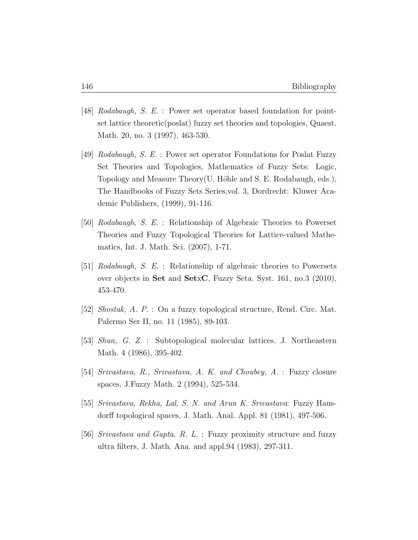- [48] Rodabaugh, S. E. : Power set operator based foundation for pointset lattice theoretic(poslat) fuzzy set theories and topologies, Quaest. Math. 20, no. 3 (1997), 463-530.
- [49] Rodabaugh, S. E. : Power set operator Foundations for Poslat Fuzzy Set Theories and Topologies, Mathematics of Fuzzy Sets: Logic, Topology and Measure Theory(U. Höhle and S. E. Rodabaugh, eds.), The Handbooks of Fuzzy Sets Series,vol. 3, Dordrecht: Kluwer Academic Publishers, (1999), 91-116.
- [50] Rodabaugh, S. E. : Relationship of Algebraic Theories to Powerset Theories and Fuzzy Topological Theories for Lattice-valued Mathematics, Int. J. Math. Sci. (2007), 1-71.
- [51] Rodabaugh, S. E. : Relationship of algebraic theories to Powersets over objects in Set and SetxC, Fuzzy Seta. Syst. 161, no.3 (2010), 453-470.
- [52] Shostak, A. P. : On a fuzzy topological structure, Rend. Circ. Mat. Palermo Ser II, no. 11 (1985), 89-103.
- [53] Shun, G. Z. : Subtopological molecular lattices, J. Northeastern Math. 4 (1986), 395-402.
- [54] Srivastava, R., Srivastava, A. K. and Choubey, A. : Fuzzy closure spaces, J.Fuzzy Math. 2 (1994), 525-534.
- [55] Srivastava, Rekha, Lal, S. N. and Arun K. Srivastava: Fuzzy Hausdorff topological spaces, J. Math. Anal. Appl. 81 (1981), 497-506.
- [56] Srivastava and Gupta, R. L. : Fuzzy proximity structure and fuzzy ultra filters, J. Math. Ana. and appl.94 (1983), 297-311.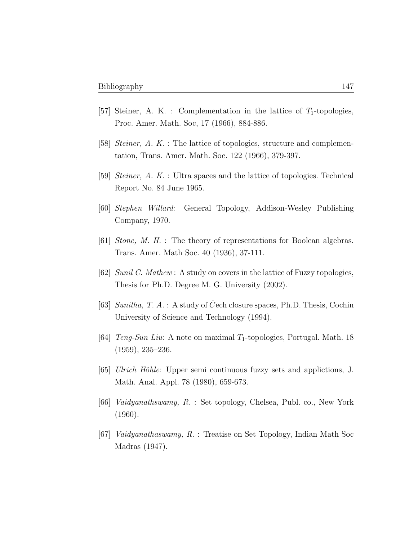- [57] Steiner, A. K. : Complementation in the lattice of  $T_1$ -topologies, Proc. Amer. Math. Soc, 17 (1966), 884-886.
- [58] Steiner, A. K. : The lattice of topologies, structure and complementation, Trans. Amer. Math. Soc. 122 (1966), 379-397.
- [59] Steiner, A. K. : Ultra spaces and the lattice of topologies. Technical Report No. 84 June 1965.
- [60] Stephen Willard: General Topology, Addison-Wesley Publishing Company, 1970.
- [61] Stone, M. H. : The theory of representations for Boolean algebras. Trans. Amer. Math Soc. 40 (1936), 37-111.
- [62] Sunil C. Mathew : A study on covers in the lattice of Fuzzy topologies, Thesis for Ph.D. Degree M. G. University (2002).
- [63] Sunitha, T. A. : A study of Cech closure spaces, Ph.D. Thesis, Cochin University of Science and Technology (1994).
- [64] *Teng-Sun Liu*: A note on maximal  $T_1$ -topologies, Portugal. Math. 18 (1959), 235–236.
- $[65]$  Ulrich Höhle: Upper semi continuous fuzzy sets and applictions, J. Math. Anal. Appl. 78 (1980), 659-673.
- [66] Vaidyanathswamy, R. : Set topology, Chelsea, Publ. co., New York (1960).
- [67] Vaidyanathaswamy, R. : Treatise on Set Topology, Indian Math Soc Madras (1947).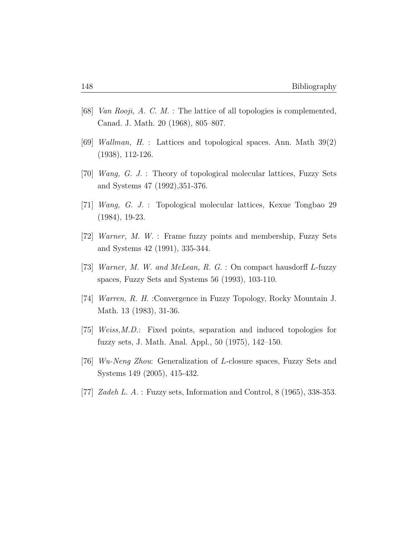- [68] Van Rooji, A. C. M. : The lattice of all topologies is complemented, Canad. J. Math. 20 (1968), 805–807.
- [69] Wallman, H. : Lattices and topological spaces. Ann. Math 39(2) (1938), 112-126.
- [70] Wang, G. J. : Theory of topological molecular lattices, Fuzzy Sets and Systems 47 (1992),351-376.
- [71] Wang, G. J. : Topological molecular lattices, Kexue Tongbao 29 (1984), 19-23.
- [72] Warner, M. W. : Frame fuzzy points and membership, Fuzzy Sets and Systems 42 (1991), 335-344.
- [73] Warner, M. W. and McLean, R. G. : On compact hausdorff L-fuzzy spaces, Fuzzy Sets and Systems 56 (1993), 103-110.
- [74] Warren, R. H. :Convergence in Fuzzy Topology, Rocky Mountain J. Math. 13 (1983), 31-36.
- [75] Weiss,M.D.: Fixed points, separation and induced topologies for fuzzy sets, J. Math. Anal. Appl., 50 (1975), 142–150.
- [76] Wu-Neng Zhou: Generalization of L-closure spaces, Fuzzy Sets and Systems 149 (2005), 415-432.
- [77] Zadeh L. A. : Fuzzy sets, Information and Control, 8 (1965), 338-353.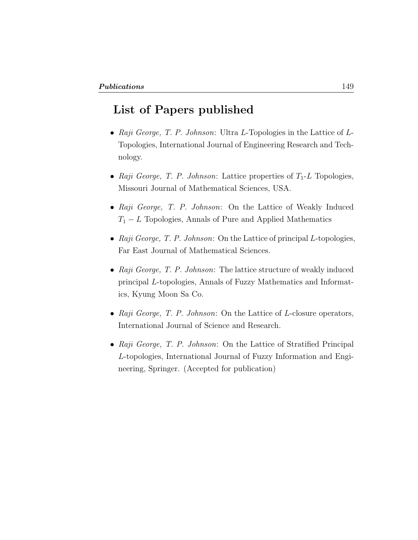## List of Papers published

- Raji George, T. P. Johnson: Ultra L-Topologies in the Lattice of  $L$ -Topologies, International Journal of Engineering Research and Technology.
- Raji George, T. P. Johnson: Lattice properties of  $T_1$ -L Topologies, Missouri Journal of Mathematical Sciences, USA.
- Raji George, T. P. Johnson: On the Lattice of Weakly Induced  $T_1 - L$  Topologies, Annals of Pure and Applied Mathematics
- Raji George, T. P. Johnson: On the Lattice of principal  $L$ -topologies, Far East Journal of Mathematical Sciences.
- Raji George, T. P. Johnson: The lattice structure of weakly induced principal L-topologies, Annals of Fuzzy Mathematics and Informatics, Kyung Moon Sa Co.
- Raji George, T. P. Johnson: On the Lattice of L-closure operators, International Journal of Science and Research.
- Raji George, T. P. Johnson: On the Lattice of Stratified Principal L-topologies, International Journal of Fuzzy Information and Engineering, Springer. (Accepted for publication)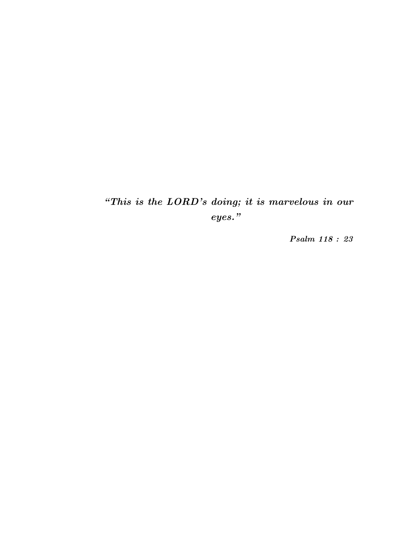"This is the LORD's doing; it is marvelous in our eyes."

Psalm 118 : 23